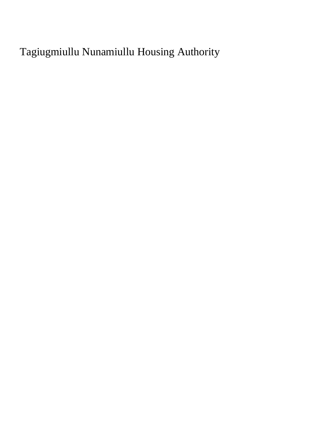Tagiugmiullu Nunamiullu Housing Authority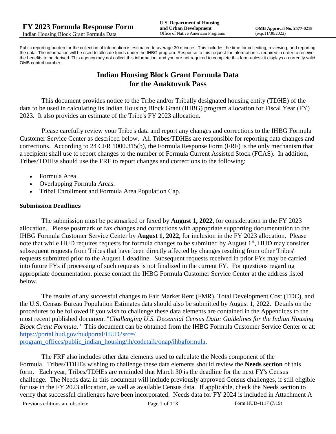Public reporting burden for the collection of information is estimated to average 30 minutes. This includes the time for collecting, reviewing, and reporting the data. The information will be used to allocate funds under the IHBG program. Response to this request for information is required in order to receive the benefits to be derived. This agency may not collect this information, and you are not required to complete this form unless it displays a currently valid OMB control number.

# **Indian Housing Block Grant Formula Data for the Anaktuvuk Pass**

This document provides notice to the Tribe and/or Tribally designated housing entity (TDHE) of the data to be used in calculating its Indian Housing Block Grant (IHBG) program allocation for Fiscal Year (FY) 2023. It also provides an estimate of the Tribe's FY 2023 allocation.

Please carefully review your Tribe's data and report any changes and corrections to the IHBG Formula Customer Service Center as described below. All Tribes/TDHEs are responsible for reporting data changes and corrections. According to 24 CFR 1000.315(b), the Formula Response Form (FRF) is the only mechanism that a recipient shall use to report changes to the number of Formula Current Assisted Stock (FCAS). In addition, Tribes/TDHEs should use the FRF to report changes and corrections to the following:

- Formula Area.
- Overlapping Formula Areas.
- Tribal Enrollment and Formula Area Population Cap.

#### **Submission Deadlines**

The submission must be postmarked or faxed by **August 1, 2022**, for consideration in the FY 2023 allocation. Please postmark or fax changes and corrections with appropriate supporting documentation to the IHBG Formula Customer Service Center by **August 1, 2022**, for inclusion in the FY 2023 allocation. Please note that while HUD requires requests for formula changes to be submitted by August 1<sup>st</sup>, HUD may consider subsequent requests from Tribes that have been directly affected by changes resulting from other Tribes' requests submitted prior to the August 1 deadline. Subsequent requests received in prior FYs may be carried into future FYs if processing of such requests is not finalized in the current FY. For questions regarding appropriate documentation, please contact the IHBG Formula Customer Service Center at the address listed below.

The results of any successful changes to Fair Market Rent (FMR), Total Development Cost (TDC), and the U.S. Census Bureau Population Estimates data should also be submitted by August 1, 2022. Details on the procedures to be followed if you wish to challenge these data elements are contained in the Appendices to the most recent published document "*Challenging U.S. Decennial Census Data: Guidelines for the Indian Housing Block Grant Formula.*" This document can be obtained from the IHBG Formula Customer Service Center or at: [https://portal.hud.gov/hudportal/HUD?src=/](https://portal.hud.gov/hudportal/HUD?src=/program_offices/public_indian_housing/ih/codetalk/onap/ihbgformula) 

[program\\_offices/public\\_indian\\_housing/ih/codetalk/onap/ihbgformula.](https://portal.hud.gov/hudportal/HUD?src=/program_offices/public_indian_housing/ih/codetalk/onap/ihbgformula)

The FRF also includes other data elements used to calculate the Needs component of the Formula. Tribes/TDHEs wishing to challenge these data elements should review the **Needs section** of this form. Each year, Tribes/TDHEs are reminded that March 30 is the deadline for the next FY's Census challenge. The Needs data in this document will include previously approved Census challenges, if still eligible for use in the FY 2023 allocation, as well as available Census data. If applicable, check the Needs section to verify that successful challenges have been incorporated. Needs data for FY 2024 is included in Attachment A

Previous editions are obsolete Page 1 of 113 Form HUD-4117 (7/19)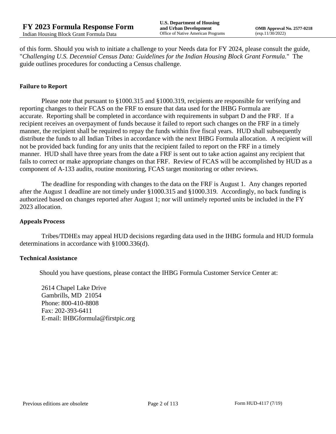of this form. Should you wish to initiate a challenge to your Needs data for FY 2024, please consult the guide, "*Challenging U.S. Decennial Census Data: Guidelines for the Indian Housing Block Grant Formula.*" The guide outlines procedures for conducting a Census challenge.

## **Failure to Report**

Please note that pursuant to §1000.315 and §1000.319, recipients are responsible for verifying and reporting changes to their FCAS on the FRF to ensure that data used for the IHBG Formula are accurate. Reporting shall be completed in accordance with requirements in subpart D and the FRF. If a recipient receives an overpayment of funds because it failed to report such changes on the FRF in a timely manner, the recipient shall be required to repay the funds within five fiscal years. HUD shall subsequently distribute the funds to all Indian Tribes in accordance with the next IHBG Formula allocation. A recipient will not be provided back funding for any units that the recipient failed to report on the FRF in a timely manner. HUD shall have three years from the date a FRF is sent out to take action against any recipient that fails to correct or make appropriate changes on that FRF. Review of FCAS will be accomplished by HUD as a component of A-133 audits, routine monitoring, FCAS target monitoring or other reviews.

The deadline for responding with changes to the data on the FRF is August 1. Any changes reported after the August 1 deadline are not timely under §1000.315 and §1000.319. Accordingly, no back funding is authorized based on changes reported after August 1; nor will untimely reported units be included in the FY 2023 allocation.

#### **Appeals Process**

Tribes/TDHEs may appeal HUD decisions regarding data used in the IHBG formula and HUD formula determinations in accordance with §1000.336(d).

#### **Technical Assistance**

Should you have questions, please contact the IHBG Formula Customer Service Center at:

2614 Chapel Lake Drive Gambrills, MD 21054 Phone: 800-410-8808 Fax: 202-393-6411 E-mail: IHBGformula@firstpic.org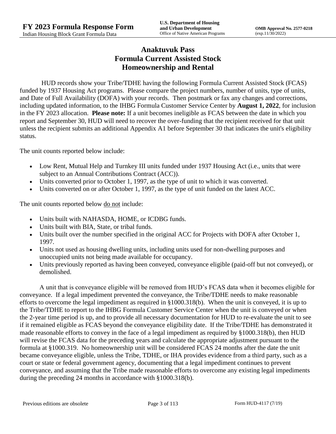# **Anaktuvuk Pass Formula Current Assisted Stock Homeownership and Rental**

HUD records show your Tribe/TDHE having the following Formula Current Assisted Stock (FCAS) funded by 1937 Housing Act programs. Please compare the project numbers, number of units, type of units, and Date of Full Availability (DOFA) with your records. Then postmark or fax any changes and corrections, including updated information, to the IHBG Formula Customer Service Center by **August 1, 2022**, for inclusion in the FY 2023 allocation. **Please note:** If a unit becomes ineligible as FCAS between the date in which you report and September 30, HUD will need to recover the over-funding that the recipient received for that unit unless the recipient submits an additional Appendix A1 before September 30 that indicates the unit's eligibility status.

The unit counts reported below include:

- Low Rent, Mutual Help and Turnkey III units funded under 1937 Housing Act (i.e., units that were subject to an Annual Contributions Contract (ACC)).
- Units converted prior to October 1, 1997, as the type of unit to which it was converted.
- Units converted on or after October 1, 1997, as the type of unit funded on the latest ACC.

The unit counts reported below <u>do not</u> include:

- Units built with NAHASDA, HOME, or ICDBG funds.
- Units built with BIA, State, or tribal funds.
- Units built over the number specified in the original ACC for Projects with DOFA after October 1, 1997.
- Units not used as housing dwelling units, including units used for non-dwelling purposes and unoccupied units not being made available for occupancy.
- Units previously reported as having been conveyed, conveyance eligible (paid-off but not conveyed), or demolished.

A unit that is conveyance eligible will be removed from HUD's FCAS data when it becomes eligible for conveyance. If a legal impediment prevented the conveyance, the Tribe/TDHE needs to make reasonable efforts to overcome the legal impediment as required in §1000.318(b). When the unit is conveyed, it is up to the Tribe/TDHE to report to the IHBG Formula Customer Service Center when the unit is conveyed or when the 2-year time period is up, and to provide all necessary documentation for HUD to re-evaluate the unit to see if it remained eligible as FCAS beyond the conveyance eligibility date. If the Tribe/TDHE has demonstrated it made reasonable efforts to convey in the face of a legal impediment as required by §1000.318(b), then HUD will revise the FCAS data for the preceding years and calculate the appropriate adjustment pursuant to the formula at §1000.319. No homeownership unit will be considered FCAS 24 months after the date the unit became conveyance eligible, unless the Tribe, TDHE, or IHA provides evidence from a third party, such as a court or state or federal government agency, documenting that a legal impediment continues to prevent conveyance, and assuming that the Tribe made reasonable efforts to overcome any existing legal impediments during the preceding 24 months in accordance with §1000.318(b).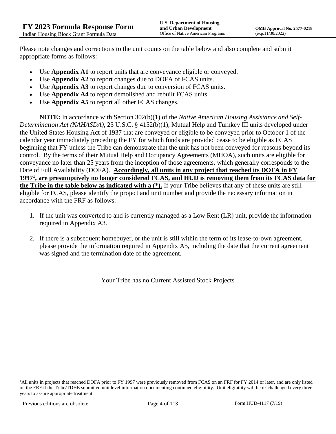Please note changes and corrections to the unit counts on the table below and also complete and submit appropriate forms as follows:

- Use **Appendix A1** to report units that are conveyance eligible or conveyed.
- Use **Appendix A2** to report changes due to DOFA of FCAS units.
- Use **Appendix A3** to report changes due to conversion of FCAS units.
- Use **Appendix A4** to report demolished and rebuilt FCAS units.
- Use **Appendix A5** to report all other FCAS changes.

**NOTE:** In accordance with Section 302(b)(1) of the *Native American Housing Assistance and Self-Determination Act (NAHASDA)*, 25 U.S.C. § 4152(b)(1), Mutual Help and Turnkey III units developed under the United States Housing Act of 1937 that are conveyed or eligible to be conveyed prior to October 1 of the calendar year immediately preceding the FY for which funds are provided cease to be eligible as FCAS beginning that FY unless the Tribe can demonstrate that the unit has not been conveyed for reasons beyond its control. By the terms of their Mutual Help and Occupancy Agreements (MHOA), such units are eligible for conveyance no later than 25 years from the inception of those agreements, which generally corresponds to the Date of Full Availability (DOFA). **Accordingly, all units in any project that reached its DOFA in FY 1997<sup>1</sup> , are presumptively no longer considered FCAS, and HUD is removing them from its FCAS data for the Tribe in the table below as indicated with a (\*).** If your Tribe believes that any of these units are still eligible for FCAS, please identify the project and unit number and provide the necessary information in accordance with the FRF as follows:

- 1. If the unit was converted to and is currently managed as a Low Rent (LR) unit, provide the information required in Appendix A3.
- 2. If there is a subsequent homebuyer, or the unit is still within the term of its lease-to-own agreement, please provide the information required in Appendix A5, including the date that the current agreement was signed and the termination date of the agreement.

Your Tribe has no Current Assisted Stock Projects

<sup>&</sup>lt;sup>1</sup>All units in projects that reached DOFA prior to FY 1997 were previously removed from FCAS on an FRF for FY 2014 or later, and are only listed on the FRF if the Tribe/TDHE submitted unit level information documenting continued eligibility. Unit eligibility will be re-challenged every three years to assure appropriate treatment.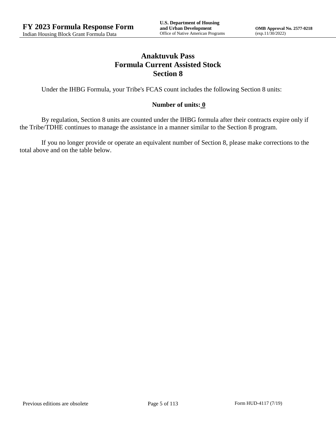# **Anaktuvuk Pass Formula Current Assisted Stock Section 8**

Under the IHBG Formula, your Tribe's FCAS count includes the following Section 8 units:

## **Number of units: 0**

By regulation, Section 8 units are counted under the IHBG formula after their contracts expire only if the Tribe/TDHE continues to manage the assistance in a manner similar to the Section 8 program.

If you no longer provide or operate an equivalent number of Section 8, please make corrections to the total above and on the table below.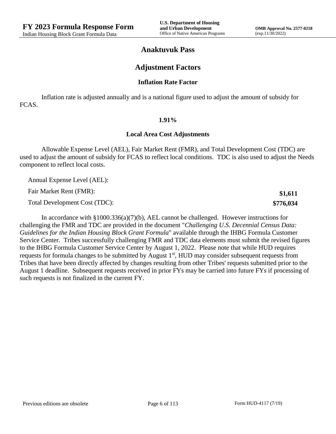**\$1,611 \$776,034**

## **Anaktuvuk Pass**

## **Adjustment Factors**

#### **Inflation Rate Factor**

Inflation rate is adjusted annually and is a national figure used to adjust the amount of subsidy for FCAS.

#### **1.91%**

#### **Local Area Cost Adjustments**

Allowable Expense Level (AEL), Fair Market Rent (FMR), and Total Development Cost (TDC) are used to adjust the amount of subsidy for FCAS to reflect local conditions. TDC is also used to adjust the Needs component to reflect local costs.

Annual Expense Level (AEL):

Fair Market Rent (FMR):

Total Development Cost (TDC):

In accordance with §1000.336(a)(7)(b), AEL cannot be challenged. However instructions for challenging the FMR and TDC are provided in the document "*Challenging U.S. Decennial Census Data: Guidelines for the Indian Housing Block Grant Formula*" available through the IHBG Formula Customer Service Center. Tribes successfully challenging FMR and TDC data elements must submit the revised figures to the IHBG Formula Customer Service Center by August 1, 2022. Please note that while HUD requires requests for formula changes to be submitted by August 1<sup>st</sup>, HUD may consider subsequent requests from Tribes that have been directly affected by changes resulting from other Tribes' requests submitted prior to the August 1 deadline. Subsequent requests received in prior FYs may be carried into future FYs if processing of such requests is not finalized in the current FY.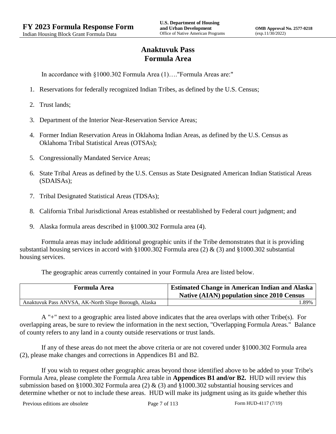# **Anaktuvuk Pass Formula Area**

In accordance with §1000.302 Formula Area (1)…."Formula Areas are:"

- 1. Reservations for federally recognized Indian Tribes, as defined by the U.S. Census;
- 2. Trust lands;
- 3. Department of the Interior Near-Reservation Service Areas;
- 4. Former Indian Reservation Areas in Oklahoma Indian Areas, as defined by the U.S. Census as Oklahoma Tribal Statistical Areas (OTSAs);
- 5. Congressionally Mandated Service Areas;
- 6. State Tribal Areas as defined by the U.S. Census as State Designated American Indian Statistical Areas (SDAISAs);
- 7. Tribal Designated Statistical Areas (TDSAs);
- 8. California Tribal Jurisdictional Areas established or reestablished by Federal court judgment; and
- 9. Alaska formula areas described in §1000.302 Formula area (4).

Formula areas may include additional geographic units if the Tribe demonstrates that it is providing substantial housing services in accord with §1000.302 Formula area (2) & (3) and §1000.302 substantial housing services.

The geographic areas currently contained in your Formula Area are listed below.

| <b>Formula Area</b>                                  | <b>Estimated Change in American Indian and Alaska</b><br><b>Native (AIAN) population since 2010 Census</b> |
|------------------------------------------------------|------------------------------------------------------------------------------------------------------------|
| Anaktuvuk Pass ANVSA, AK-North Slope Borough, Alaska | .89%                                                                                                       |

A "+" next to a geographic area listed above indicates that the area overlaps with other Tribe(s). For overlapping areas, be sure to review the information in the next section, "Overlapping Formula Areas." Balance of county refers to any land in a county outside reservations or trust lands.

If any of these areas do not meet the above criteria or are not covered under §1000.302 Formula area (2), please make changes and corrections in Appendices B1 and B2.

If you wish to request other geographic areas beyond those identified above to be added to your Tribe's Formula Area, please complete the Formula Area table in **Appendices B1 and/or B2.** HUD will review this submission based on §1000.302 Formula area (2) & (3) and §1000.302 substantial housing services and determine whether or not to include these areas. HUD will make its judgment using as its guide whether this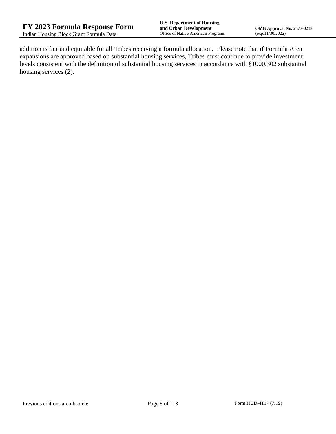addition is fair and equitable for all Tribes receiving a formula allocation. Please note that if Formula Area expansions are approved based on substantial housing services, Tribes must continue to provide investment levels consistent with the definition of substantial housing services in accordance with §1000.302 substantial housing services (2).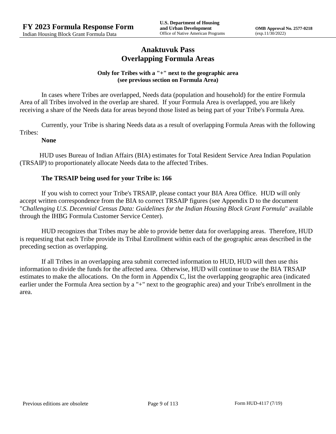## **Anaktuvuk Pass Overlapping Formula Areas**

## **Only for Tribes with a "+" next to the geographic area (see previous section on Formula Area)**

In cases where Tribes are overlapped, Needs data (population and household) for the entire Formula Area of all Tribes involved in the overlap are shared. If your Formula Area is overlapped, you are likely receiving a share of the Needs data for areas beyond those listed as being part of your Tribe's Formula Area.

Currently, your Tribe is sharing Needs data as a result of overlapping Formula Areas with the following Tribes:

## **None**

HUD uses Bureau of Indian Affairs (BIA) estimates for Total Resident Service Area Indian Population (TRSAIP) to proportionately allocate Needs data to the affected Tribes.

## **The TRSAIP being used for your Tribe is: 166**

If you wish to correct your Tribe's TRSAIP, please contact your BIA Area Office. HUD will only accept written correspondence from the BIA to correct TRSAIP figures (see Appendix D to the document "*Challenging U.S. Decennial Census Data: Guidelines for the Indian Housing Block Grant Formula*" available through the IHBG Formula Customer Service Center).

HUD recognizes that Tribes may be able to provide better data for overlapping areas. Therefore, HUD is requesting that each Tribe provide its Tribal Enrollment within each of the geographic areas described in the preceding section as overlapping.

If all Tribes in an overlapping area submit corrected information to HUD, HUD will then use this information to divide the funds for the affected area. Otherwise, HUD will continue to use the BIA TRSAIP estimates to make the allocations. On the form in Appendix C, list the overlapping geographic area (indicated earlier under the Formula Area section by a "+" next to the geographic area) and your Tribe's enrollment in the area.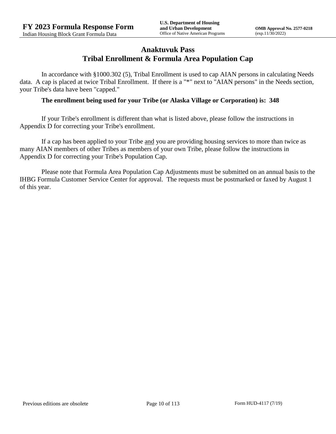## **Anaktuvuk Pass Tribal Enrollment & Formula Area Population Cap**

In accordance with §1000.302 (5), Tribal Enrollment is used to cap AIAN persons in calculating Needs data. A cap is placed at twice Tribal Enrollment. If there is a "\*" next to "AIAN persons" in the Needs section, your Tribe's data have been "capped."

## **The enrollment being used for your Tribe (or Alaska Village or Corporation) is: 348**

If your Tribe's enrollment is different than what is listed above, please follow the instructions in Appendix D for correcting your Tribe's enrollment.

If a cap has been applied to your Tribe and you are providing housing services to more than twice as many AIAN members of other Tribes as members of your own Tribe, please follow the instructions in Appendix D for correcting your Tribe's Population Cap.

Please note that Formula Area Population Cap Adjustments must be submitted on an annual basis to the IHBG Formula Customer Service Center for approval. The requests must be postmarked or faxed by August 1 of this year.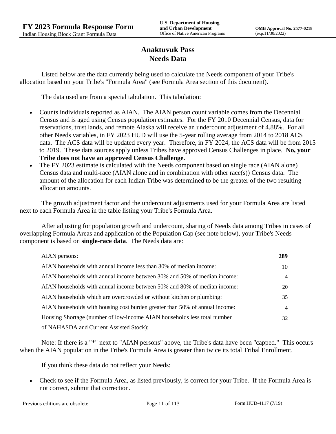# **Anaktuvuk Pass Needs Data**

Listed below are the data currently being used to calculate the Needs component of your Tribe's allocation based on your Tribe's "Formula Area" (see Formula Area section of this document).

The data used are from a special tabulation. This tabulation:

- Counts individuals reported as AIAN. The AIAN person count variable comes from the Decennial Census and is aged using Census population estimates. For the FY 2010 Decennial Census, data for reservations, trust lands, and remote Alaska will receive an undercount adjustment of 4.88%. For all other Needs variables, in FY 2023 HUD will use the 5-year rolling average from 2014 to 2018 ACS data. The ACS data will be updated every year. Therefore, in FY 2024, the ACS data will be from 2015 to 2019. These data sources apply unless Tribes have approved Census Challenges in place. **No, your Tribe does not have an approved Census Challenge.**
- The FY 2023 estimate is calculated with the Needs component based on single race (AIAN alone) Census data and multi-race (AIAN alone and in combination with other race(s)) Census data. The amount of the allocation for each Indian Tribe was determined to be the greater of the two resulting allocation amounts.

The growth adjustment factor and the undercount adjustments used for your Formula Area are listed next to each Formula Area in the table listing your Tribe's Formula Area.

After adjusting for population growth and undercount, sharing of Needs data among Tribes in cases of overlapping Formula Areas and application of the Population Cap (see note below), your Tribe's Needs component is based on **single-race data**. The Needs data are:

| AIAN persons:                                                               | 289 |
|-----------------------------------------------------------------------------|-----|
| AIAN households with annual income less than 30% of median income:          | 10  |
| AIAN households with annual income between 30% and 50% of median income:    | 4   |
| AIAN households with annual income between 50% and 80% of median income:    | 20  |
| AIAN households which are overcrowded or without kitchen or plumbing:       | 35  |
| AIAN households with housing cost burden greater than 50% of annual income: | 4   |
| Housing Shortage (number of low-income AIAN households less total number    | 32  |
| of NAHASDA and Current Assisted Stock):                                     |     |

Note: If there is a "\*" next to "AIAN persons" above, the Tribe's data have been "capped." This occurs when the AIAN population in the Tribe's Formula Area is greater than twice its total Tribal Enrollment.

If you think these data do not reflect your Needs:

 Check to see if the Formula Area, as listed previously, is correct for your Tribe. If the Formula Area is not correct, submit that correction.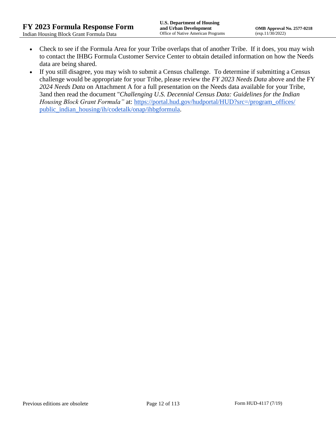- Check to see if the Formula Area for your Tribe overlaps that of another Tribe. If it does, you may wish to contact the IHBG Formula Customer Service Center to obtain detailed information on how the Needs data are being shared.
- If you still disagree, you may wish to submit a Census challenge. To determine if submitting a Census challenge would be appropriate for your Tribe, please review the *FY 2023 Needs Data* above and the FY *2024 Needs Data* on Attachment A for a full presentation on the Needs data available for your Tribe, 3and then read the document "*Challenging U.S. Decennial Census Data: Guidelines for the Indian Housing Block Grant Formula*" at: https://portal.hud.gov/hudportal/HUD?src=/program\_offices/ [public\\_indian\\_housing/ih/codetalk/onap/ihbgformula.](https://portal.hud.gov/hudportal/HUD?src=/program_offices/public_indian_housing/ih/codetalk/onap/ihbgformula)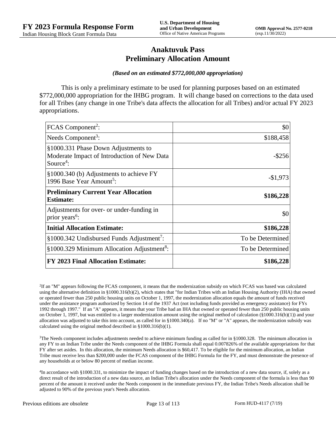## **Anaktuvuk Pass Preliminary Allocation Amount**

#### *(Based on an estimated \$772,000,000 appropriation)*

This is only a preliminary estimate to be used for planning purposes based on an estimated \$772,000,000 appropriation for the IHBG program. It will change based on corrections to the data used for all Tribes (any change in one Tribe's data affects the allocation for all Tribes) and/or actual FY 2023 appropriations.

| FCAS Component <sup>2</sup> :                                                                               | \$0              |
|-------------------------------------------------------------------------------------------------------------|------------------|
| Needs Component <sup>3</sup> :                                                                              | \$188,458        |
| §1000.331 Phase Down Adjustments to<br>Moderate Impact of Introduction of New Data<br>Source <sup>4</sup> : | -\$256           |
| §1000.340 (b) Adjustments to achieve FY<br>1996 Base Year Amount <sup>5</sup> :                             | $-$1,973$        |
| <b>Preliminary Current Year Allocation</b><br><b>Estimate:</b>                                              | \$186,228        |
| Adjustments for over- or under-funding in<br>prior years <sup>6</sup> :                                     | \$0              |
| <b>Initial Allocation Estimate:</b>                                                                         | \$186,228        |
| §1000.342 Undisbursed Funds Adjustment <sup>7</sup> :                                                       | To be Determined |
| §1000.329 Minimum Allocation Adjustment <sup>8</sup> :                                                      | To be Determined |
| <b>FY 2023 Final Allocation Estimate:</b>                                                                   | \$186,228        |

2 If an "M" appears following the FCAS component, it means that the modernization subsidy on which FCAS was based was calculated using the alternative definition in §1000.316(b)(2), which states that "for Indian Tribes with an Indian Housing Authority (IHA) that owned or operated fewer than 250 public housing units on October 1, 1997, the modernization allocation equals the amount of funds received under the assistance program authorized by Section 14 of the 1937 Act (not including funds provided as emergency assistance) for FYs 1992 through 1997." If an "A" appears, it means that your Tribe had an IHA that owned or operated fewer than 250 public housing units on October 1, 1997, but was entitled to a larger modernization amount using the original method of calculation (§1000.316(b)(1)) and your allocation was adjusted to take this into account, as called for in  $\S1000.340(a)$ . If no "M" or "A" appears, the modernization subsidy was calculated using the original method described in §1000.316(b)(1).

 $3$ The Needs component includes adjustments needed to achieve minimum funding as called for in §1000.328. The minimum allocation in any FY to an Indian Tribe under the Needs component of the IHBG Formula shall equal 0.007826% of the available appropriations for that FY after set asides. In this allocation, the minimum Needs allocation is \$60,417. To be eligible for the minimum allocation, an Indian Tribe must receive less than \$200,000 under the FCAS component of the IHBG Formula for the FY, and must demonstrate the presence of any households at or below 80 percent of median income.

4 In accordance with §1000.331, to minimize the impact of funding changes based on the introduction of a new data source, if, solely as a direct result of the introduction of a new data source, an Indian Tribe's allocation under the Needs component of the formula is less than 90 percent of the amount it received under the Needs component in the immediate previous FY, the Indian Tribe's Needs allocation shall be adjusted to 90% of the previous year's Needs allocation.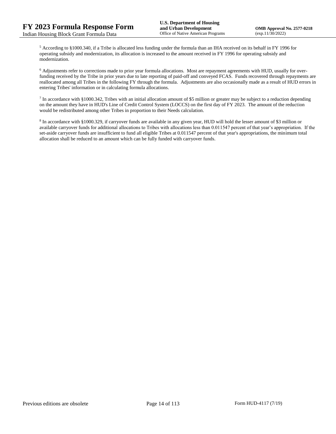<sup>5</sup> According to §1000.340, if a Tribe is allocated less funding under the formula than an IHA received on its behalf in FY 1996 for operating subsidy and modernization, its allocation is increased to the amount received in FY 1996 for operating subsidy and modernization.

<sup>6</sup> Adjustments refer to corrections made to prior year formula allocations. Most are repayment agreements with HUD, usually for overfunding received by the Tribe in prior years due to late reporting of paid-off and conveyed FCAS. Funds recovered through repayments are reallocated among all Tribes in the following FY through the formula. Adjustments are also occasionally made as a result of HUD errors in entering Tribes' information or in calculating formula allocations.

 $^7$  In accordance with §1000.342, Tribes with an initial allocation amount of \$5 million or greater may be subject to a reduction depending on the amount they have in HUD's Line of Credit Control System (LOCCS) on the first day of FY 2023. The amount of the reduction would be redistributed among other Tribes in proportion to their Needs calculation.

<sup>8</sup> In accordance with §1000.329, if carryover funds are available in any given year, HUD will hold the lesser amount of \$3 million or available carryover funds for additional allocations to Tribes with allocations less than 0.011547 percent of that year's appropriation. If the set-aside carryover funds are insufficient to fund all eligible Tribes at 0.011547 percent of that year's appropriations, the minimum total allocation shall be reduced to an amount which can be fully funded with carryover funds.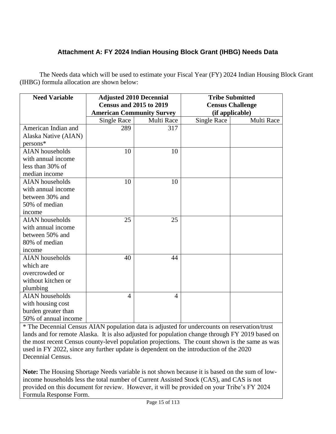# **Attachment A: FY 2024 Indian Housing Block Grant (IHBG) Needs Data**

The Needs data which will be used to estimate your Fiscal Year (FY) 2024 Indian Housing Block Grant (IHBG) formula allocation are shown below:

| <b>Need Variable</b>   | <b>Adjusted 2010 Decennial</b>   |                | <b>Tribe Submitted</b>  |            |
|------------------------|----------------------------------|----------------|-------------------------|------------|
|                        | <b>Census and 2015 to 2019</b>   |                | <b>Census Challenge</b> |            |
|                        | <b>American Community Survey</b> |                | (if applicable)         |            |
|                        | Single Race                      | Multi Race     | <b>Single Race</b>      | Multi Race |
| American Indian and    | 289                              | 317            |                         |            |
| Alaska Native (AIAN)   |                                  |                |                         |            |
| $persons*$             |                                  |                |                         |            |
| <b>AIAN</b> households | 10                               | 10             |                         |            |
| with annual income     |                                  |                |                         |            |
| less than 30% of       |                                  |                |                         |            |
| median income          |                                  |                |                         |            |
| <b>AIAN</b> households | 10                               | 10             |                         |            |
| with annual income     |                                  |                |                         |            |
| between 30% and        |                                  |                |                         |            |
| 50% of median          |                                  |                |                         |            |
| income                 |                                  |                |                         |            |
| <b>AIAN</b> households | 25                               | 25             |                         |            |
| with annual income     |                                  |                |                         |            |
| between 50% and        |                                  |                |                         |            |
| 80% of median          |                                  |                |                         |            |
| income                 |                                  |                |                         |            |
| <b>AIAN</b> households | 40                               | 44             |                         |            |
| which are              |                                  |                |                         |            |
| overcrowded or         |                                  |                |                         |            |
| without kitchen or     |                                  |                |                         |            |
| plumbing               |                                  |                |                         |            |
| <b>AIAN</b> households | 4                                | $\overline{4}$ |                         |            |
| with housing cost      |                                  |                |                         |            |
| burden greater than    |                                  |                |                         |            |
| 50% of annual income   |                                  |                |                         |            |

\* The Decennial Census AIAN population data is adjusted for undercounts on reservation/trust lands and for remote Alaska. It is also adjusted for population change through FY 2019 based on the most recent Census county-level population projections. The count shown is the same as was used in FY 2022, since any further update is dependent on the introduction of the 2020 Decennial Census.

**Note:** The Housing Shortage Needs variable is not shown because it is based on the sum of lowincome households less the total number of Current Assisted Stock (CAS), and CAS is not provided on this document for review. However, it will be provided on your Tribe's FY 2024 Formula Response Form.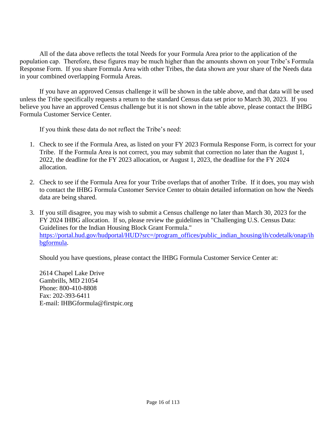All of the data above reflects the total Needs for your Formula Area prior to the application of the population cap. Therefore, these figures may be much higher than the amounts shown on your Tribe's Formula Response Form. If you share Formula Area with other Tribes, the data shown are your share of the Needs data in your combined overlapping Formula Areas.

If you have an approved Census challenge it will be shown in the table above, and that data will be used unless the Tribe specifically requests a return to the standard Census data set prior to March 30, 2023. If you believe you have an approved Census challenge but it is not shown in the table above, please contact the IHBG Formula Customer Service Center.

If you think these data do not reflect the Tribe's need:

- 1. Check to see if the Formula Area, as listed on your FY 2023 Formula Response Form, is correct for your Tribe. If the Formula Area is not correct, you may submit that correction no later than the August 1, 2022, the deadline for the FY 2023 allocation, or August 1, 2023, the deadline for the FY 2024 allocation.
- 2. Check to see if the Formula Area for your Tribe overlaps that of another Tribe. If it does, you may wish to contact the IHBG Formula Customer Service Center to obtain detailed information on how the Needs data are being shared.
- 3. If you still disagree, you may wish to submit a Census challenge no later than March 30, 2023 for the FY 2024 IHBG allocation. If so, please review the guidelines in "Challenging U.S. Census Data: Guidelines for the Indian Housing Block Grant Formula." [https://portal.hud.gov/hudportal/HUD?src=/program\\_offices/public\\_indian\\_housing/ih/codetalk/onap/ih](https://portal.hud.gov/hudportal/HUD?src=/program_offices/public_indian_housing/ih/codetalk/onap/ihbgformula) [bgformula.](https://portal.hud.gov/hudportal/HUD?src=/program_offices/public_indian_housing/ih/codetalk/onap/ihbgformula)

Should you have questions, please contact the IHBG Formula Customer Service Center at:

2614 Chapel Lake Drive Gambrills, MD 21054 Phone: 800-410-8808 Fax: 202-393-6411 E-mail: IHBGformula@firstpic.org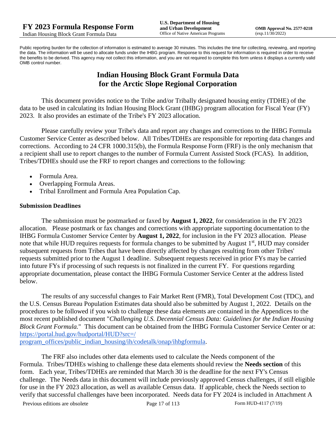Public reporting burden for the collection of information is estimated to average 30 minutes. This includes the time for collecting, reviewing, and reporting the data. The information will be used to allocate funds under the IHBG program. Response to this request for information is required in order to receive the benefits to be derived. This agency may not collect this information, and you are not required to complete this form unless it displays a currently valid OMB control number.

# **Indian Housing Block Grant Formula Data for the Arctic Slope Regional Corporation**

This document provides notice to the Tribe and/or Tribally designated housing entity (TDHE) of the data to be used in calculating its Indian Housing Block Grant (IHBG) program allocation for Fiscal Year (FY) 2023. It also provides an estimate of the Tribe's FY 2023 allocation.

Please carefully review your Tribe's data and report any changes and corrections to the IHBG Formula Customer Service Center as described below. All Tribes/TDHEs are responsible for reporting data changes and corrections. According to 24 CFR 1000.315(b), the Formula Response Form (FRF) is the only mechanism that a recipient shall use to report changes to the number of Formula Current Assisted Stock (FCAS). In addition, Tribes/TDHEs should use the FRF to report changes and corrections to the following:

- Formula Area.
- Overlapping Formula Areas.
- Tribal Enrollment and Formula Area Population Cap.

## **Submission Deadlines**

The submission must be postmarked or faxed by **August 1, 2022**, for consideration in the FY 2023 allocation. Please postmark or fax changes and corrections with appropriate supporting documentation to the IHBG Formula Customer Service Center by **August 1, 2022**, for inclusion in the FY 2023 allocation. Please note that while HUD requires requests for formula changes to be submitted by August 1<sup>st</sup>, HUD may consider subsequent requests from Tribes that have been directly affected by changes resulting from other Tribes' requests submitted prior to the August 1 deadline. Subsequent requests received in prior FYs may be carried into future FYs if processing of such requests is not finalized in the current FY. For questions regarding appropriate documentation, please contact the IHBG Formula Customer Service Center at the address listed below.

The results of any successful changes to Fair Market Rent (FMR), Total Development Cost (TDC), and the U.S. Census Bureau Population Estimates data should also be submitted by August 1, 2022. Details on the procedures to be followed if you wish to challenge these data elements are contained in the Appendices to the most recent published document "*Challenging U.S. Decennial Census Data: Guidelines for the Indian Housing Block Grant Formula.*" This document can be obtained from the IHBG Formula Customer Service Center or at: [https://portal.hud.gov/hudportal/HUD?src=/](https://portal.hud.gov/hudportal/HUD?src=/program_offices/public_indian_housing/ih/codetalk/onap/ihbgformula) 

[program\\_offices/public\\_indian\\_housing/ih/codetalk/onap/ihbgformula.](https://portal.hud.gov/hudportal/HUD?src=/program_offices/public_indian_housing/ih/codetalk/onap/ihbgformula)

The FRF also includes other data elements used to calculate the Needs component of the Formula. Tribes/TDHEs wishing to challenge these data elements should review the **Needs section** of this form. Each year, Tribes/TDHEs are reminded that March 30 is the deadline for the next FY's Census challenge. The Needs data in this document will include previously approved Census challenges, if still eligible for use in the FY 2023 allocation, as well as available Census data. If applicable, check the Needs section to verify that successful challenges have been incorporated. Needs data for FY 2024 is included in Attachment A

Previous editions are obsolete Page 17 of 113 Form HUD-4117 (7/19)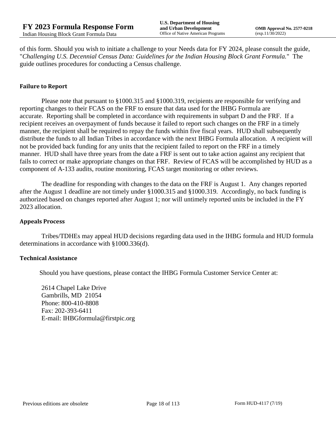of this form. Should you wish to initiate a challenge to your Needs data for FY 2024, please consult the guide, "*Challenging U.S. Decennial Census Data: Guidelines for the Indian Housing Block Grant Formula.*" The guide outlines procedures for conducting a Census challenge.

## **Failure to Report**

Please note that pursuant to §1000.315 and §1000.319, recipients are responsible for verifying and reporting changes to their FCAS on the FRF to ensure that data used for the IHBG Formula are accurate. Reporting shall be completed in accordance with requirements in subpart D and the FRF. If a recipient receives an overpayment of funds because it failed to report such changes on the FRF in a timely manner, the recipient shall be required to repay the funds within five fiscal years. HUD shall subsequently distribute the funds to all Indian Tribes in accordance with the next IHBG Formula allocation. A recipient will not be provided back funding for any units that the recipient failed to report on the FRF in a timely manner. HUD shall have three years from the date a FRF is sent out to take action against any recipient that fails to correct or make appropriate changes on that FRF. Review of FCAS will be accomplished by HUD as a component of A-133 audits, routine monitoring, FCAS target monitoring or other reviews.

The deadline for responding with changes to the data on the FRF is August 1. Any changes reported after the August 1 deadline are not timely under §1000.315 and §1000.319. Accordingly, no back funding is authorized based on changes reported after August 1; nor will untimely reported units be included in the FY 2023 allocation.

#### **Appeals Process**

Tribes/TDHEs may appeal HUD decisions regarding data used in the IHBG formula and HUD formula determinations in accordance with §1000.336(d).

#### **Technical Assistance**

Should you have questions, please contact the IHBG Formula Customer Service Center at:

2614 Chapel Lake Drive Gambrills, MD 21054 Phone: 800-410-8808 Fax: 202-393-6411 E-mail: IHBGformula@firstpic.org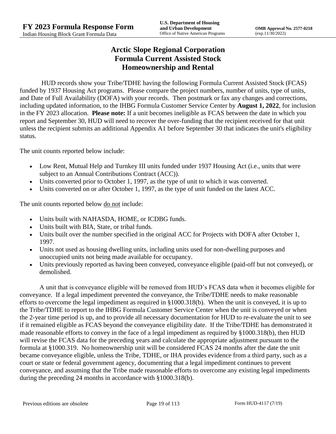# **Arctic Slope Regional Corporation Formula Current Assisted Stock Homeownership and Rental**

HUD records show your Tribe/TDHE having the following Formula Current Assisted Stock (FCAS) funded by 1937 Housing Act programs. Please compare the project numbers, number of units, type of units, and Date of Full Availability (DOFA) with your records. Then postmark or fax any changes and corrections, including updated information, to the IHBG Formula Customer Service Center by **August 1, 2022**, for inclusion in the FY 2023 allocation. **Please note:** If a unit becomes ineligible as FCAS between the date in which you report and September 30, HUD will need to recover the over-funding that the recipient received for that unit unless the recipient submits an additional Appendix A1 before September 30 that indicates the unit's eligibility status.

The unit counts reported below include:

- Low Rent, Mutual Help and Turnkey III units funded under 1937 Housing Act (i.e., units that were subject to an Annual Contributions Contract (ACC)).
- Units converted prior to October 1, 1997, as the type of unit to which it was converted.
- Units converted on or after October 1, 1997, as the type of unit funded on the latest ACC.

The unit counts reported below <u>do not</u> include:

- Units built with NAHASDA, HOME, or ICDBG funds.
- Units built with BIA, State, or tribal funds.
- Units built over the number specified in the original ACC for Projects with DOFA after October 1, 1997.
- Units not used as housing dwelling units, including units used for non-dwelling purposes and unoccupied units not being made available for occupancy.
- Units previously reported as having been conveyed, conveyance eligible (paid-off but not conveyed), or demolished.

A unit that is conveyance eligible will be removed from HUD's FCAS data when it becomes eligible for conveyance. If a legal impediment prevented the conveyance, the Tribe/TDHE needs to make reasonable efforts to overcome the legal impediment as required in §1000.318(b). When the unit is conveyed, it is up to the Tribe/TDHE to report to the IHBG Formula Customer Service Center when the unit is conveyed or when the 2-year time period is up, and to provide all necessary documentation for HUD to re-evaluate the unit to see if it remained eligible as FCAS beyond the conveyance eligibility date. If the Tribe/TDHE has demonstrated it made reasonable efforts to convey in the face of a legal impediment as required by §1000.318(b), then HUD will revise the FCAS data for the preceding years and calculate the appropriate adjustment pursuant to the formula at §1000.319. No homeownership unit will be considered FCAS 24 months after the date the unit became conveyance eligible, unless the Tribe, TDHE, or IHA provides evidence from a third party, such as a court or state or federal government agency, documenting that a legal impediment continues to prevent conveyance, and assuming that the Tribe made reasonable efforts to overcome any existing legal impediments during the preceding 24 months in accordance with §1000.318(b).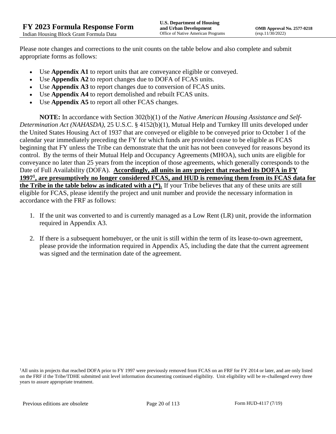Please note changes and corrections to the unit counts on the table below and also complete and submit appropriate forms as follows:

- Use **Appendix A1** to report units that are conveyance eligible or conveyed.
- Use **Appendix A2** to report changes due to DOFA of FCAS units.
- Use **Appendix A3** to report changes due to conversion of FCAS units.
- Use **Appendix A4** to report demolished and rebuilt FCAS units.
- Use **Appendix A5** to report all other FCAS changes.

**NOTE:** In accordance with Section 302(b)(1) of the *Native American Housing Assistance and Self-Determination Act (NAHASDA)*, 25 U.S.C. § 4152(b)(1), Mutual Help and Turnkey III units developed under the United States Housing Act of 1937 that are conveyed or eligible to be conveyed prior to October 1 of the calendar year immediately preceding the FY for which funds are provided cease to be eligible as FCAS beginning that FY unless the Tribe can demonstrate that the unit has not been conveyed for reasons beyond its control. By the terms of their Mutual Help and Occupancy Agreements (MHOA), such units are eligible for conveyance no later than 25 years from the inception of those agreements, which generally corresponds to the Date of Full Availability (DOFA). **Accordingly, all units in any project that reached its DOFA in FY 1997<sup>1</sup> , are presumptively no longer considered FCAS, and HUD is removing them from its FCAS data for the Tribe in the table below as indicated with a (\*).** If your Tribe believes that any of these units are still eligible for FCAS, please identify the project and unit number and provide the necessary information in accordance with the FRF as follows:

- 1. If the unit was converted to and is currently managed as a Low Rent (LR) unit, provide the information required in Appendix A3.
- 2. If there is a subsequent homebuyer, or the unit is still within the term of its lease-to-own agreement, please provide the information required in Appendix A5, including the date that the current agreement was signed and the termination date of the agreement.

<sup>1</sup>All units in projects that reached DOFA prior to FY 1997 were previously removed from FCAS on an FRF for FY 2014 or later, and are only listed on the FRF if the Tribe/TDHE submitted unit level information documenting continued eligibility. Unit eligibility will be re-challenged every three years to assure appropriate treatment.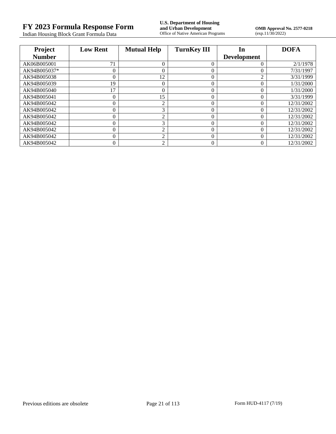Indian Housing Block Grant Formula Data

**FY 2023 Formula Response Form**<br> **FY 2023 Formula Response Form**<br> **Indian Housing Block Grant Formula Data**<br> **Office of Native American Programs** 

**OMB Approval No. 2577-0218**<br>(exp.11/30/2022)

| Project       | <b>Low Rent</b> | <b>Mutual Help</b> | <b>TurnKey III</b> | In                 | <b>DOFA</b> |
|---------------|-----------------|--------------------|--------------------|--------------------|-------------|
| <b>Number</b> |                 |                    |                    | <b>Development</b> |             |
| AK06B005001   | 71              | $\Omega$           | $\Omega$           | 0                  | 2/1/1978    |
| AK94B005037*  | 0               | $\overline{0}$     | 0                  |                    | 7/31/1997   |
| AK94B005038   | 0               | 12                 | $\theta$           | ◠                  | 3/31/1999   |
| AK94B005039   | 19              | $\overline{0}$     | $\Omega$           |                    | 1/31/2000   |
| AK94B005040   | 17              | $\overline{0}$     | 0                  | 0                  | 1/31/2000   |
| AK94B005041   | 0               | 15                 | 0                  | 0                  | 3/31/1999   |
| AK94B005042   |                 | $\overline{2}$     | $\Omega$           |                    | 12/31/2002  |
| AK94B005042   | 0               | 3                  | $\Omega$           | 0                  | 12/31/2002  |
| AK94B005042   |                 | $\overline{2}$     | 0                  | 0                  | 12/31/2002  |
| AK94B005042   | 0               | 3                  | 0                  | 0                  | 12/31/2002  |
| AK94B005042   |                 | $\overline{2}$     | $\theta$           | 0                  | 12/31/2002  |
| AK94B005042   | 0               | $\overline{2}$     | $\theta$           | 0                  | 12/31/2002  |
| AK94B005042   |                 | $\overline{c}$     |                    |                    | 12/31/2002  |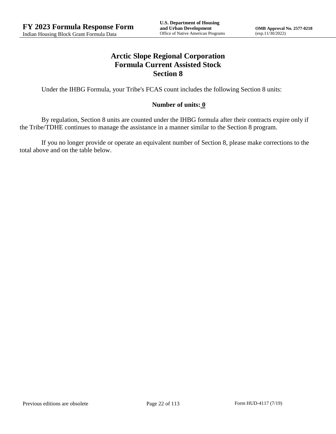# **Arctic Slope Regional Corporation Formula Current Assisted Stock Section 8**

Under the IHBG Formula, your Tribe's FCAS count includes the following Section 8 units:

## **Number of units: 0**

By regulation, Section 8 units are counted under the IHBG formula after their contracts expire only if the Tribe/TDHE continues to manage the assistance in a manner similar to the Section 8 program.

If you no longer provide or operate an equivalent number of Section 8, please make corrections to the total above and on the table below.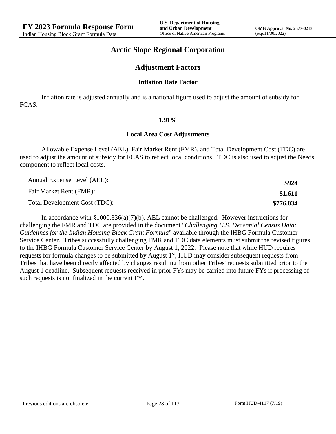## **Arctic Slope Regional Corporation**

## **Adjustment Factors**

#### **Inflation Rate Factor**

Inflation rate is adjusted annually and is a national figure used to adjust the amount of subsidy for FCAS.

#### **1.91%**

#### **Local Area Cost Adjustments**

Allowable Expense Level (AEL), Fair Market Rent (FMR), and Total Development Cost (TDC) are used to adjust the amount of subsidy for FCAS to reflect local conditions. TDC is also used to adjust the Needs component to reflect local costs.

| Annual Expense Level (AEL):   | \$924     |
|-------------------------------|-----------|
| Fair Market Rent (FMR):       | \$1,611   |
| Total Development Cost (TDC): | \$776,034 |

In accordance with §1000.336(a)(7)(b), AEL cannot be challenged. However instructions for challenging the FMR and TDC are provided in the document "*Challenging U.S. Decennial Census Data: Guidelines for the Indian Housing Block Grant Formula*" available through the IHBG Formula Customer Service Center. Tribes successfully challenging FMR and TDC data elements must submit the revised figures to the IHBG Formula Customer Service Center by August 1, 2022. Please note that while HUD requires requests for formula changes to be submitted by August 1<sup>st</sup>, HUD may consider subsequent requests from Tribes that have been directly affected by changes resulting from other Tribes' requests submitted prior to the August 1 deadline. Subsequent requests received in prior FYs may be carried into future FYs if processing of such requests is not finalized in the current FY.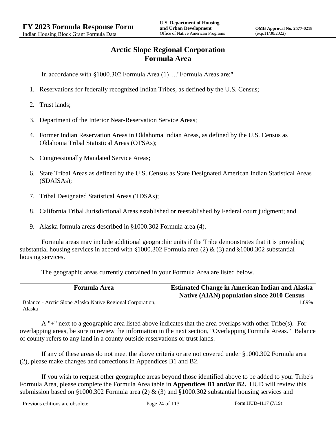# **Arctic Slope Regional Corporation Formula Area**

In accordance with §1000.302 Formula Area (1)…."Formula Areas are:"

- 1. Reservations for federally recognized Indian Tribes, as defined by the U.S. Census;
- 2. Trust lands;
- 3. Department of the Interior Near-Reservation Service Areas;
- 4. Former Indian Reservation Areas in Oklahoma Indian Areas, as defined by the U.S. Census as Oklahoma Tribal Statistical Areas (OTSAs);
- 5. Congressionally Mandated Service Areas;
- 6. State Tribal Areas as defined by the U.S. Census as State Designated American Indian Statistical Areas (SDAISAs);
- 7. Tribal Designated Statistical Areas (TDSAs);
- 8. California Tribal Jurisdictional Areas established or reestablished by Federal court judgment; and
- 9. Alaska formula areas described in §1000.302 Formula area (4).

Formula areas may include additional geographic units if the Tribe demonstrates that it is providing substantial housing services in accord with §1000.302 Formula area (2) & (3) and §1000.302 substantial housing services.

The geographic areas currently contained in your Formula Area are listed below.

| <b>Formula Area</b>                                                  | <b>Estimated Change in American Indian and Alaska</b><br><b>Native (AIAN) population since 2010 Census</b> |
|----------------------------------------------------------------------|------------------------------------------------------------------------------------------------------------|
| Balance - Arctic Slope Alaska Native Regional Corporation.<br>Alaska | .89%                                                                                                       |

A "+" next to a geographic area listed above indicates that the area overlaps with other Tribe(s). For overlapping areas, be sure to review the information in the next section, "Overlapping Formula Areas." Balance of county refers to any land in a county outside reservations or trust lands.

If any of these areas do not meet the above criteria or are not covered under §1000.302 Formula area (2), please make changes and corrections in Appendices B1 and B2.

If you wish to request other geographic areas beyond those identified above to be added to your Tribe's Formula Area, please complete the Formula Area table in **Appendices B1 and/or B2.** HUD will review this submission based on §1000.302 Formula area (2)  $\&$  (3) and §1000.302 substantial housing services and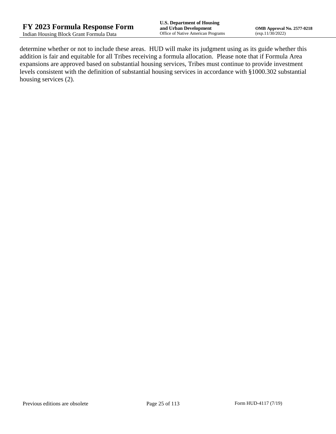determine whether or not to include these areas. HUD will make its judgment using as its guide whether this addition is fair and equitable for all Tribes receiving a formula allocation. Please note that if Formula Area expansions are approved based on substantial housing services, Tribes must continue to provide investment levels consistent with the definition of substantial housing services in accordance with §1000.302 substantial housing services (2).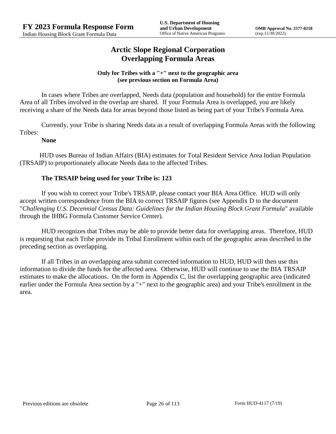# **Arctic Slope Regional Corporation Overlapping Formula Areas**

## **Only for Tribes with a "+" next to the geographic area (see previous section on Formula Area)**

In cases where Tribes are overlapped, Needs data (population and household) for the entire Formula Area of all Tribes involved in the overlap are shared. If your Formula Area is overlapped, you are likely receiving a share of the Needs data for areas beyond those listed as being part of your Tribe's Formula Area.

Currently, your Tribe is sharing Needs data as a result of overlapping Formula Areas with the following Tribes:

## **None**

HUD uses Bureau of Indian Affairs (BIA) estimates for Total Resident Service Area Indian Population (TRSAIP) to proportionately allocate Needs data to the affected Tribes.

## **The TRSAIP being used for your Tribe is: 123**

If you wish to correct your Tribe's TRSAIP, please contact your BIA Area Office. HUD will only accept written correspondence from the BIA to correct TRSAIP figures (see Appendix D to the document "*Challenging U.S. Decennial Census Data: Guidelines for the Indian Housing Block Grant Formula*" available through the IHBG Formula Customer Service Center).

HUD recognizes that Tribes may be able to provide better data for overlapping areas. Therefore, HUD is requesting that each Tribe provide its Tribal Enrollment within each of the geographic areas described in the preceding section as overlapping.

If all Tribes in an overlapping area submit corrected information to HUD, HUD will then use this information to divide the funds for the affected area. Otherwise, HUD will continue to use the BIA TRSAIP estimates to make the allocations. On the form in Appendix C, list the overlapping geographic area (indicated earlier under the Formula Area section by a "+" next to the geographic area) and your Tribe's enrollment in the area.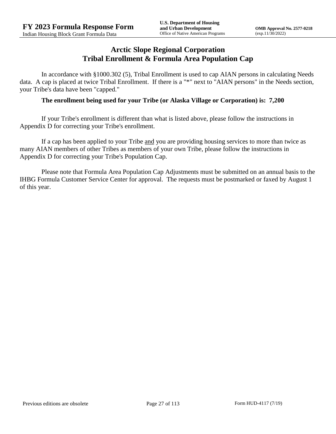## **Arctic Slope Regional Corporation Tribal Enrollment & Formula Area Population Cap**

In accordance with §1000.302 (5), Tribal Enrollment is used to cap AIAN persons in calculating Needs data. A cap is placed at twice Tribal Enrollment. If there is a "\*" next to "AIAN persons" in the Needs section, your Tribe's data have been "capped."

## **The enrollment being used for your Tribe (or Alaska Village or Corporation) is: 7,200**

If your Tribe's enrollment is different than what is listed above, please follow the instructions in Appendix D for correcting your Tribe's enrollment.

If a cap has been applied to your Tribe and you are providing housing services to more than twice as many AIAN members of other Tribes as members of your own Tribe, please follow the instructions in Appendix D for correcting your Tribe's Population Cap.

Please note that Formula Area Population Cap Adjustments must be submitted on an annual basis to the IHBG Formula Customer Service Center for approval. The requests must be postmarked or faxed by August 1 of this year.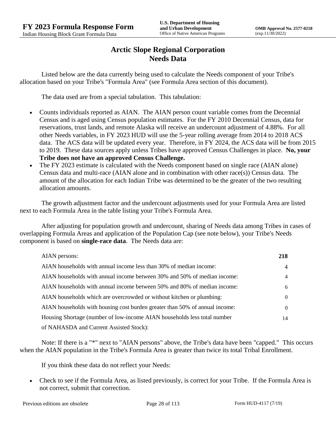# **Arctic Slope Regional Corporation Needs Data**

Listed below are the data currently being used to calculate the Needs component of your Tribe's allocation based on your Tribe's "Formula Area" (see Formula Area section of this document).

The data used are from a special tabulation. This tabulation:

- Counts individuals reported as AIAN. The AIAN person count variable comes from the Decennial Census and is aged using Census population estimates. For the FY 2010 Decennial Census, data for reservations, trust lands, and remote Alaska will receive an undercount adjustment of 4.88%. For all other Needs variables, in FY 2023 HUD will use the 5-year rolling average from 2014 to 2018 ACS data. The ACS data will be updated every year. Therefore, in FY 2024, the ACS data will be from 2015 to 2019. These data sources apply unless Tribes have approved Census Challenges in place. **No, your Tribe does not have an approved Census Challenge.**
- The FY 2023 estimate is calculated with the Needs component based on single race (AIAN alone) Census data and multi-race (AIAN alone and in combination with other race(s)) Census data. The amount of the allocation for each Indian Tribe was determined to be the greater of the two resulting allocation amounts.

The growth adjustment factor and the undercount adjustments used for your Formula Area are listed next to each Formula Area in the table listing your Tribe's Formula Area.

After adjusting for population growth and undercount, sharing of Needs data among Tribes in cases of overlapping Formula Areas and application of the Population Cap (see note below), your Tribe's Needs component is based on **single-race data**. The Needs data are:

| AIAN persons:                                                               | 218            |
|-----------------------------------------------------------------------------|----------------|
| AIAN households with annual income less than 30% of median income:          | $\overline{4}$ |
| AIAN households with annual income between 30% and 50% of median income:    | 4              |
| AIAN households with annual income between 50% and 80% of median income:    | 6              |
| AIAN households which are overcrowded or without kitchen or plumbing:       | $\left($       |
| AIAN households with housing cost burden greater than 50% of annual income: | $\left($       |
| Housing Shortage (number of low-income AIAN households less total number    | 14             |
| of NAHASDA and Current Assisted Stock):                                     |                |

Note: If there is a "\*" next to "AIAN persons" above, the Tribe's data have been "capped." This occurs when the AIAN population in the Tribe's Formula Area is greater than twice its total Tribal Enrollment.

If you think these data do not reflect your Needs:

 Check to see if the Formula Area, as listed previously, is correct for your Tribe. If the Formula Area is not correct, submit that correction.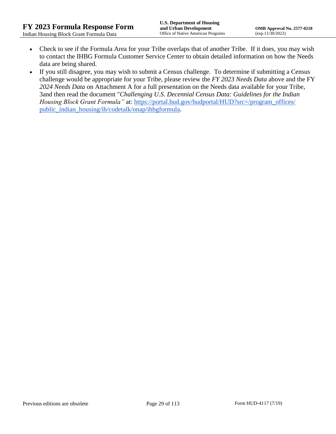- Check to see if the Formula Area for your Tribe overlaps that of another Tribe. If it does, you may wish to contact the IHBG Formula Customer Service Center to obtain detailed information on how the Needs data are being shared.
- If you still disagree, you may wish to submit a Census challenge. To determine if submitting a Census challenge would be appropriate for your Tribe, please review the *FY 2023 Needs Data* above and the FY *2024 Needs Data* on Attachment A for a full presentation on the Needs data available for your Tribe, 3and then read the document "*Challenging U.S. Decennial Census Data: Guidelines for the Indian Housing Block Grant Formula*" at: https://portal.hud.gov/hudportal/HUD?src=/program\_offices/ [public\\_indian\\_housing/ih/codetalk/onap/ihbgformula.](https://portal.hud.gov/hudportal/HUD?src=/program_offices/public_indian_housing/ih/codetalk/onap/ihbgformula)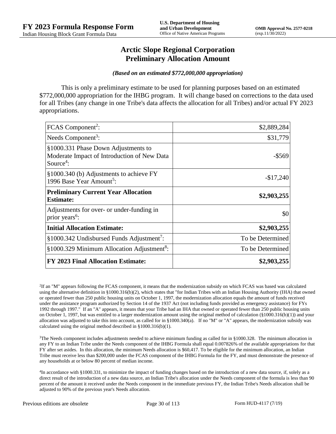## **Arctic Slope Regional Corporation Preliminary Allocation Amount**

#### *(Based on an estimated \$772,000,000 appropriation)*

This is only a preliminary estimate to be used for planning purposes based on an estimated \$772,000,000 appropriation for the IHBG program. It will change based on corrections to the data used for all Tribes (any change in one Tribe's data affects the allocation for all Tribes) and/or actual FY 2023 appropriations.

| FCAS Component <sup>2</sup> :                                                                               | \$2,889,284      |
|-------------------------------------------------------------------------------------------------------------|------------------|
| Needs Component <sup>3</sup> :                                                                              | \$31,779         |
| §1000.331 Phase Down Adjustments to<br>Moderate Impact of Introduction of New Data<br>Source <sup>4</sup> : | -\$569           |
| §1000.340 (b) Adjustments to achieve FY<br>1996 Base Year Amount <sup>5</sup> :                             | $-$17,240$       |
| <b>Preliminary Current Year Allocation</b><br><b>Estimate:</b>                                              | \$2,903,255      |
| Adjustments for over- or under-funding in<br>prior years <sup>6</sup> :                                     | \$0              |
| <b>Initial Allocation Estimate:</b>                                                                         | \$2,903,255      |
| §1000.342 Undisbursed Funds Adjustment <sup>7</sup> :                                                       | To be Determined |
| §1000.329 Minimum Allocation Adjustment <sup>8</sup> :                                                      | To be Determined |
| <b>FY 2023 Final Allocation Estimate:</b>                                                                   | \$2,903,255      |

2 If an "M" appears following the FCAS component, it means that the modernization subsidy on which FCAS was based was calculated using the alternative definition in §1000.316(b)(2), which states that "for Indian Tribes with an Indian Housing Authority (IHA) that owned or operated fewer than 250 public housing units on October 1, 1997, the modernization allocation equals the amount of funds received under the assistance program authorized by Section 14 of the 1937 Act (not including funds provided as emergency assistance) for FYs 1992 through 1997." If an "A" appears, it means that your Tribe had an IHA that owned or operated fewer than 250 public housing units on October 1, 1997, but was entitled to a larger modernization amount using the original method of calculation (§1000.316(b)(1)) and your allocation was adjusted to take this into account, as called for in  $\S1000.340(a)$ . If no "M" or "A" appears, the modernization subsidy was calculated using the original method described in §1000.316(b)(1).

 $3$ The Needs component includes adjustments needed to achieve minimum funding as called for in §1000.328. The minimum allocation in any FY to an Indian Tribe under the Needs component of the IHBG Formula shall equal 0.007826% of the available appropriations for that FY after set asides. In this allocation, the minimum Needs allocation is \$60,417. To be eligible for the minimum allocation, an Indian Tribe must receive less than \$200,000 under the FCAS component of the IHBG Formula for the FY, and must demonstrate the presence of any households at or below 80 percent of median income.

4 In accordance with §1000.331, to minimize the impact of funding changes based on the introduction of a new data source, if, solely as a direct result of the introduction of a new data source, an Indian Tribe's allocation under the Needs component of the formula is less than 90 percent of the amount it received under the Needs component in the immediate previous FY, the Indian Tribe's Needs allocation shall be adjusted to 90% of the previous year's Needs allocation.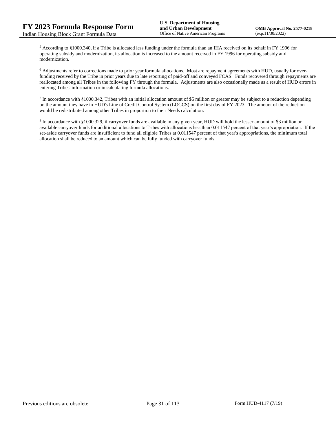<sup>5</sup> According to §1000.340, if a Tribe is allocated less funding under the formula than an IHA received on its behalf in FY 1996 for operating subsidy and modernization, its allocation is increased to the amount received in FY 1996 for operating subsidy and modernization.

<sup>6</sup> Adjustments refer to corrections made to prior year formula allocations. Most are repayment agreements with HUD, usually for overfunding received by the Tribe in prior years due to late reporting of paid-off and conveyed FCAS. Funds recovered through repayments are reallocated among all Tribes in the following FY through the formula. Adjustments are also occasionally made as a result of HUD errors in entering Tribes' information or in calculating formula allocations.

 $^7$  In accordance with §1000.342, Tribes with an initial allocation amount of \$5 million or greater may be subject to a reduction depending on the amount they have in HUD's Line of Credit Control System (LOCCS) on the first day of FY 2023. The amount of the reduction would be redistributed among other Tribes in proportion to their Needs calculation.

<sup>8</sup> In accordance with §1000.329, if carryover funds are available in any given year, HUD will hold the lesser amount of \$3 million or available carryover funds for additional allocations to Tribes with allocations less than 0.011547 percent of that year's appropriation. If the set-aside carryover funds are insufficient to fund all eligible Tribes at 0.011547 percent of that year's appropriations, the minimum total allocation shall be reduced to an amount which can be fully funded with carryover funds.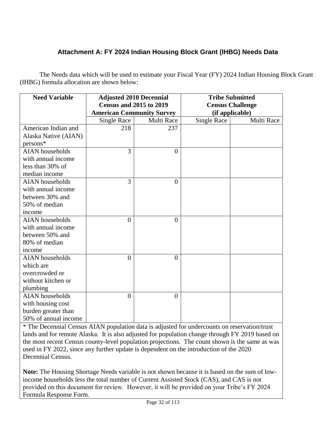# **Attachment A: FY 2024 Indian Housing Block Grant (IHBG) Needs Data**

The Needs data which will be used to estimate your Fiscal Year (FY) 2024 Indian Housing Block Grant (IHBG) formula allocation are shown below:

| <b>Need Variable</b>   | <b>Adjusted 2010 Decennial</b>   |                | <b>Tribe Submitted</b>  |            |
|------------------------|----------------------------------|----------------|-------------------------|------------|
|                        | <b>Census and 2015 to 2019</b>   |                | <b>Census Challenge</b> |            |
|                        | <b>American Community Survey</b> |                | (if applicable)         |            |
|                        | <b>Single Race</b>               | Multi Race     | Single Race             | Multi Race |
| American Indian and    | 218                              | 237            |                         |            |
| Alaska Native (AIAN)   |                                  |                |                         |            |
| persons*               |                                  |                |                         |            |
| <b>AIAN</b> households | 3                                | $\overline{0}$ |                         |            |
| with annual income     |                                  |                |                         |            |
| less than 30% of       |                                  |                |                         |            |
| median income          |                                  |                |                         |            |
| <b>AIAN</b> households | 3                                | $\overline{0}$ |                         |            |
| with annual income     |                                  |                |                         |            |
| between 30% and        |                                  |                |                         |            |
| 50% of median          |                                  |                |                         |            |
| income                 |                                  |                |                         |            |
| <b>AIAN</b> households | $\overline{0}$                   | $\theta$       |                         |            |
| with annual income     |                                  |                |                         |            |
| between 50% and        |                                  |                |                         |            |
| 80% of median          |                                  |                |                         |            |
| income                 |                                  |                |                         |            |
| <b>AIAN</b> households | $\theta$                         | $\Omega$       |                         |            |
| which are              |                                  |                |                         |            |
| overcrowded or         |                                  |                |                         |            |
| without kitchen or     |                                  |                |                         |            |
| plumbing               |                                  |                |                         |            |
| <b>AIAN</b> households | $\theta$                         | $\theta$       |                         |            |
| with housing cost      |                                  |                |                         |            |
| burden greater than    |                                  |                |                         |            |
| 50% of annual income   |                                  |                |                         |            |

\* The Decennial Census AIAN population data is adjusted for undercounts on reservation/trust lands and for remote Alaska. It is also adjusted for population change through FY 2019 based on the most recent Census county-level population projections. The count shown is the same as was used in FY 2022, since any further update is dependent on the introduction of the 2020 Decennial Census.

**Note:** The Housing Shortage Needs variable is not shown because it is based on the sum of lowincome households less the total number of Current Assisted Stock (CAS), and CAS is not provided on this document for review. However, it will be provided on your Tribe's FY 2024 Formula Response Form.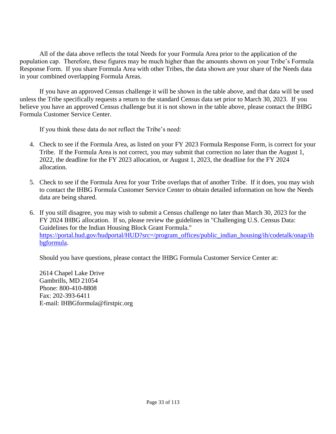All of the data above reflects the total Needs for your Formula Area prior to the application of the population cap. Therefore, these figures may be much higher than the amounts shown on your Tribe's Formula Response Form. If you share Formula Area with other Tribes, the data shown are your share of the Needs data in your combined overlapping Formula Areas.

If you have an approved Census challenge it will be shown in the table above, and that data will be used unless the Tribe specifically requests a return to the standard Census data set prior to March 30, 2023. If you believe you have an approved Census challenge but it is not shown in the table above, please contact the IHBG Formula Customer Service Center.

If you think these data do not reflect the Tribe's need:

- 4. Check to see if the Formula Area, as listed on your FY 2023 Formula Response Form, is correct for your Tribe. If the Formula Area is not correct, you may submit that correction no later than the August 1, 2022, the deadline for the FY 2023 allocation, or August 1, 2023, the deadline for the FY 2024 allocation.
- 5. Check to see if the Formula Area for your Tribe overlaps that of another Tribe. If it does, you may wish to contact the IHBG Formula Customer Service Center to obtain detailed information on how the Needs data are being shared.
- 6. If you still disagree, you may wish to submit a Census challenge no later than March 30, 2023 for the FY 2024 IHBG allocation. If so, please review the guidelines in "Challenging U.S. Census Data: Guidelines for the Indian Housing Block Grant Formula." [https://portal.hud.gov/hudportal/HUD?src=/program\\_offices/public\\_indian\\_housing/ih/codetalk/onap/ih](https://portal.hud.gov/hudportal/HUD?src=/program_offices/public_indian_housing/ih/codetalk/onap/ihbgformula) [bgformula.](https://portal.hud.gov/hudportal/HUD?src=/program_offices/public_indian_housing/ih/codetalk/onap/ihbgformula)

Should you have questions, please contact the IHBG Formula Customer Service Center at:

2614 Chapel Lake Drive Gambrills, MD 21054 Phone: 800-410-8808 Fax: 202-393-6411 E-mail: IHBGformula@firstpic.org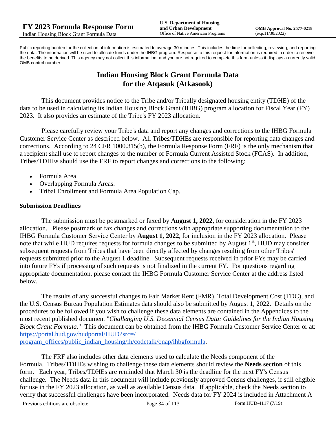Public reporting burden for the collection of information is estimated to average 30 minutes. This includes the time for collecting, reviewing, and reporting the data. The information will be used to allocate funds under the IHBG program. Response to this request for information is required in order to receive the benefits to be derived. This agency may not collect this information, and you are not required to complete this form unless it displays a currently valid OMB control number.

# **Indian Housing Block Grant Formula Data for the Atqasuk (Atkasook)**

This document provides notice to the Tribe and/or Tribally designated housing entity (TDHE) of the data to be used in calculating its Indian Housing Block Grant (IHBG) program allocation for Fiscal Year (FY) 2023. It also provides an estimate of the Tribe's FY 2023 allocation.

Please carefully review your Tribe's data and report any changes and corrections to the IHBG Formula Customer Service Center as described below. All Tribes/TDHEs are responsible for reporting data changes and corrections. According to 24 CFR 1000.315(b), the Formula Response Form (FRF) is the only mechanism that a recipient shall use to report changes to the number of Formula Current Assisted Stock (FCAS). In addition, Tribes/TDHEs should use the FRF to report changes and corrections to the following:

- Formula Area.
- Overlapping Formula Areas.
- Tribal Enrollment and Formula Area Population Cap.

#### **Submission Deadlines**

The submission must be postmarked or faxed by **August 1, 2022**, for consideration in the FY 2023 allocation. Please postmark or fax changes and corrections with appropriate supporting documentation to the IHBG Formula Customer Service Center by **August 1, 2022**, for inclusion in the FY 2023 allocation. Please note that while HUD requires requests for formula changes to be submitted by August 1<sup>st</sup>, HUD may consider subsequent requests from Tribes that have been directly affected by changes resulting from other Tribes' requests submitted prior to the August 1 deadline. Subsequent requests received in prior FYs may be carried into future FYs if processing of such requests is not finalized in the current FY. For questions regarding appropriate documentation, please contact the IHBG Formula Customer Service Center at the address listed below.

The results of any successful changes to Fair Market Rent (FMR), Total Development Cost (TDC), and the U.S. Census Bureau Population Estimates data should also be submitted by August 1, 2022. Details on the procedures to be followed if you wish to challenge these data elements are contained in the Appendices to the most recent published document "*Challenging U.S. Decennial Census Data: Guidelines for the Indian Housing Block Grant Formula.*" This document can be obtained from the IHBG Formula Customer Service Center or at: [https://portal.hud.gov/hudportal/HUD?src=/](https://portal.hud.gov/hudportal/HUD?src=/program_offices/public_indian_housing/ih/codetalk/onap/ihbgformula) 

[program\\_offices/public\\_indian\\_housing/ih/codetalk/onap/ihbgformula.](https://portal.hud.gov/hudportal/HUD?src=/program_offices/public_indian_housing/ih/codetalk/onap/ihbgformula)

The FRF also includes other data elements used to calculate the Needs component of the Formula. Tribes/TDHEs wishing to challenge these data elements should review the **Needs section** of this form. Each year, Tribes/TDHEs are reminded that March 30 is the deadline for the next FY's Census challenge. The Needs data in this document will include previously approved Census challenges, if still eligible for use in the FY 2023 allocation, as well as available Census data. If applicable, check the Needs section to verify that successful challenges have been incorporated. Needs data for FY 2024 is included in Attachment A

Previous editions are obsolete Page 34 of 113 Form HUD-4117 (7/19)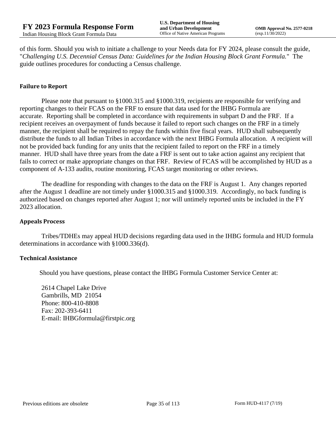of this form. Should you wish to initiate a challenge to your Needs data for FY 2024, please consult the guide, "*Challenging U.S. Decennial Census Data: Guidelines for the Indian Housing Block Grant Formula.*" The guide outlines procedures for conducting a Census challenge.

## **Failure to Report**

Please note that pursuant to §1000.315 and §1000.319, recipients are responsible for verifying and reporting changes to their FCAS on the FRF to ensure that data used for the IHBG Formula are accurate. Reporting shall be completed in accordance with requirements in subpart D and the FRF. If a recipient receives an overpayment of funds because it failed to report such changes on the FRF in a timely manner, the recipient shall be required to repay the funds within five fiscal years. HUD shall subsequently distribute the funds to all Indian Tribes in accordance with the next IHBG Formula allocation. A recipient will not be provided back funding for any units that the recipient failed to report on the FRF in a timely manner. HUD shall have three years from the date a FRF is sent out to take action against any recipient that fails to correct or make appropriate changes on that FRF. Review of FCAS will be accomplished by HUD as a component of A-133 audits, routine monitoring, FCAS target monitoring or other reviews.

The deadline for responding with changes to the data on the FRF is August 1. Any changes reported after the August 1 deadline are not timely under §1000.315 and §1000.319. Accordingly, no back funding is authorized based on changes reported after August 1; nor will untimely reported units be included in the FY 2023 allocation.

#### **Appeals Process**

Tribes/TDHEs may appeal HUD decisions regarding data used in the IHBG formula and HUD formula determinations in accordance with §1000.336(d).

#### **Technical Assistance**

Should you have questions, please contact the IHBG Formula Customer Service Center at:

2614 Chapel Lake Drive Gambrills, MD 21054 Phone: 800-410-8808 Fax: 202-393-6411 E-mail: IHBGformula@firstpic.org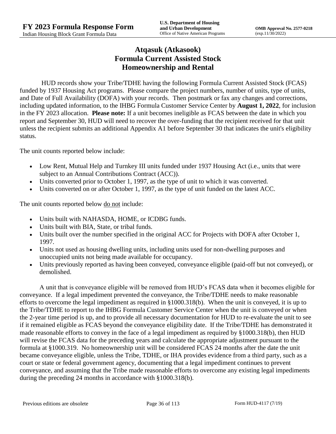## **Atqasuk (Atkasook) Formula Current Assisted Stock Homeownership and Rental**

HUD records show your Tribe/TDHE having the following Formula Current Assisted Stock (FCAS) funded by 1937 Housing Act programs. Please compare the project numbers, number of units, type of units, and Date of Full Availability (DOFA) with your records. Then postmark or fax any changes and corrections, including updated information, to the IHBG Formula Customer Service Center by **August 1, 2022**, for inclusion in the FY 2023 allocation. **Please note:** If a unit becomes ineligible as FCAS between the date in which you report and September 30, HUD will need to recover the over-funding that the recipient received for that unit unless the recipient submits an additional Appendix A1 before September 30 that indicates the unit's eligibility status.

The unit counts reported below include:

- Low Rent, Mutual Help and Turnkey III units funded under 1937 Housing Act (i.e., units that were subject to an Annual Contributions Contract (ACC)).
- Units converted prior to October 1, 1997, as the type of unit to which it was converted.
- Units converted on or after October 1, 1997, as the type of unit funded on the latest ACC.

The unit counts reported below <u>do not</u> include:

- Units built with NAHASDA, HOME, or ICDBG funds.
- Units built with BIA, State, or tribal funds.
- Units built over the number specified in the original ACC for Projects with DOFA after October 1, 1997.
- Units not used as housing dwelling units, including units used for non-dwelling purposes and unoccupied units not being made available for occupancy.
- Units previously reported as having been conveyed, conveyance eligible (paid-off but not conveyed), or demolished.

A unit that is conveyance eligible will be removed from HUD's FCAS data when it becomes eligible for conveyance. If a legal impediment prevented the conveyance, the Tribe/TDHE needs to make reasonable efforts to overcome the legal impediment as required in §1000.318(b). When the unit is conveyed, it is up to the Tribe/TDHE to report to the IHBG Formula Customer Service Center when the unit is conveyed or when the 2-year time period is up, and to provide all necessary documentation for HUD to re-evaluate the unit to see if it remained eligible as FCAS beyond the conveyance eligibility date. If the Tribe/TDHE has demonstrated it made reasonable efforts to convey in the face of a legal impediment as required by §1000.318(b), then HUD will revise the FCAS data for the preceding years and calculate the appropriate adjustment pursuant to the formula at §1000.319. No homeownership unit will be considered FCAS 24 months after the date the unit became conveyance eligible, unless the Tribe, TDHE, or IHA provides evidence from a third party, such as a court or state or federal government agency, documenting that a legal impediment continues to prevent conveyance, and assuming that the Tribe made reasonable efforts to overcome any existing legal impediments during the preceding 24 months in accordance with §1000.318(b).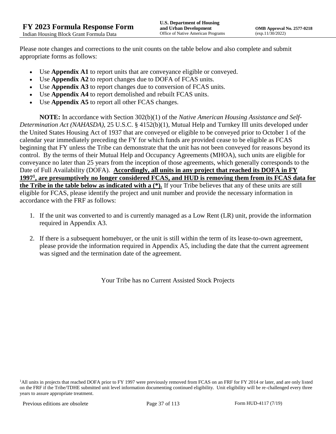Please note changes and corrections to the unit counts on the table below and also complete and submit appropriate forms as follows:

- Use **Appendix A1** to report units that are conveyance eligible or conveyed.
- Use **Appendix A2** to report changes due to DOFA of FCAS units.
- Use **Appendix A3** to report changes due to conversion of FCAS units.
- Use **Appendix A4** to report demolished and rebuilt FCAS units.
- Use **Appendix A5** to report all other FCAS changes.

**NOTE:** In accordance with Section 302(b)(1) of the *Native American Housing Assistance and Self-Determination Act (NAHASDA)*, 25 U.S.C. § 4152(b)(1), Mutual Help and Turnkey III units developed under the United States Housing Act of 1937 that are conveyed or eligible to be conveyed prior to October 1 of the calendar year immediately preceding the FY for which funds are provided cease to be eligible as FCAS beginning that FY unless the Tribe can demonstrate that the unit has not been conveyed for reasons beyond its control. By the terms of their Mutual Help and Occupancy Agreements (MHOA), such units are eligible for conveyance no later than 25 years from the inception of those agreements, which generally corresponds to the Date of Full Availability (DOFA). **Accordingly, all units in any project that reached its DOFA in FY 1997<sup>1</sup> , are presumptively no longer considered FCAS, and HUD is removing them from its FCAS data for the Tribe in the table below as indicated with a (\*).** If your Tribe believes that any of these units are still eligible for FCAS, please identify the project and unit number and provide the necessary information in accordance with the FRF as follows:

- 1. If the unit was converted to and is currently managed as a Low Rent (LR) unit, provide the information required in Appendix A3.
- 2. If there is a subsequent homebuyer, or the unit is still within the term of its lease-to-own agreement, please provide the information required in Appendix A5, including the date that the current agreement was signed and the termination date of the agreement.

Your Tribe has no Current Assisted Stock Projects

<sup>1</sup>All units in projects that reached DOFA prior to FY 1997 were previously removed from FCAS on an FRF for FY 2014 or later, and are only listed on the FRF if the Tribe/TDHE submitted unit level information documenting continued eligibility. Unit eligibility will be re-challenged every three years to assure appropriate treatment.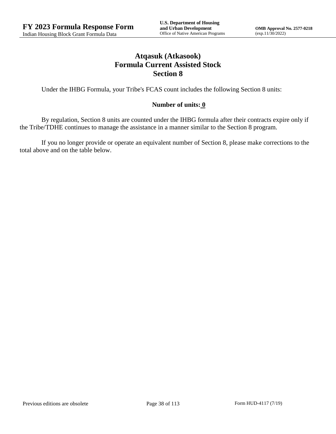# **Atqasuk (Atkasook) Formula Current Assisted Stock Section 8**

Under the IHBG Formula, your Tribe's FCAS count includes the following Section 8 units:

### **Number of units: 0**

By regulation, Section 8 units are counted under the IHBG formula after their contracts expire only if the Tribe/TDHE continues to manage the assistance in a manner similar to the Section 8 program.

If you no longer provide or operate an equivalent number of Section 8, please make corrections to the total above and on the table below.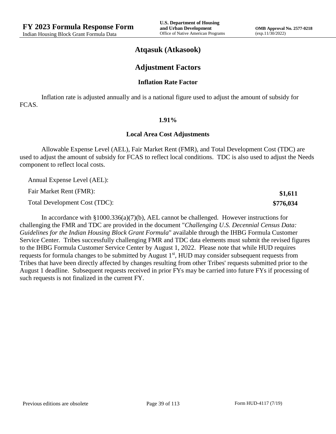**\$1,611 \$776,034**

### **Atqasuk (Atkasook)**

### **Adjustment Factors**

#### **Inflation Rate Factor**

Inflation rate is adjusted annually and is a national figure used to adjust the amount of subsidy for FCAS.

#### **1.91%**

#### **Local Area Cost Adjustments**

Allowable Expense Level (AEL), Fair Market Rent (FMR), and Total Development Cost (TDC) are used to adjust the amount of subsidy for FCAS to reflect local conditions. TDC is also used to adjust the Needs component to reflect local costs.

Annual Expense Level (AEL):

Fair Market Rent (FMR):

Total Development Cost (TDC):

In accordance with §1000.336(a)(7)(b), AEL cannot be challenged. However instructions for challenging the FMR and TDC are provided in the document "*Challenging U.S. Decennial Census Data: Guidelines for the Indian Housing Block Grant Formula*" available through the IHBG Formula Customer Service Center. Tribes successfully challenging FMR and TDC data elements must submit the revised figures to the IHBG Formula Customer Service Center by August 1, 2022. Please note that while HUD requires requests for formula changes to be submitted by August 1<sup>st</sup>, HUD may consider subsequent requests from Tribes that have been directly affected by changes resulting from other Tribes' requests submitted prior to the August 1 deadline. Subsequent requests received in prior FYs may be carried into future FYs if processing of such requests is not finalized in the current FY.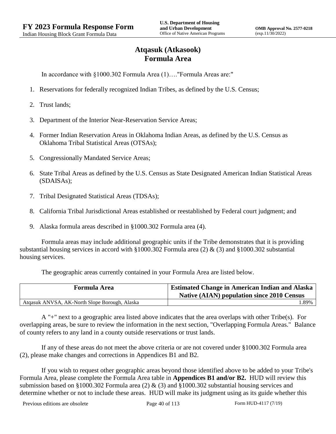# **Atqasuk (Atkasook) Formula Area**

In accordance with §1000.302 Formula Area (1)…."Formula Areas are:"

- 1. Reservations for federally recognized Indian Tribes, as defined by the U.S. Census;
- 2. Trust lands;
- 3. Department of the Interior Near-Reservation Service Areas;
- 4. Former Indian Reservation Areas in Oklahoma Indian Areas, as defined by the U.S. Census as Oklahoma Tribal Statistical Areas (OTSAs);
- 5. Congressionally Mandated Service Areas;
- 6. State Tribal Areas as defined by the U.S. Census as State Designated American Indian Statistical Areas (SDAISAs);
- 7. Tribal Designated Statistical Areas (TDSAs);
- 8. California Tribal Jurisdictional Areas established or reestablished by Federal court judgment; and
- 9. Alaska formula areas described in §1000.302 Formula area (4).

Formula areas may include additional geographic units if the Tribe demonstrates that it is providing substantial housing services in accord with §1000.302 Formula area (2) & (3) and §1000.302 substantial housing services.

The geographic areas currently contained in your Formula Area are listed below.

| <b>Formula Area</b>                           | <b>Estimated Change in American Indian and Alaska</b><br><b>Native (AIAN) population since 2010 Census</b> |
|-----------------------------------------------|------------------------------------------------------------------------------------------------------------|
| Atqasuk ANVSA, AK-North Slope Borough, Alaska | .89%                                                                                                       |

A "+" next to a geographic area listed above indicates that the area overlaps with other Tribe(s). For overlapping areas, be sure to review the information in the next section, "Overlapping Formula Areas." Balance of county refers to any land in a county outside reservations or trust lands.

If any of these areas do not meet the above criteria or are not covered under §1000.302 Formula area (2), please make changes and corrections in Appendices B1 and B2.

If you wish to request other geographic areas beyond those identified above to be added to your Tribe's Formula Area, please complete the Formula Area table in **Appendices B1 and/or B2.** HUD will review this submission based on §1000.302 Formula area (2) & (3) and §1000.302 substantial housing services and determine whether or not to include these areas. HUD will make its judgment using as its guide whether this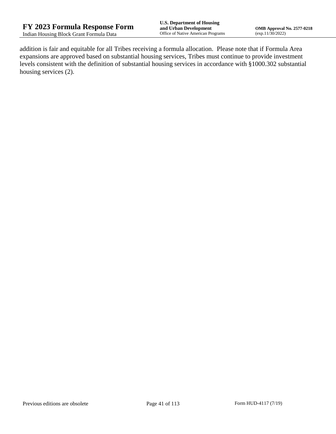addition is fair and equitable for all Tribes receiving a formula allocation. Please note that if Formula Area expansions are approved based on substantial housing services, Tribes must continue to provide investment levels consistent with the definition of substantial housing services in accordance with §1000.302 substantial housing services (2).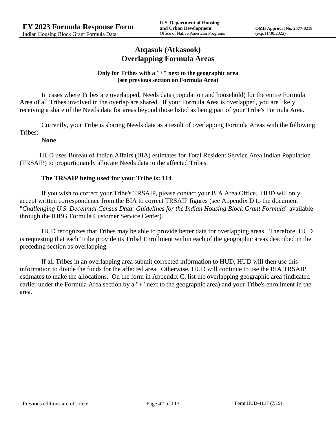## **Atqasuk (Atkasook) Overlapping Formula Areas**

#### **Only for Tribes with a "+" next to the geographic area (see previous section on Formula Area)**

In cases where Tribes are overlapped, Needs data (population and household) for the entire Formula Area of all Tribes involved in the overlap are shared. If your Formula Area is overlapped, you are likely receiving a share of the Needs data for areas beyond those listed as being part of your Tribe's Formula Area.

Currently, your Tribe is sharing Needs data as a result of overlapping Formula Areas with the following Tribes:

### **None**

HUD uses Bureau of Indian Affairs (BIA) estimates for Total Resident Service Area Indian Population (TRSAIP) to proportionately allocate Needs data to the affected Tribes.

### **The TRSAIP being used for your Tribe is: 114**

If you wish to correct your Tribe's TRSAIP, please contact your BIA Area Office. HUD will only accept written correspondence from the BIA to correct TRSAIP figures (see Appendix D to the document "*Challenging U.S. Decennial Census Data: Guidelines for the Indian Housing Block Grant Formula*" available through the IHBG Formula Customer Service Center).

HUD recognizes that Tribes may be able to provide better data for overlapping areas. Therefore, HUD is requesting that each Tribe provide its Tribal Enrollment within each of the geographic areas described in the preceding section as overlapping.

If all Tribes in an overlapping area submit corrected information to HUD, HUD will then use this information to divide the funds for the affected area. Otherwise, HUD will continue to use the BIA TRSAIP estimates to make the allocations. On the form in Appendix C, list the overlapping geographic area (indicated earlier under the Formula Area section by a "+" next to the geographic area) and your Tribe's enrollment in the area.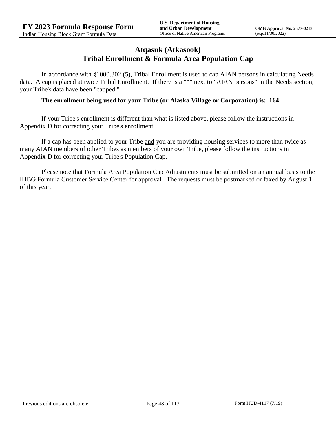## **Atqasuk (Atkasook) Tribal Enrollment & Formula Area Population Cap**

In accordance with §1000.302 (5), Tribal Enrollment is used to cap AIAN persons in calculating Needs data. A cap is placed at twice Tribal Enrollment. If there is a "\*" next to "AIAN persons" in the Needs section, your Tribe's data have been "capped."

#### **The enrollment being used for your Tribe (or Alaska Village or Corporation) is: 164**

If your Tribe's enrollment is different than what is listed above, please follow the instructions in Appendix D for correcting your Tribe's enrollment.

If a cap has been applied to your Tribe and you are providing housing services to more than twice as many AIAN members of other Tribes as members of your own Tribe, please follow the instructions in Appendix D for correcting your Tribe's Population Cap.

Please note that Formula Area Population Cap Adjustments must be submitted on an annual basis to the IHBG Formula Customer Service Center for approval. The requests must be postmarked or faxed by August 1 of this year.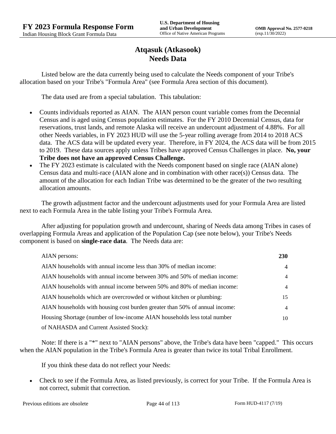## **Atqasuk (Atkasook) Needs Data**

Listed below are the data currently being used to calculate the Needs component of your Tribe's allocation based on your Tribe's "Formula Area" (see Formula Area section of this document).

The data used are from a special tabulation. This tabulation:

- Counts individuals reported as AIAN. The AIAN person count variable comes from the Decennial Census and is aged using Census population estimates. For the FY 2010 Decennial Census, data for reservations, trust lands, and remote Alaska will receive an undercount adjustment of 4.88%. For all other Needs variables, in FY 2023 HUD will use the 5-year rolling average from 2014 to 2018 ACS data. The ACS data will be updated every year. Therefore, in FY 2024, the ACS data will be from 2015 to 2019. These data sources apply unless Tribes have approved Census Challenges in place. **No, your Tribe does not have an approved Census Challenge.**
- The FY 2023 estimate is calculated with the Needs component based on single race (AIAN alone) Census data and multi-race (AIAN alone and in combination with other race(s)) Census data. The amount of the allocation for each Indian Tribe was determined to be the greater of the two resulting allocation amounts.

The growth adjustment factor and the undercount adjustments used for your Formula Area are listed next to each Formula Area in the table listing your Tribe's Formula Area.

After adjusting for population growth and undercount, sharing of Needs data among Tribes in cases of overlapping Formula Areas and application of the Population Cap (see note below), your Tribe's Needs component is based on **single-race data**. The Needs data are:

| AIAN persons:                                                               | <b>230</b>     |
|-----------------------------------------------------------------------------|----------------|
| AIAN households with annual income less than 30% of median income:          | $\overline{4}$ |
| AIAN households with annual income between 30% and 50% of median income:    | 4              |
| AIAN households with annual income between 50% and 80% of median income:    | 4              |
| AIAN households which are overcrowded or without kitchen or plumbing:       | 15             |
| AIAN households with housing cost burden greater than 50% of annual income: | $\overline{4}$ |
| Housing Shortage (number of low-income AIAN households less total number    | 10             |
| of NAHASDA and Current Assisted Stock):                                     |                |

Note: If there is a "\*" next to "AIAN persons" above, the Tribe's data have been "capped." This occurs when the AIAN population in the Tribe's Formula Area is greater than twice its total Tribal Enrollment.

If you think these data do not reflect your Needs:

 Check to see if the Formula Area, as listed previously, is correct for your Tribe. If the Formula Area is not correct, submit that correction.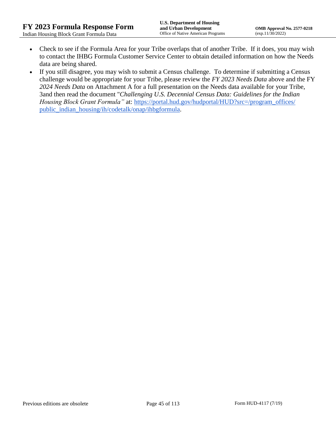- Check to see if the Formula Area for your Tribe overlaps that of another Tribe. If it does, you may wish to contact the IHBG Formula Customer Service Center to obtain detailed information on how the Needs data are being shared.
- If you still disagree, you may wish to submit a Census challenge. To determine if submitting a Census challenge would be appropriate for your Tribe, please review the *FY 2023 Needs Data* above and the FY *2024 Needs Data* on Attachment A for a full presentation on the Needs data available for your Tribe, 3and then read the document "*Challenging U.S. Decennial Census Data: Guidelines for the Indian Housing Block Grant Formula*" at: https://portal.hud.gov/hudportal/HUD?src=/program\_offices/ [public\\_indian\\_housing/ih/codetalk/onap/ihbgformula.](https://portal.hud.gov/hudportal/HUD?src=/program_offices/public_indian_housing/ih/codetalk/onap/ihbgformula)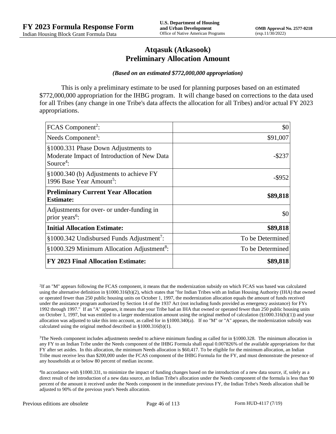## **Atqasuk (Atkasook) Preliminary Allocation Amount**

#### *(Based on an estimated \$772,000,000 appropriation)*

This is only a preliminary estimate to be used for planning purposes based on an estimated \$772,000,000 appropriation for the IHBG program. It will change based on corrections to the data used for all Tribes (any change in one Tribe's data affects the allocation for all Tribes) and/or actual FY 2023 appropriations.

| FCAS Component <sup>2</sup> :                                                                               | \$0              |
|-------------------------------------------------------------------------------------------------------------|------------------|
| Needs Component <sup>3</sup> :                                                                              | \$91,007         |
| §1000.331 Phase Down Adjustments to<br>Moderate Impact of Introduction of New Data<br>Source <sup>4</sup> : | -\$237           |
| §1000.340 (b) Adjustments to achieve FY<br>1996 Base Year Amount <sup>5</sup> :                             | -\$952           |
| <b>Preliminary Current Year Allocation</b><br><b>Estimate:</b>                                              | \$89,818         |
| Adjustments for over- or under-funding in<br>prior years <sup>6</sup> :                                     | \$0              |
| <b>Initial Allocation Estimate:</b>                                                                         | \$89,818         |
| $§1000.342$ Undisbursed Funds Adjustment <sup>7</sup> :                                                     | To be Determined |
| §1000.329 Minimum Allocation Adjustment <sup>8</sup> :                                                      | To be Determined |
| <b>FY 2023 Final Allocation Estimate:</b>                                                                   | \$89,818         |

2 If an "M" appears following the FCAS component, it means that the modernization subsidy on which FCAS was based was calculated using the alternative definition in §1000.316(b)(2), which states that "for Indian Tribes with an Indian Housing Authority (IHA) that owned or operated fewer than 250 public housing units on October 1, 1997, the modernization allocation equals the amount of funds received under the assistance program authorized by Section 14 of the 1937 Act (not including funds provided as emergency assistance) for FYs 1992 through 1997." If an "A" appears, it means that your Tribe had an IHA that owned or operated fewer than 250 public housing units on October 1, 1997, but was entitled to a larger modernization amount using the original method of calculation  $(\frac{81000.316(b)(1)}{2000.316(b)(1)})$  and your allocation was adjusted to take this into account, as called for in  $\S1000.340(a)$ . If no "M" or "A" appears, the modernization subsidy was calculated using the original method described in §1000.316(b)(1).

 $3$ The Needs component includes adjustments needed to achieve minimum funding as called for in §1000.328. The minimum allocation in any FY to an Indian Tribe under the Needs component of the IHBG Formula shall equal 0.007826% of the available appropriations for that FY after set asides. In this allocation, the minimum Needs allocation is \$60,417. To be eligible for the minimum allocation, an Indian Tribe must receive less than \$200,000 under the FCAS component of the IHBG Formula for the FY, and must demonstrate the presence of any households at or below 80 percent of median income.

4 In accordance with §1000.331, to minimize the impact of funding changes based on the introduction of a new data source, if, solely as a direct result of the introduction of a new data source, an Indian Tribe's allocation under the Needs component of the formula is less than 90 percent of the amount it received under the Needs component in the immediate previous FY, the Indian Tribe's Needs allocation shall be adjusted to 90% of the previous year's Needs allocation.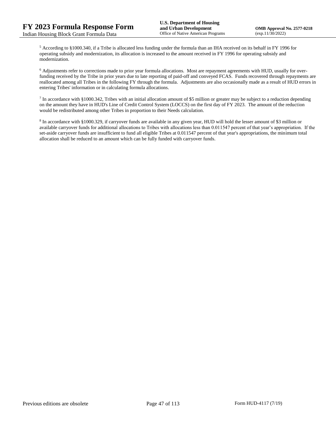<sup>5</sup> According to §1000.340, if a Tribe is allocated less funding under the formula than an IHA received on its behalf in FY 1996 for operating subsidy and modernization, its allocation is increased to the amount received in FY 1996 for operating subsidy and modernization.

<sup>6</sup> Adjustments refer to corrections made to prior year formula allocations. Most are repayment agreements with HUD, usually for overfunding received by the Tribe in prior years due to late reporting of paid-off and conveyed FCAS. Funds recovered through repayments are reallocated among all Tribes in the following FY through the formula. Adjustments are also occasionally made as a result of HUD errors in entering Tribes' information or in calculating formula allocations.

 $^7$  In accordance with §1000.342, Tribes with an initial allocation amount of \$5 million or greater may be subject to a reduction depending on the amount they have in HUD's Line of Credit Control System (LOCCS) on the first day of FY 2023. The amount of the reduction would be redistributed among other Tribes in proportion to their Needs calculation.

<sup>8</sup> In accordance with §1000.329, if carryover funds are available in any given year, HUD will hold the lesser amount of \$3 million or available carryover funds for additional allocations to Tribes with allocations less than 0.011547 percent of that year's appropriation. If the set-aside carryover funds are insufficient to fund all eligible Tribes at 0.011547 percent of that year's appropriations, the minimum total allocation shall be reduced to an amount which can be fully funded with carryover funds.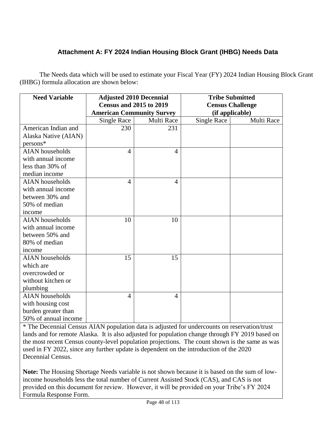# **Attachment A: FY 2024 Indian Housing Block Grant (IHBG) Needs Data**

The Needs data which will be used to estimate your Fiscal Year (FY) 2024 Indian Housing Block Grant (IHBG) formula allocation are shown below:

| <b>Need Variable</b>   | <b>Adjusted 2010 Decennial</b>   |                | <b>Tribe Submitted</b>  |            |
|------------------------|----------------------------------|----------------|-------------------------|------------|
|                        | <b>Census and 2015 to 2019</b>   |                | <b>Census Challenge</b> |            |
|                        | <b>American Community Survey</b> |                | (if applicable)         |            |
|                        | <b>Single Race</b>               | Multi Race     | <b>Single Race</b>      | Multi Race |
| American Indian and    | 230                              | 231            |                         |            |
| Alaska Native (AIAN)   |                                  |                |                         |            |
| $persons*$             |                                  |                |                         |            |
| <b>AIAN</b> households | $\overline{4}$                   | $\overline{4}$ |                         |            |
| with annual income     |                                  |                |                         |            |
| less than 30% of       |                                  |                |                         |            |
| median income          |                                  |                |                         |            |
| <b>AIAN</b> households | 4                                | $\overline{4}$ |                         |            |
| with annual income     |                                  |                |                         |            |
| between 30% and        |                                  |                |                         |            |
| 50% of median          |                                  |                |                         |            |
| income                 |                                  |                |                         |            |
| <b>AIAN</b> households | 10                               | 10             |                         |            |
| with annual income     |                                  |                |                         |            |
| between 50% and        |                                  |                |                         |            |
| 80% of median          |                                  |                |                         |            |
| income                 |                                  |                |                         |            |
| <b>AIAN</b> households | 15                               | 15             |                         |            |
| which are              |                                  |                |                         |            |
| overcrowded or         |                                  |                |                         |            |
| without kitchen or     |                                  |                |                         |            |
| plumbing               |                                  |                |                         |            |
| <b>AIAN</b> households | 4                                | $\overline{4}$ |                         |            |
| with housing cost      |                                  |                |                         |            |
| burden greater than    |                                  |                |                         |            |
| 50% of annual income   |                                  |                |                         |            |

\* The Decennial Census AIAN population data is adjusted for undercounts on reservation/trust lands and for remote Alaska. It is also adjusted for population change through FY 2019 based on the most recent Census county-level population projections. The count shown is the same as was used in FY 2022, since any further update is dependent on the introduction of the 2020 Decennial Census.

**Note:** The Housing Shortage Needs variable is not shown because it is based on the sum of lowincome households less the total number of Current Assisted Stock (CAS), and CAS is not provided on this document for review. However, it will be provided on your Tribe's FY 2024 Formula Response Form.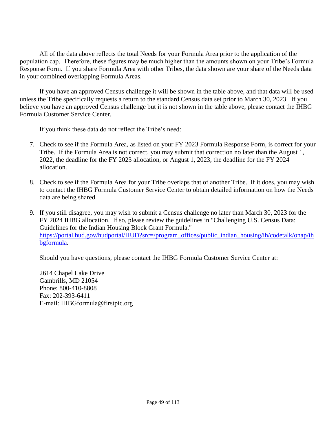All of the data above reflects the total Needs for your Formula Area prior to the application of the population cap. Therefore, these figures may be much higher than the amounts shown on your Tribe's Formula Response Form. If you share Formula Area with other Tribes, the data shown are your share of the Needs data in your combined overlapping Formula Areas.

If you have an approved Census challenge it will be shown in the table above, and that data will be used unless the Tribe specifically requests a return to the standard Census data set prior to March 30, 2023. If you believe you have an approved Census challenge but it is not shown in the table above, please contact the IHBG Formula Customer Service Center.

If you think these data do not reflect the Tribe's need:

- 7. Check to see if the Formula Area, as listed on your FY 2023 Formula Response Form, is correct for your Tribe. If the Formula Area is not correct, you may submit that correction no later than the August 1, 2022, the deadline for the FY 2023 allocation, or August 1, 2023, the deadline for the FY 2024 allocation.
- 8. Check to see if the Formula Area for your Tribe overlaps that of another Tribe. If it does, you may wish to contact the IHBG Formula Customer Service Center to obtain detailed information on how the Needs data are being shared.
- 9. If you still disagree, you may wish to submit a Census challenge no later than March 30, 2023 for the FY 2024 IHBG allocation. If so, please review the guidelines in "Challenging U.S. Census Data: Guidelines for the Indian Housing Block Grant Formula." [https://portal.hud.gov/hudportal/HUD?src=/program\\_offices/public\\_indian\\_housing/ih/codetalk/onap/ih](https://portal.hud.gov/hudportal/HUD?src=/program_offices/public_indian_housing/ih/codetalk/onap/ihbgformula) [bgformula.](https://portal.hud.gov/hudportal/HUD?src=/program_offices/public_indian_housing/ih/codetalk/onap/ihbgformula)

Should you have questions, please contact the IHBG Formula Customer Service Center at:

2614 Chapel Lake Drive Gambrills, MD 21054 Phone: 800-410-8808 Fax: 202-393-6411 E-mail: IHBGformula@firstpic.org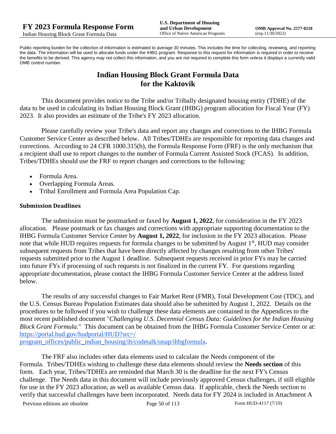Public reporting burden for the collection of information is estimated to average 30 minutes. This includes the time for collecting, reviewing, and reporting the data. The information will be used to allocate funds under the IHBG program. Response to this request for information is required in order to receive the benefits to be derived. This agency may not collect this information, and you are not required to complete this form unless it displays a currently valid OMB control number.

# **Indian Housing Block Grant Formula Data for the Kaktovik**

This document provides notice to the Tribe and/or Tribally designated housing entity (TDHE) of the data to be used in calculating its Indian Housing Block Grant (IHBG) program allocation for Fiscal Year (FY) 2023. It also provides an estimate of the Tribe's FY 2023 allocation.

Please carefully review your Tribe's data and report any changes and corrections to the IHBG Formula Customer Service Center as described below. All Tribes/TDHEs are responsible for reporting data changes and corrections. According to 24 CFR 1000.315(b), the Formula Response Form (FRF) is the only mechanism that a recipient shall use to report changes to the number of Formula Current Assisted Stock (FCAS). In addition, Tribes/TDHEs should use the FRF to report changes and corrections to the following:

- Formula Area.
- Overlapping Formula Areas.
- Tribal Enrollment and Formula Area Population Cap.

#### **Submission Deadlines**

The submission must be postmarked or faxed by **August 1, 2022**, for consideration in the FY 2023 allocation. Please postmark or fax changes and corrections with appropriate supporting documentation to the IHBG Formula Customer Service Center by **August 1, 2022**, for inclusion in the FY 2023 allocation. Please note that while HUD requires requests for formula changes to be submitted by August 1<sup>st</sup>, HUD may consider subsequent requests from Tribes that have been directly affected by changes resulting from other Tribes' requests submitted prior to the August 1 deadline. Subsequent requests received in prior FYs may be carried into future FYs if processing of such requests is not finalized in the current FY. For questions regarding appropriate documentation, please contact the IHBG Formula Customer Service Center at the address listed below.

The results of any successful changes to Fair Market Rent (FMR), Total Development Cost (TDC), and the U.S. Census Bureau Population Estimates data should also be submitted by August 1, 2022. Details on the procedures to be followed if you wish to challenge these data elements are contained in the Appendices to the most recent published document "*Challenging U.S. Decennial Census Data: Guidelines for the Indian Housing Block Grant Formula.*" This document can be obtained from the IHBG Formula Customer Service Center or at: [https://portal.hud.gov/hudportal/HUD?src=/](https://portal.hud.gov/hudportal/HUD?src=/program_offices/public_indian_housing/ih/codetalk/onap/ihbgformula) 

[program\\_offices/public\\_indian\\_housing/ih/codetalk/onap/ihbgformula.](https://portal.hud.gov/hudportal/HUD?src=/program_offices/public_indian_housing/ih/codetalk/onap/ihbgformula)

The FRF also includes other data elements used to calculate the Needs component of the Formula. Tribes/TDHEs wishing to challenge these data elements should review the **Needs section** of this form. Each year, Tribes/TDHEs are reminded that March 30 is the deadline for the next FY's Census challenge. The Needs data in this document will include previously approved Census challenges, if still eligible for use in the FY 2023 allocation, as well as available Census data. If applicable, check the Needs section to verify that successful challenges have been incorporated. Needs data for FY 2024 is included in Attachment A

Previous editions are obsolete Page 50 of 113 Form HUD-4117 (7/19)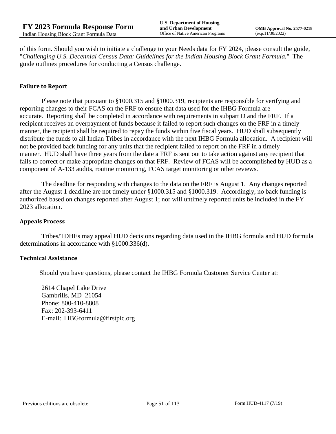of this form. Should you wish to initiate a challenge to your Needs data for FY 2024, please consult the guide, "*Challenging U.S. Decennial Census Data: Guidelines for the Indian Housing Block Grant Formula.*" The guide outlines procedures for conducting a Census challenge.

#### **Failure to Report**

Please note that pursuant to §1000.315 and §1000.319, recipients are responsible for verifying and reporting changes to their FCAS on the FRF to ensure that data used for the IHBG Formula are accurate. Reporting shall be completed in accordance with requirements in subpart D and the FRF. If a recipient receives an overpayment of funds because it failed to report such changes on the FRF in a timely manner, the recipient shall be required to repay the funds within five fiscal years. HUD shall subsequently distribute the funds to all Indian Tribes in accordance with the next IHBG Formula allocation. A recipient will not be provided back funding for any units that the recipient failed to report on the FRF in a timely manner. HUD shall have three years from the date a FRF is sent out to take action against any recipient that fails to correct or make appropriate changes on that FRF. Review of FCAS will be accomplished by HUD as a component of A-133 audits, routine monitoring, FCAS target monitoring or other reviews.

The deadline for responding with changes to the data on the FRF is August 1. Any changes reported after the August 1 deadline are not timely under §1000.315 and §1000.319. Accordingly, no back funding is authorized based on changes reported after August 1; nor will untimely reported units be included in the FY 2023 allocation.

#### **Appeals Process**

Tribes/TDHEs may appeal HUD decisions regarding data used in the IHBG formula and HUD formula determinations in accordance with §1000.336(d).

#### **Technical Assistance**

Should you have questions, please contact the IHBG Formula Customer Service Center at:

2614 Chapel Lake Drive Gambrills, MD 21054 Phone: 800-410-8808 Fax: 202-393-6411 E-mail: IHBGformula@firstpic.org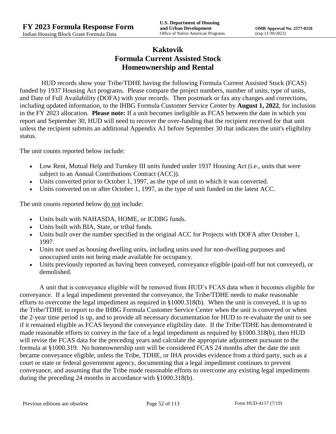# **Kaktovik Formula Current Assisted Stock Homeownership and Rental**

HUD records show your Tribe/TDHE having the following Formula Current Assisted Stock (FCAS) funded by 1937 Housing Act programs. Please compare the project numbers, number of units, type of units, and Date of Full Availability (DOFA) with your records. Then postmark or fax any changes and corrections, including updated information, to the IHBG Formula Customer Service Center by **August 1, 2022**, for inclusion in the FY 2023 allocation. **Please note:** If a unit becomes ineligible as FCAS between the date in which you report and September 30, HUD will need to recover the over-funding that the recipient received for that unit unless the recipient submits an additional Appendix A1 before September 30 that indicates the unit's eligibility status.

The unit counts reported below include:

- Low Rent, Mutual Help and Turnkey III units funded under 1937 Housing Act (i.e., units that were subject to an Annual Contributions Contract (ACC)).
- Units converted prior to October 1, 1997, as the type of unit to which it was converted.
- Units converted on or after October 1, 1997, as the type of unit funded on the latest ACC.

The unit counts reported below <u>do not</u> include:

- Units built with NAHASDA, HOME, or ICDBG funds.
- Units built with BIA, State, or tribal funds.
- Units built over the number specified in the original ACC for Projects with DOFA after October 1, 1997.
- Units not used as housing dwelling units, including units used for non-dwelling purposes and unoccupied units not being made available for occupancy.
- Units previously reported as having been conveyed, conveyance eligible (paid-off but not conveyed), or demolished.

A unit that is conveyance eligible will be removed from HUD's FCAS data when it becomes eligible for conveyance. If a legal impediment prevented the conveyance, the Tribe/TDHE needs to make reasonable efforts to overcome the legal impediment as required in §1000.318(b). When the unit is conveyed, it is up to the Tribe/TDHE to report to the IHBG Formula Customer Service Center when the unit is conveyed or when the 2-year time period is up, and to provide all necessary documentation for HUD to re-evaluate the unit to see if it remained eligible as FCAS beyond the conveyance eligibility date. If the Tribe/TDHE has demonstrated it made reasonable efforts to convey in the face of a legal impediment as required by §1000.318(b), then HUD will revise the FCAS data for the preceding years and calculate the appropriate adjustment pursuant to the formula at §1000.319. No homeownership unit will be considered FCAS 24 months after the date the unit became conveyance eligible, unless the Tribe, TDHE, or IHA provides evidence from a third party, such as a court or state or federal government agency, documenting that a legal impediment continues to prevent conveyance, and assuming that the Tribe made reasonable efforts to overcome any existing legal impediments during the preceding 24 months in accordance with §1000.318(b).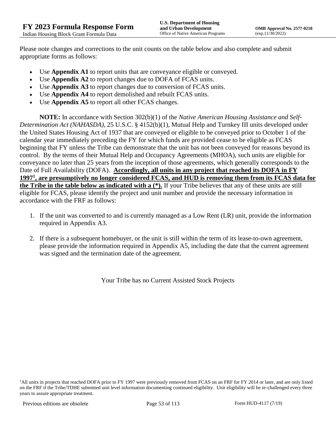Please note changes and corrections to the unit counts on the table below and also complete and submit appropriate forms as follows:

- Use **Appendix A1** to report units that are conveyance eligible or conveyed.
- Use **Appendix A2** to report changes due to DOFA of FCAS units.
- Use **Appendix A3** to report changes due to conversion of FCAS units.
- Use **Appendix A4** to report demolished and rebuilt FCAS units.
- Use **Appendix A5** to report all other FCAS changes.

**NOTE:** In accordance with Section 302(b)(1) of the *Native American Housing Assistance and Self-Determination Act (NAHASDA)*, 25 U.S.C. § 4152(b)(1), Mutual Help and Turnkey III units developed under the United States Housing Act of 1937 that are conveyed or eligible to be conveyed prior to October 1 of the calendar year immediately preceding the FY for which funds are provided cease to be eligible as FCAS beginning that FY unless the Tribe can demonstrate that the unit has not been conveyed for reasons beyond its control. By the terms of their Mutual Help and Occupancy Agreements (MHOA), such units are eligible for conveyance no later than 25 years from the inception of those agreements, which generally corresponds to the Date of Full Availability (DOFA). **Accordingly, all units in any project that reached its DOFA in FY 1997<sup>1</sup> , are presumptively no longer considered FCAS, and HUD is removing them from its FCAS data for the Tribe in the table below as indicated with a (\*).** If your Tribe believes that any of these units are still eligible for FCAS, please identify the project and unit number and provide the necessary information in accordance with the FRF as follows:

- 1. If the unit was converted to and is currently managed as a Low Rent (LR) unit, provide the information required in Appendix A3.
- 2. If there is a subsequent homebuyer, or the unit is still within the term of its lease-to-own agreement, please provide the information required in Appendix A5, including the date that the current agreement was signed and the termination date of the agreement.

Your Tribe has no Current Assisted Stock Projects

<sup>1</sup>All units in projects that reached DOFA prior to FY 1997 were previously removed from FCAS on an FRF for FY 2014 or later, and are only listed on the FRF if the Tribe/TDHE submitted unit level information documenting continued eligibility. Unit eligibility will be re-challenged every three years to assure appropriate treatment.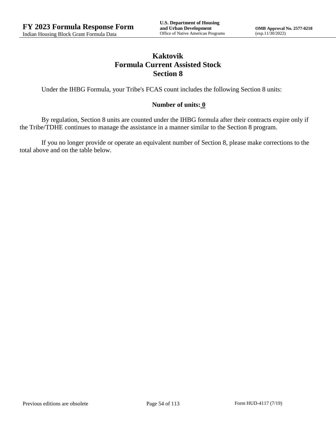# **Kaktovik Formula Current Assisted Stock Section 8**

Under the IHBG Formula, your Tribe's FCAS count includes the following Section 8 units:

### **Number of units: 0**

By regulation, Section 8 units are counted under the IHBG formula after their contracts expire only if the Tribe/TDHE continues to manage the assistance in a manner similar to the Section 8 program.

If you no longer provide or operate an equivalent number of Section 8, please make corrections to the total above and on the table below.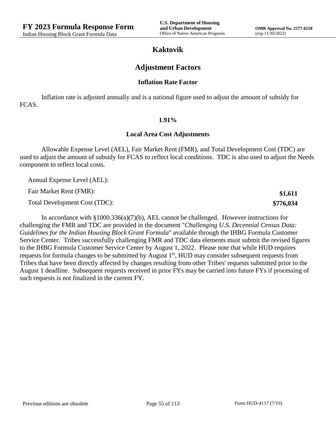**\$1,611 \$776,034**

## **Kaktovik**

## **Adjustment Factors**

#### **Inflation Rate Factor**

Inflation rate is adjusted annually and is a national figure used to adjust the amount of subsidy for FCAS.

#### **1.91%**

### **Local Area Cost Adjustments**

Allowable Expense Level (AEL), Fair Market Rent (FMR), and Total Development Cost (TDC) are used to adjust the amount of subsidy for FCAS to reflect local conditions. TDC is also used to adjust the Needs component to reflect local costs.

Annual Expense Level (AEL):

Fair Market Rent (FMR):

Total Development Cost (TDC):

In accordance with §1000.336(a)(7)(b), AEL cannot be challenged. However instructions for challenging the FMR and TDC are provided in the document "*Challenging U.S. Decennial Census Data: Guidelines for the Indian Housing Block Grant Formula*" available through the IHBG Formula Customer Service Center. Tribes successfully challenging FMR and TDC data elements must submit the revised figures to the IHBG Formula Customer Service Center by August 1, 2022. Please note that while HUD requires requests for formula changes to be submitted by August 1<sup>st</sup>, HUD may consider subsequent requests from Tribes that have been directly affected by changes resulting from other Tribes' requests submitted prior to the August 1 deadline. Subsequent requests received in prior FYs may be carried into future FYs if processing of such requests is not finalized in the current FY.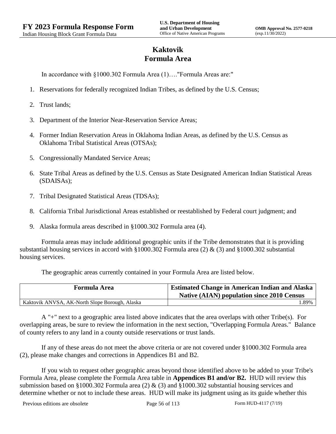# **Kaktovik Formula Area**

In accordance with §1000.302 Formula Area (1)…."Formula Areas are:"

- 1. Reservations for federally recognized Indian Tribes, as defined by the U.S. Census;
- 2. Trust lands;
- 3. Department of the Interior Near-Reservation Service Areas;
- 4. Former Indian Reservation Areas in Oklahoma Indian Areas, as defined by the U.S. Census as Oklahoma Tribal Statistical Areas (OTSAs);
- 5. Congressionally Mandated Service Areas;
- 6. State Tribal Areas as defined by the U.S. Census as State Designated American Indian Statistical Areas (SDAISAs);
- 7. Tribal Designated Statistical Areas (TDSAs);
- 8. California Tribal Jurisdictional Areas established or reestablished by Federal court judgment; and
- 9. Alaska formula areas described in §1000.302 Formula area (4).

Formula areas may include additional geographic units if the Tribe demonstrates that it is providing substantial housing services in accord with §1000.302 Formula area (2) & (3) and §1000.302 substantial housing services.

The geographic areas currently contained in your Formula Area are listed below.

| <b>Formula Area</b>                            | <b>Estimated Change in American Indian and Alaska</b><br><b>Native (AIAN) population since 2010 Census</b> |
|------------------------------------------------|------------------------------------------------------------------------------------------------------------|
| Kaktovik ANVSA, AK-North Slope Borough, Alaska | .89%                                                                                                       |

A "+" next to a geographic area listed above indicates that the area overlaps with other Tribe(s). For overlapping areas, be sure to review the information in the next section, "Overlapping Formula Areas." Balance of county refers to any land in a county outside reservations or trust lands.

If any of these areas do not meet the above criteria or are not covered under §1000.302 Formula area (2), please make changes and corrections in Appendices B1 and B2.

If you wish to request other geographic areas beyond those identified above to be added to your Tribe's Formula Area, please complete the Formula Area table in **Appendices B1 and/or B2.** HUD will review this submission based on §1000.302 Formula area (2) & (3) and §1000.302 substantial housing services and determine whether or not to include these areas. HUD will make its judgment using as its guide whether this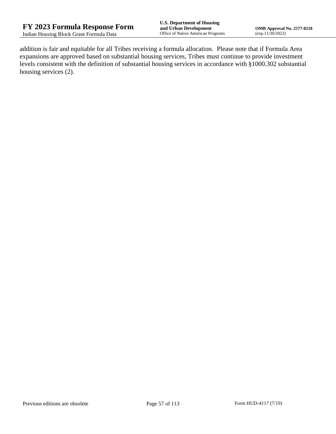addition is fair and equitable for all Tribes receiving a formula allocation. Please note that if Formula Area expansions are approved based on substantial housing services, Tribes must continue to provide investment levels consistent with the definition of substantial housing services in accordance with §1000.302 substantial housing services (2).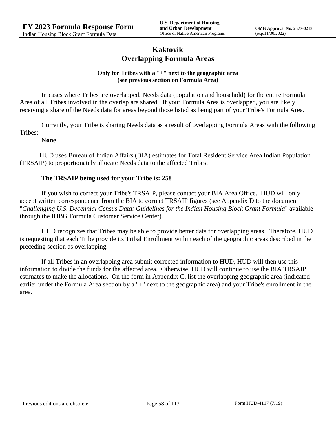## **Kaktovik Overlapping Formula Areas**

#### **Only for Tribes with a "+" next to the geographic area (see previous section on Formula Area)**

In cases where Tribes are overlapped, Needs data (population and household) for the entire Formula Area of all Tribes involved in the overlap are shared. If your Formula Area is overlapped, you are likely receiving a share of the Needs data for areas beyond those listed as being part of your Tribe's Formula Area.

Currently, your Tribe is sharing Needs data as a result of overlapping Formula Areas with the following Tribes:

#### **None**

HUD uses Bureau of Indian Affairs (BIA) estimates for Total Resident Service Area Indian Population (TRSAIP) to proportionately allocate Needs data to the affected Tribes.

### **The TRSAIP being used for your Tribe is: 258**

If you wish to correct your Tribe's TRSAIP, please contact your BIA Area Office. HUD will only accept written correspondence from the BIA to correct TRSAIP figures (see Appendix D to the document "*Challenging U.S. Decennial Census Data: Guidelines for the Indian Housing Block Grant Formula*" available through the IHBG Formula Customer Service Center).

HUD recognizes that Tribes may be able to provide better data for overlapping areas. Therefore, HUD is requesting that each Tribe provide its Tribal Enrollment within each of the geographic areas described in the preceding section as overlapping.

If all Tribes in an overlapping area submit corrected information to HUD, HUD will then use this information to divide the funds for the affected area. Otherwise, HUD will continue to use the BIA TRSAIP estimates to make the allocations. On the form in Appendix C, list the overlapping geographic area (indicated earlier under the Formula Area section by a "+" next to the geographic area) and your Tribe's enrollment in the area.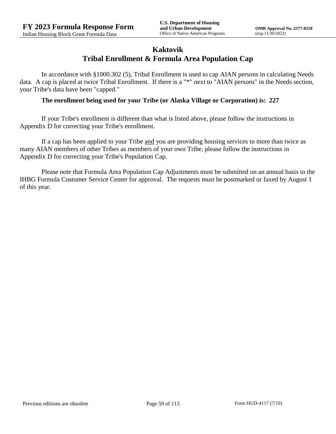## **Kaktovik Tribal Enrollment & Formula Area Population Cap**

In accordance with §1000.302 (5), Tribal Enrollment is used to cap AIAN persons in calculating Needs data. A cap is placed at twice Tribal Enrollment. If there is a "\*" next to "AIAN persons" in the Needs section, your Tribe's data have been "capped."

#### **The enrollment being used for your Tribe (or Alaska Village or Corporation) is: 227**

If your Tribe's enrollment is different than what is listed above, please follow the instructions in Appendix D for correcting your Tribe's enrollment.

If a cap has been applied to your Tribe and you are providing housing services to more than twice as many AIAN members of other Tribes as members of your own Tribe, please follow the instructions in Appendix D for correcting your Tribe's Population Cap.

Please note that Formula Area Population Cap Adjustments must be submitted on an annual basis to the IHBG Formula Customer Service Center for approval. The requests must be postmarked or faxed by August 1 of this year.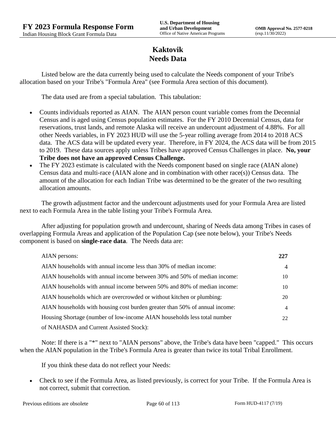# **Kaktovik Needs Data**

Listed below are the data currently being used to calculate the Needs component of your Tribe's allocation based on your Tribe's "Formula Area" (see Formula Area section of this document).

The data used are from a special tabulation. This tabulation:

- Counts individuals reported as AIAN. The AIAN person count variable comes from the Decennial Census and is aged using Census population estimates. For the FY 2010 Decennial Census, data for reservations, trust lands, and remote Alaska will receive an undercount adjustment of 4.88%. For all other Needs variables, in FY 2023 HUD will use the 5-year rolling average from 2014 to 2018 ACS data. The ACS data will be updated every year. Therefore, in FY 2024, the ACS data will be from 2015 to 2019. These data sources apply unless Tribes have approved Census Challenges in place. **No, your Tribe does not have an approved Census Challenge.**
- The FY 2023 estimate is calculated with the Needs component based on single race (AIAN alone) Census data and multi-race (AIAN alone and in combination with other race(s)) Census data. The amount of the allocation for each Indian Tribe was determined to be the greater of the two resulting allocation amounts.

The growth adjustment factor and the undercount adjustments used for your Formula Area are listed next to each Formula Area in the table listing your Tribe's Formula Area.

After adjusting for population growth and undercount, sharing of Needs data among Tribes in cases of overlapping Formula Areas and application of the Population Cap (see note below), your Tribe's Needs component is based on **single-race data**. The Needs data are:

| AIAN persons:                                                               | 227            |
|-----------------------------------------------------------------------------|----------------|
| AIAN households with annual income less than 30% of median income:          | $\overline{4}$ |
| AIAN households with annual income between 30% and 50% of median income:    | 10             |
| AIAN households with annual income between 50% and 80% of median income:    | 10             |
| AIAN households which are overcrowded or without kitchen or plumbing:       | 20             |
| AIAN households with housing cost burden greater than 50% of annual income: | $\overline{4}$ |
| Housing Shortage (number of low-income AIAN households less total number    | 22             |
| of NAHASDA and Current Assisted Stock):                                     |                |

Note: If there is a "\*" next to "AIAN persons" above, the Tribe's data have been "capped." This occurs when the AIAN population in the Tribe's Formula Area is greater than twice its total Tribal Enrollment.

If you think these data do not reflect your Needs:

 Check to see if the Formula Area, as listed previously, is correct for your Tribe. If the Formula Area is not correct, submit that correction.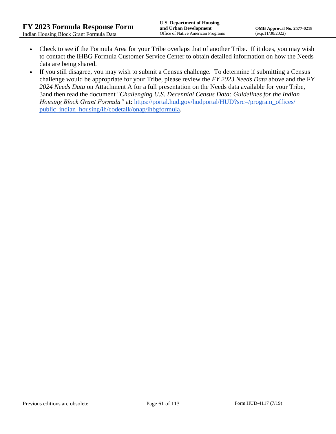- Check to see if the Formula Area for your Tribe overlaps that of another Tribe. If it does, you may wish to contact the IHBG Formula Customer Service Center to obtain detailed information on how the Needs data are being shared.
- If you still disagree, you may wish to submit a Census challenge. To determine if submitting a Census challenge would be appropriate for your Tribe, please review the *FY 2023 Needs Data* above and the FY *2024 Needs Data* on Attachment A for a full presentation on the Needs data available for your Tribe, 3and then read the document "*Challenging U.S. Decennial Census Data: Guidelines for the Indian Housing Block Grant Formula*" at: https://portal.hud.gov/hudportal/HUD?src=/program\_offices/ [public\\_indian\\_housing/ih/codetalk/onap/ihbgformula.](https://portal.hud.gov/hudportal/HUD?src=/program_offices/public_indian_housing/ih/codetalk/onap/ihbgformula)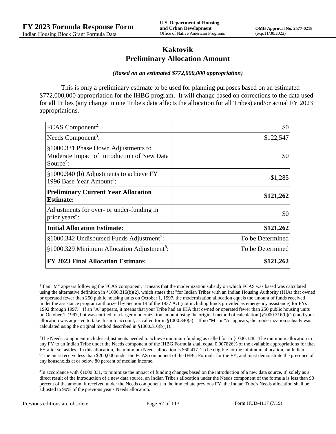## **Kaktovik Preliminary Allocation Amount**

#### *(Based on an estimated \$772,000,000 appropriation)*

This is only a preliminary estimate to be used for planning purposes based on an estimated \$772,000,000 appropriation for the IHBG program. It will change based on corrections to the data used for all Tribes (any change in one Tribe's data affects the allocation for all Tribes) and/or actual FY 2023 appropriations.

| FCAS Component <sup>2</sup> :                                                                               | \$0              |
|-------------------------------------------------------------------------------------------------------------|------------------|
| Needs Component <sup>3</sup> :                                                                              | \$122,547        |
| §1000.331 Phase Down Adjustments to<br>Moderate Impact of Introduction of New Data<br>Source <sup>4</sup> : | \$0              |
| §1000.340 (b) Adjustments to achieve FY<br>1996 Base Year Amount <sup>5</sup> :                             | $-$1,285$        |
| <b>Preliminary Current Year Allocation</b><br><b>Estimate:</b>                                              | \$121,262        |
| Adjustments for over- or under-funding in<br>prior years <sup>6</sup> :                                     | \$0              |
| <b>Initial Allocation Estimate:</b>                                                                         | \$121,262        |
| $§1000.342$ Undisbursed Funds Adjustment <sup>7</sup> :                                                     | To be Determined |
| §1000.329 Minimum Allocation Adjustment <sup>8</sup> :                                                      | To be Determined |
| <b>FY 2023 Final Allocation Estimate:</b>                                                                   | \$121,262        |

2 If an "M" appears following the FCAS component, it means that the modernization subsidy on which FCAS was based was calculated using the alternative definition in §1000.316(b)(2), which states that "for Indian Tribes with an Indian Housing Authority (IHA) that owned or operated fewer than 250 public housing units on October 1, 1997, the modernization allocation equals the amount of funds received under the assistance program authorized by Section 14 of the 1937 Act (not including funds provided as emergency assistance) for FYs 1992 through 1997." If an "A" appears, it means that your Tribe had an IHA that owned or operated fewer than 250 public housing units on October 1, 1997, but was entitled to a larger modernization amount using the original method of calculation (§1000.316(b)(1)) and your allocation was adjusted to take this into account, as called for in  $\S1000.340(a)$ . If no "M" or "A" appears, the modernization subsidy was calculated using the original method described in §1000.316(b)(1).

 $3$ The Needs component includes adjustments needed to achieve minimum funding as called for in §1000.328. The minimum allocation in any FY to an Indian Tribe under the Needs component of the IHBG Formula shall equal 0.007826% of the available appropriations for that FY after set asides. In this allocation, the minimum Needs allocation is \$60,417. To be eligible for the minimum allocation, an Indian Tribe must receive less than \$200,000 under the FCAS component of the IHBG Formula for the FY, and must demonstrate the presence of any households at or below 80 percent of median income.

4 In accordance with §1000.331, to minimize the impact of funding changes based on the introduction of a new data source, if, solely as a direct result of the introduction of a new data source, an Indian Tribe's allocation under the Needs component of the formula is less than 90 percent of the amount it received under the Needs component in the immediate previous FY, the Indian Tribe's Needs allocation shall be adjusted to 90% of the previous year's Needs allocation.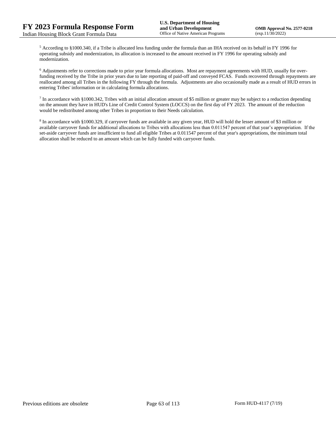<sup>5</sup> According to §1000.340, if a Tribe is allocated less funding under the formula than an IHA received on its behalf in FY 1996 for operating subsidy and modernization, its allocation is increased to the amount received in FY 1996 for operating subsidy and modernization.

<sup>6</sup> Adjustments refer to corrections made to prior year formula allocations. Most are repayment agreements with HUD, usually for overfunding received by the Tribe in prior years due to late reporting of paid-off and conveyed FCAS. Funds recovered through repayments are reallocated among all Tribes in the following FY through the formula. Adjustments are also occasionally made as a result of HUD errors in entering Tribes' information or in calculating formula allocations.

 $^7$  In accordance with §1000.342, Tribes with an initial allocation amount of \$5 million or greater may be subject to a reduction depending on the amount they have in HUD's Line of Credit Control System (LOCCS) on the first day of FY 2023. The amount of the reduction would be redistributed among other Tribes in proportion to their Needs calculation.

<sup>8</sup> In accordance with §1000.329, if carryover funds are available in any given year, HUD will hold the lesser amount of \$3 million or available carryover funds for additional allocations to Tribes with allocations less than 0.011547 percent of that year's appropriation. If the set-aside carryover funds are insufficient to fund all eligible Tribes at 0.011547 percent of that year's appropriations, the minimum total allocation shall be reduced to an amount which can be fully funded with carryover funds.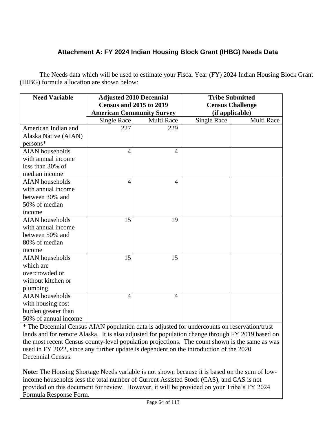# **Attachment A: FY 2024 Indian Housing Block Grant (IHBG) Needs Data**

The Needs data which will be used to estimate your Fiscal Year (FY) 2024 Indian Housing Block Grant (IHBG) formula allocation are shown below:

| <b>Need Variable</b>   | <b>Adjusted 2010 Decennial</b>   |                | <b>Tribe Submitted</b>  |            |
|------------------------|----------------------------------|----------------|-------------------------|------------|
|                        | <b>Census and 2015 to 2019</b>   |                | <b>Census Challenge</b> |            |
|                        | <b>American Community Survey</b> |                | (if applicable)         |            |
|                        | <b>Single Race</b>               | Multi Race     | <b>Single Race</b>      | Multi Race |
| American Indian and    | 227                              | 229            |                         |            |
| Alaska Native (AIAN)   |                                  |                |                         |            |
| persons*               |                                  |                |                         |            |
| <b>AIAN</b> households | 4                                | $\overline{A}$ |                         |            |
| with annual income     |                                  |                |                         |            |
| less than 30% of       |                                  |                |                         |            |
| median income          |                                  |                |                         |            |
| <b>AIAN</b> households | $\overline{4}$                   | $\overline{4}$ |                         |            |
| with annual income     |                                  |                |                         |            |
| between 30% and        |                                  |                |                         |            |
| 50% of median          |                                  |                |                         |            |
| income                 |                                  |                |                         |            |
| <b>AIAN</b> households | 15                               | 19             |                         |            |
| with annual income     |                                  |                |                         |            |
| between 50% and        |                                  |                |                         |            |
| 80% of median          |                                  |                |                         |            |
| income                 |                                  |                |                         |            |
| <b>AIAN</b> households | 15                               | 15             |                         |            |
| which are              |                                  |                |                         |            |
| overcrowded or         |                                  |                |                         |            |
| without kitchen or     |                                  |                |                         |            |
| plumbing               |                                  |                |                         |            |
| <b>AIAN</b> households | 4                                | $\overline{4}$ |                         |            |
| with housing cost      |                                  |                |                         |            |
| burden greater than    |                                  |                |                         |            |
| 50% of annual income   |                                  |                |                         |            |

\* The Decennial Census AIAN population data is adjusted for undercounts on reservation/trust lands and for remote Alaska. It is also adjusted for population change through FY 2019 based on the most recent Census county-level population projections. The count shown is the same as was used in FY 2022, since any further update is dependent on the introduction of the 2020 Decennial Census.

**Note:** The Housing Shortage Needs variable is not shown because it is based on the sum of lowincome households less the total number of Current Assisted Stock (CAS), and CAS is not provided on this document for review. However, it will be provided on your Tribe's FY 2024 Formula Response Form.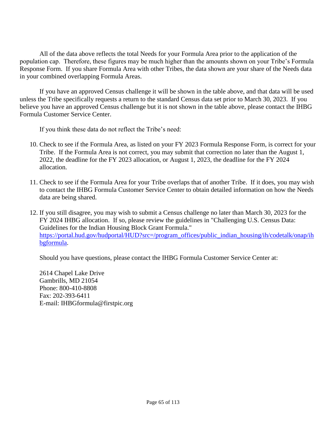All of the data above reflects the total Needs for your Formula Area prior to the application of the population cap. Therefore, these figures may be much higher than the amounts shown on your Tribe's Formula Response Form. If you share Formula Area with other Tribes, the data shown are your share of the Needs data in your combined overlapping Formula Areas.

If you have an approved Census challenge it will be shown in the table above, and that data will be used unless the Tribe specifically requests a return to the standard Census data set prior to March 30, 2023. If you believe you have an approved Census challenge but it is not shown in the table above, please contact the IHBG Formula Customer Service Center.

If you think these data do not reflect the Tribe's need:

- 10. Check to see if the Formula Area, as listed on your FY 2023 Formula Response Form, is correct for your Tribe. If the Formula Area is not correct, you may submit that correction no later than the August 1, 2022, the deadline for the FY 2023 allocation, or August 1, 2023, the deadline for the FY 2024 allocation.
- 11. Check to see if the Formula Area for your Tribe overlaps that of another Tribe. If it does, you may wish to contact the IHBG Formula Customer Service Center to obtain detailed information on how the Needs data are being shared.
- 12. If you still disagree, you may wish to submit a Census challenge no later than March 30, 2023 for the FY 2024 IHBG allocation. If so, please review the guidelines in "Challenging U.S. Census Data: Guidelines for the Indian Housing Block Grant Formula." [https://portal.hud.gov/hudportal/HUD?src=/program\\_offices/public\\_indian\\_housing/ih/codetalk/onap/ih](https://portal.hud.gov/hudportal/HUD?src=/program_offices/public_indian_housing/ih/codetalk/onap/ihbgformula) [bgformula.](https://portal.hud.gov/hudportal/HUD?src=/program_offices/public_indian_housing/ih/codetalk/onap/ihbgformula)

Should you have questions, please contact the IHBG Formula Customer Service Center at:

2614 Chapel Lake Drive Gambrills, MD 21054 Phone: 800-410-8808 Fax: 202-393-6411 E-mail: IHBGformula@firstpic.org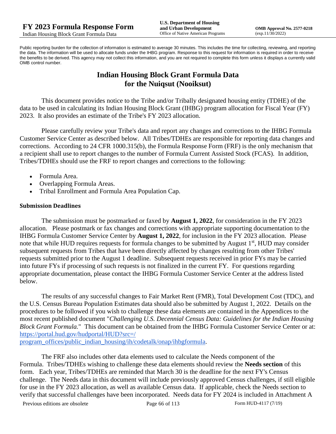Public reporting burden for the collection of information is estimated to average 30 minutes. This includes the time for collecting, reviewing, and reporting the data. The information will be used to allocate funds under the IHBG program. Response to this request for information is required in order to receive the benefits to be derived. This agency may not collect this information, and you are not required to complete this form unless it displays a currently valid OMB control number.

# **Indian Housing Block Grant Formula Data for the Nuiqsut (Nooiksut)**

This document provides notice to the Tribe and/or Tribally designated housing entity (TDHE) of the data to be used in calculating its Indian Housing Block Grant (IHBG) program allocation for Fiscal Year (FY) 2023. It also provides an estimate of the Tribe's FY 2023 allocation.

Please carefully review your Tribe's data and report any changes and corrections to the IHBG Formula Customer Service Center as described below. All Tribes/TDHEs are responsible for reporting data changes and corrections. According to 24 CFR 1000.315(b), the Formula Response Form (FRF) is the only mechanism that a recipient shall use to report changes to the number of Formula Current Assisted Stock (FCAS). In addition, Tribes/TDHEs should use the FRF to report changes and corrections to the following:

- Formula Area.
- Overlapping Formula Areas.
- Tribal Enrollment and Formula Area Population Cap.

#### **Submission Deadlines**

The submission must be postmarked or faxed by **August 1, 2022**, for consideration in the FY 2023 allocation. Please postmark or fax changes and corrections with appropriate supporting documentation to the IHBG Formula Customer Service Center by **August 1, 2022**, for inclusion in the FY 2023 allocation. Please note that while HUD requires requests for formula changes to be submitted by August 1<sup>st</sup>, HUD may consider subsequent requests from Tribes that have been directly affected by changes resulting from other Tribes' requests submitted prior to the August 1 deadline. Subsequent requests received in prior FYs may be carried into future FYs if processing of such requests is not finalized in the current FY. For questions regarding appropriate documentation, please contact the IHBG Formula Customer Service Center at the address listed below.

The results of any successful changes to Fair Market Rent (FMR), Total Development Cost (TDC), and the U.S. Census Bureau Population Estimates data should also be submitted by August 1, 2022. Details on the procedures to be followed if you wish to challenge these data elements are contained in the Appendices to the most recent published document "*Challenging U.S. Decennial Census Data: Guidelines for the Indian Housing Block Grant Formula.*" This document can be obtained from the IHBG Formula Customer Service Center or at: [https://portal.hud.gov/hudportal/HUD?src=/](https://portal.hud.gov/hudportal/HUD?src=/program_offices/public_indian_housing/ih/codetalk/onap/ihbgformula) 

[program\\_offices/public\\_indian\\_housing/ih/codetalk/onap/ihbgformula.](https://portal.hud.gov/hudportal/HUD?src=/program_offices/public_indian_housing/ih/codetalk/onap/ihbgformula)

The FRF also includes other data elements used to calculate the Needs component of the Formula. Tribes/TDHEs wishing to challenge these data elements should review the **Needs section** of this form. Each year, Tribes/TDHEs are reminded that March 30 is the deadline for the next FY's Census challenge. The Needs data in this document will include previously approved Census challenges, if still eligible for use in the FY 2023 allocation, as well as available Census data. If applicable, check the Needs section to verify that successful challenges have been incorporated. Needs data for FY 2024 is included in Attachment A

Previous editions are obsolete Page 66 of 113 Form HUD-4117 (7/19)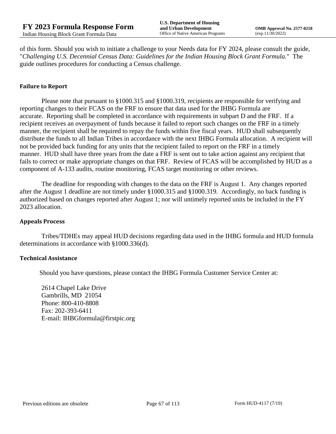of this form. Should you wish to initiate a challenge to your Needs data for FY 2024, please consult the guide, "*Challenging U.S. Decennial Census Data: Guidelines for the Indian Housing Block Grant Formula.*" The guide outlines procedures for conducting a Census challenge.

#### **Failure to Report**

Please note that pursuant to §1000.315 and §1000.319, recipients are responsible for verifying and reporting changes to their FCAS on the FRF to ensure that data used for the IHBG Formula are accurate. Reporting shall be completed in accordance with requirements in subpart D and the FRF. If a recipient receives an overpayment of funds because it failed to report such changes on the FRF in a timely manner, the recipient shall be required to repay the funds within five fiscal years. HUD shall subsequently distribute the funds to all Indian Tribes in accordance with the next IHBG Formula allocation. A recipient will not be provided back funding for any units that the recipient failed to report on the FRF in a timely manner. HUD shall have three years from the date a FRF is sent out to take action against any recipient that fails to correct or make appropriate changes on that FRF. Review of FCAS will be accomplished by HUD as a component of A-133 audits, routine monitoring, FCAS target monitoring or other reviews.

The deadline for responding with changes to the data on the FRF is August 1. Any changes reported after the August 1 deadline are not timely under §1000.315 and §1000.319. Accordingly, no back funding is authorized based on changes reported after August 1; nor will untimely reported units be included in the FY 2023 allocation.

#### **Appeals Process**

Tribes/TDHEs may appeal HUD decisions regarding data used in the IHBG formula and HUD formula determinations in accordance with §1000.336(d).

#### **Technical Assistance**

Should you have questions, please contact the IHBG Formula Customer Service Center at:

2614 Chapel Lake Drive Gambrills, MD 21054 Phone: 800-410-8808 Fax: 202-393-6411 E-mail: IHBGformula@firstpic.org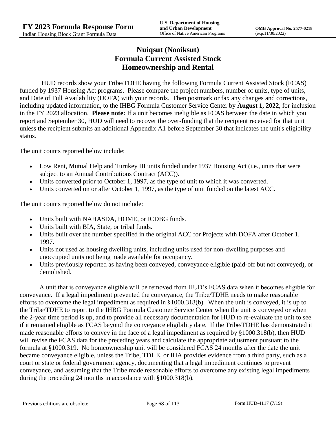# **Nuiqsut (Nooiksut) Formula Current Assisted Stock Homeownership and Rental**

HUD records show your Tribe/TDHE having the following Formula Current Assisted Stock (FCAS) funded by 1937 Housing Act programs. Please compare the project numbers, number of units, type of units, and Date of Full Availability (DOFA) with your records. Then postmark or fax any changes and corrections, including updated information, to the IHBG Formula Customer Service Center by **August 1, 2022**, for inclusion in the FY 2023 allocation. **Please note:** If a unit becomes ineligible as FCAS between the date in which you report and September 30, HUD will need to recover the over-funding that the recipient received for that unit unless the recipient submits an additional Appendix A1 before September 30 that indicates the unit's eligibility status.

The unit counts reported below include:

- Low Rent, Mutual Help and Turnkey III units funded under 1937 Housing Act (i.e., units that were subject to an Annual Contributions Contract (ACC)).
- Units converted prior to October 1, 1997, as the type of unit to which it was converted.
- Units converted on or after October 1, 1997, as the type of unit funded on the latest ACC.

The unit counts reported below <u>do not</u> include:

- Units built with NAHASDA, HOME, or ICDBG funds.
- Units built with BIA, State, or tribal funds.
- Units built over the number specified in the original ACC for Projects with DOFA after October 1, 1997.
- Units not used as housing dwelling units, including units used for non-dwelling purposes and unoccupied units not being made available for occupancy.
- Units previously reported as having been conveyed, conveyance eligible (paid-off but not conveyed), or demolished.

A unit that is conveyance eligible will be removed from HUD's FCAS data when it becomes eligible for conveyance. If a legal impediment prevented the conveyance, the Tribe/TDHE needs to make reasonable efforts to overcome the legal impediment as required in §1000.318(b). When the unit is conveyed, it is up to the Tribe/TDHE to report to the IHBG Formula Customer Service Center when the unit is conveyed or when the 2-year time period is up, and to provide all necessary documentation for HUD to re-evaluate the unit to see if it remained eligible as FCAS beyond the conveyance eligibility date. If the Tribe/TDHE has demonstrated it made reasonable efforts to convey in the face of a legal impediment as required by §1000.318(b), then HUD will revise the FCAS data for the preceding years and calculate the appropriate adjustment pursuant to the formula at §1000.319. No homeownership unit will be considered FCAS 24 months after the date the unit became conveyance eligible, unless the Tribe, TDHE, or IHA provides evidence from a third party, such as a court or state or federal government agency, documenting that a legal impediment continues to prevent conveyance, and assuming that the Tribe made reasonable efforts to overcome any existing legal impediments during the preceding 24 months in accordance with §1000.318(b).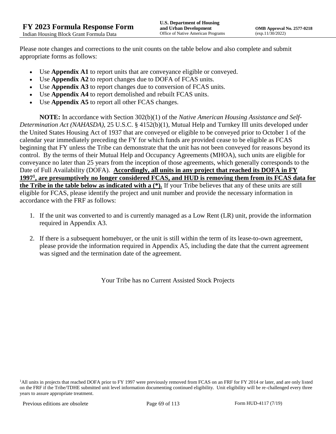Please note changes and corrections to the unit counts on the table below and also complete and submit appropriate forms as follows:

- Use **Appendix A1** to report units that are conveyance eligible or conveyed.
- Use **Appendix A2** to report changes due to DOFA of FCAS units.
- Use **Appendix A3** to report changes due to conversion of FCAS units.
- Use **Appendix A4** to report demolished and rebuilt FCAS units.
- Use **Appendix A5** to report all other FCAS changes.

**NOTE:** In accordance with Section 302(b)(1) of the *Native American Housing Assistance and Self-Determination Act (NAHASDA)*, 25 U.S.C. § 4152(b)(1), Mutual Help and Turnkey III units developed under the United States Housing Act of 1937 that are conveyed or eligible to be conveyed prior to October 1 of the calendar year immediately preceding the FY for which funds are provided cease to be eligible as FCAS beginning that FY unless the Tribe can demonstrate that the unit has not been conveyed for reasons beyond its control. By the terms of their Mutual Help and Occupancy Agreements (MHOA), such units are eligible for conveyance no later than 25 years from the inception of those agreements, which generally corresponds to the Date of Full Availability (DOFA). **Accordingly, all units in any project that reached its DOFA in FY 1997<sup>1</sup> , are presumptively no longer considered FCAS, and HUD is removing them from its FCAS data for the Tribe in the table below as indicated with a (\*).** If your Tribe believes that any of these units are still eligible for FCAS, please identify the project and unit number and provide the necessary information in accordance with the FRF as follows:

- 1. If the unit was converted to and is currently managed as a Low Rent (LR) unit, provide the information required in Appendix A3.
- 2. If there is a subsequent homebuyer, or the unit is still within the term of its lease-to-own agreement, please provide the information required in Appendix A5, including the date that the current agreement was signed and the termination date of the agreement.

Your Tribe has no Current Assisted Stock Projects

<sup>1</sup>All units in projects that reached DOFA prior to FY 1997 were previously removed from FCAS on an FRF for FY 2014 or later, and are only listed on the FRF if the Tribe/TDHE submitted unit level information documenting continued eligibility. Unit eligibility will be re-challenged every three years to assure appropriate treatment.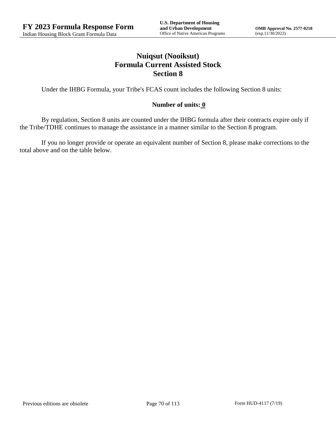# **Nuiqsut (Nooiksut) Formula Current Assisted Stock Section 8**

Under the IHBG Formula, your Tribe's FCAS count includes the following Section 8 units:

### **Number of units: 0**

By regulation, Section 8 units are counted under the IHBG formula after their contracts expire only if the Tribe/TDHE continues to manage the assistance in a manner similar to the Section 8 program.

If you no longer provide or operate an equivalent number of Section 8, please make corrections to the total above and on the table below.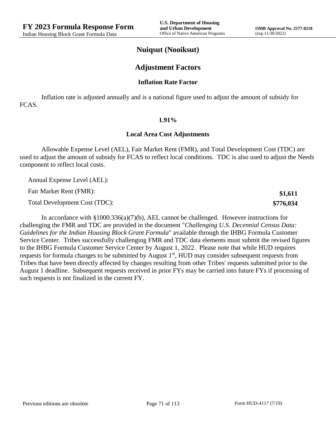**\$1,611 \$776,034**

### **Nuiqsut (Nooiksut)**

### **Adjustment Factors**

#### **Inflation Rate Factor**

Inflation rate is adjusted annually and is a national figure used to adjust the amount of subsidy for FCAS.

#### **1.91%**

#### **Local Area Cost Adjustments**

Allowable Expense Level (AEL), Fair Market Rent (FMR), and Total Development Cost (TDC) are used to adjust the amount of subsidy for FCAS to reflect local conditions. TDC is also used to adjust the Needs component to reflect local costs.

Annual Expense Level (AEL):

Fair Market Rent (FMR):

Total Development Cost (TDC):

In accordance with §1000.336(a)(7)(b), AEL cannot be challenged. However instructions for challenging the FMR and TDC are provided in the document "*Challenging U.S. Decennial Census Data: Guidelines for the Indian Housing Block Grant Formula*" available through the IHBG Formula Customer Service Center. Tribes successfully challenging FMR and TDC data elements must submit the revised figures to the IHBG Formula Customer Service Center by August 1, 2022. Please note that while HUD requires requests for formula changes to be submitted by August 1<sup>st</sup>, HUD may consider subsequent requests from Tribes that have been directly affected by changes resulting from other Tribes' requests submitted prior to the August 1 deadline. Subsequent requests received in prior FYs may be carried into future FYs if processing of such requests is not finalized in the current FY.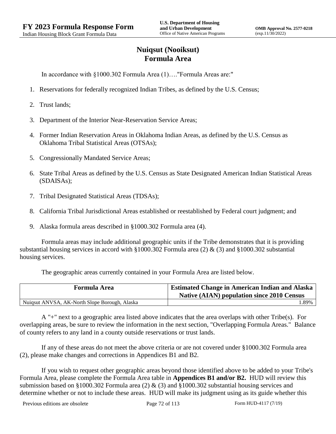# **Nuiqsut (Nooiksut) Formula Area**

In accordance with §1000.302 Formula Area (1)…."Formula Areas are:"

- 1. Reservations for federally recognized Indian Tribes, as defined by the U.S. Census;
- 2. Trust lands;
- 3. Department of the Interior Near-Reservation Service Areas;
- 4. Former Indian Reservation Areas in Oklahoma Indian Areas, as defined by the U.S. Census as Oklahoma Tribal Statistical Areas (OTSAs);
- 5. Congressionally Mandated Service Areas;
- 6. State Tribal Areas as defined by the U.S. Census as State Designated American Indian Statistical Areas (SDAISAs);
- 7. Tribal Designated Statistical Areas (TDSAs);
- 8. California Tribal Jurisdictional Areas established or reestablished by Federal court judgment; and
- 9. Alaska formula areas described in §1000.302 Formula area (4).

Formula areas may include additional geographic units if the Tribe demonstrates that it is providing substantial housing services in accord with §1000.302 Formula area (2) & (3) and §1000.302 substantial housing services.

The geographic areas currently contained in your Formula Area are listed below.

| <b>Formula Area</b>                           | <b>Estimated Change in American Indian and Alaska</b><br><b>Native (AIAN) population since 2010 Census</b> |
|-----------------------------------------------|------------------------------------------------------------------------------------------------------------|
| Nuiqsut ANVSA, AK-North Slope Borough, Alaska | .89%                                                                                                       |

A "+" next to a geographic area listed above indicates that the area overlaps with other Tribe(s). For overlapping areas, be sure to review the information in the next section, "Overlapping Formula Areas." Balance of county refers to any land in a county outside reservations or trust lands.

If any of these areas do not meet the above criteria or are not covered under §1000.302 Formula area (2), please make changes and corrections in Appendices B1 and B2.

If you wish to request other geographic areas beyond those identified above to be added to your Tribe's Formula Area, please complete the Formula Area table in **Appendices B1 and/or B2.** HUD will review this submission based on §1000.302 Formula area (2) & (3) and §1000.302 substantial housing services and determine whether or not to include these areas. HUD will make its judgment using as its guide whether this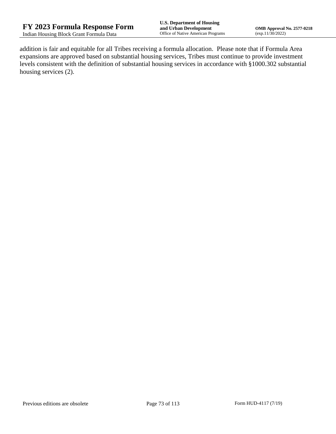addition is fair and equitable for all Tribes receiving a formula allocation. Please note that if Formula Area expansions are approved based on substantial housing services, Tribes must continue to provide investment levels consistent with the definition of substantial housing services in accordance with §1000.302 substantial housing services (2).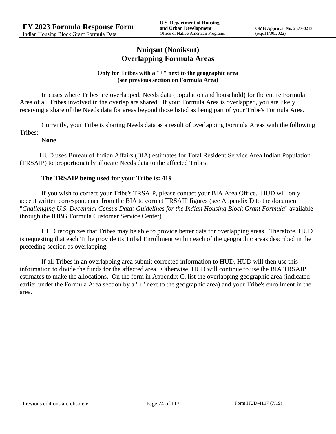## **Nuiqsut (Nooiksut) Overlapping Formula Areas**

#### **Only for Tribes with a "+" next to the geographic area (see previous section on Formula Area)**

In cases where Tribes are overlapped, Needs data (population and household) for the entire Formula Area of all Tribes involved in the overlap are shared. If your Formula Area is overlapped, you are likely receiving a share of the Needs data for areas beyond those listed as being part of your Tribe's Formula Area.

Currently, your Tribe is sharing Needs data as a result of overlapping Formula Areas with the following Tribes:

#### **None**

HUD uses Bureau of Indian Affairs (BIA) estimates for Total Resident Service Area Indian Population (TRSAIP) to proportionately allocate Needs data to the affected Tribes.

### **The TRSAIP being used for your Tribe is: 419**

If you wish to correct your Tribe's TRSAIP, please contact your BIA Area Office. HUD will only accept written correspondence from the BIA to correct TRSAIP figures (see Appendix D to the document "*Challenging U.S. Decennial Census Data: Guidelines for the Indian Housing Block Grant Formula*" available through the IHBG Formula Customer Service Center).

HUD recognizes that Tribes may be able to provide better data for overlapping areas. Therefore, HUD is requesting that each Tribe provide its Tribal Enrollment within each of the geographic areas described in the preceding section as overlapping.

If all Tribes in an overlapping area submit corrected information to HUD, HUD will then use this information to divide the funds for the affected area. Otherwise, HUD will continue to use the BIA TRSAIP estimates to make the allocations. On the form in Appendix C, list the overlapping geographic area (indicated earlier under the Formula Area section by a "+" next to the geographic area) and your Tribe's enrollment in the area.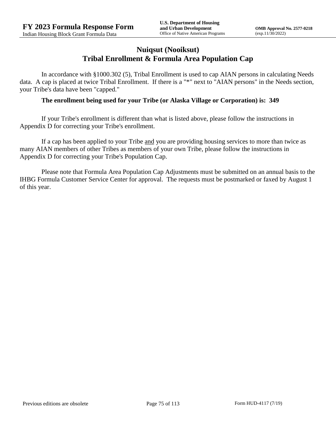## **Nuiqsut (Nooiksut) Tribal Enrollment & Formula Area Population Cap**

In accordance with §1000.302 (5), Tribal Enrollment is used to cap AIAN persons in calculating Needs data. A cap is placed at twice Tribal Enrollment. If there is a "\*" next to "AIAN persons" in the Needs section, your Tribe's data have been "capped."

#### **The enrollment being used for your Tribe (or Alaska Village or Corporation) is: 349**

If your Tribe's enrollment is different than what is listed above, please follow the instructions in Appendix D for correcting your Tribe's enrollment.

If a cap has been applied to your Tribe and you are providing housing services to more than twice as many AIAN members of other Tribes as members of your own Tribe, please follow the instructions in Appendix D for correcting your Tribe's Population Cap.

Please note that Formula Area Population Cap Adjustments must be submitted on an annual basis to the IHBG Formula Customer Service Center for approval. The requests must be postmarked or faxed by August 1 of this year.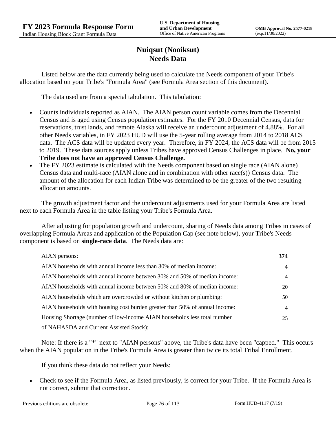## **Nuiqsut (Nooiksut) Needs Data**

Listed below are the data currently being used to calculate the Needs component of your Tribe's allocation based on your Tribe's "Formula Area" (see Formula Area section of this document).

The data used are from a special tabulation. This tabulation:

- Counts individuals reported as AIAN. The AIAN person count variable comes from the Decennial Census and is aged using Census population estimates. For the FY 2010 Decennial Census, data for reservations, trust lands, and remote Alaska will receive an undercount adjustment of 4.88%. For all other Needs variables, in FY 2023 HUD will use the 5-year rolling average from 2014 to 2018 ACS data. The ACS data will be updated every year. Therefore, in FY 2024, the ACS data will be from 2015 to 2019. These data sources apply unless Tribes have approved Census Challenges in place. **No, your Tribe does not have an approved Census Challenge.**
- The FY 2023 estimate is calculated with the Needs component based on single race (AIAN alone) Census data and multi-race (AIAN alone and in combination with other race(s)) Census data. The amount of the allocation for each Indian Tribe was determined to be the greater of the two resulting allocation amounts.

The growth adjustment factor and the undercount adjustments used for your Formula Area are listed next to each Formula Area in the table listing your Tribe's Formula Area.

After adjusting for population growth and undercount, sharing of Needs data among Tribes in cases of overlapping Formula Areas and application of the Population Cap (see note below), your Tribe's Needs component is based on **single-race data**. The Needs data are:

| AIAN persons:                                                               | 374            |
|-----------------------------------------------------------------------------|----------------|
| AIAN households with annual income less than 30% of median income:          | $\overline{4}$ |
| AIAN households with annual income between 30% and 50% of median income:    | 4              |
| AIAN households with annual income between 50% and 80% of median income:    | 20             |
| AIAN households which are overcrowded or without kitchen or plumbing:       | 50             |
| AIAN households with housing cost burden greater than 50% of annual income: | 4              |
| Housing Shortage (number of low-income AIAN households less total number    | 25             |
| of NAHASDA and Current Assisted Stock):                                     |                |

Note: If there is a "\*" next to "AIAN persons" above, the Tribe's data have been "capped." This occurs when the AIAN population in the Tribe's Formula Area is greater than twice its total Tribal Enrollment.

If you think these data do not reflect your Needs:

 Check to see if the Formula Area, as listed previously, is correct for your Tribe. If the Formula Area is not correct, submit that correction.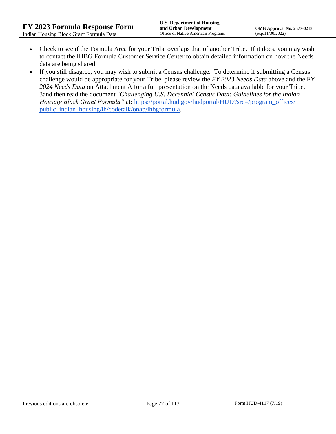- Check to see if the Formula Area for your Tribe overlaps that of another Tribe. If it does, you may wish to contact the IHBG Formula Customer Service Center to obtain detailed information on how the Needs data are being shared.
- If you still disagree, you may wish to submit a Census challenge. To determine if submitting a Census challenge would be appropriate for your Tribe, please review the *FY 2023 Needs Data* above and the FY *2024 Needs Data* on Attachment A for a full presentation on the Needs data available for your Tribe, 3and then read the document "*Challenging U.S. Decennial Census Data: Guidelines for the Indian Housing Block Grant Formula*" at: https://portal.hud.gov/hudportal/HUD?src=/program\_offices/ [public\\_indian\\_housing/ih/codetalk/onap/ihbgformula.](https://portal.hud.gov/hudportal/HUD?src=/program_offices/public_indian_housing/ih/codetalk/onap/ihbgformula)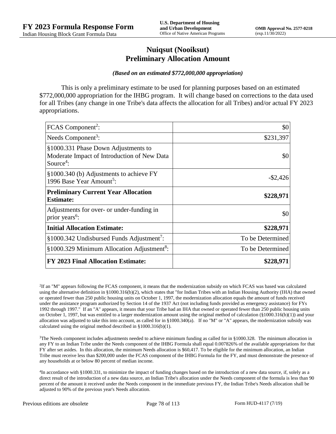## **Nuiqsut (Nooiksut) Preliminary Allocation Amount**

#### *(Based on an estimated \$772,000,000 appropriation)*

This is only a preliminary estimate to be used for planning purposes based on an estimated \$772,000,000 appropriation for the IHBG program. It will change based on corrections to the data used for all Tribes (any change in one Tribe's data affects the allocation for all Tribes) and/or actual FY 2023 appropriations.

| FCAS Component <sup>2</sup> :                                                                               | \$0              |
|-------------------------------------------------------------------------------------------------------------|------------------|
| Needs Component <sup>3</sup> :                                                                              | \$231,397        |
| §1000.331 Phase Down Adjustments to<br>Moderate Impact of Introduction of New Data<br>Source <sup>4</sup> : | \$0              |
| §1000.340 (b) Adjustments to achieve FY<br>1996 Base Year Amount <sup>5</sup> :                             | $-$ \$2,426      |
| <b>Preliminary Current Year Allocation</b><br><b>Estimate:</b>                                              | \$228,971        |
| Adjustments for over- or under-funding in<br>prior years <sup>6</sup> :                                     | \$0              |
| <b>Initial Allocation Estimate:</b>                                                                         | \$228,971        |
| §1000.342 Undisbursed Funds Adjustment <sup>7</sup> :                                                       | To be Determined |
| §1000.329 Minimum Allocation Adjustment <sup>8</sup> :                                                      | To be Determined |
| <b>FY 2023 Final Allocation Estimate:</b>                                                                   | \$228,971        |

2 If an "M" appears following the FCAS component, it means that the modernization subsidy on which FCAS was based was calculated using the alternative definition in §1000.316(b)(2), which states that "for Indian Tribes with an Indian Housing Authority (IHA) that owned or operated fewer than 250 public housing units on October 1, 1997, the modernization allocation equals the amount of funds received under the assistance program authorized by Section 14 of the 1937 Act (not including funds provided as emergency assistance) for FYs 1992 through 1997." If an "A" appears, it means that your Tribe had an IHA that owned or operated fewer than 250 public housing units on October 1, 1997, but was entitled to a larger modernization amount using the original method of calculation (§1000.316(b)(1)) and your allocation was adjusted to take this into account, as called for in  $\S1000.340(a)$ . If no "M" or "A" appears, the modernization subsidy was calculated using the original method described in §1000.316(b)(1).

 $3$ The Needs component includes adjustments needed to achieve minimum funding as called for in §1000.328. The minimum allocation in any FY to an Indian Tribe under the Needs component of the IHBG Formula shall equal 0.007826% of the available appropriations for that FY after set asides. In this allocation, the minimum Needs allocation is \$60,417. To be eligible for the minimum allocation, an Indian Tribe must receive less than \$200,000 under the FCAS component of the IHBG Formula for the FY, and must demonstrate the presence of any households at or below 80 percent of median income.

4 In accordance with §1000.331, to minimize the impact of funding changes based on the introduction of a new data source, if, solely as a direct result of the introduction of a new data source, an Indian Tribe's allocation under the Needs component of the formula is less than 90 percent of the amount it received under the Needs component in the immediate previous FY, the Indian Tribe's Needs allocation shall be adjusted to 90% of the previous year's Needs allocation.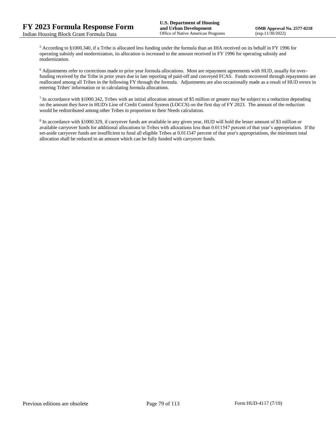<sup>5</sup> According to §1000.340, if a Tribe is allocated less funding under the formula than an IHA received on its behalf in FY 1996 for operating subsidy and modernization, its allocation is increased to the amount received in FY 1996 for operating subsidy and modernization.

<sup>6</sup> Adjustments refer to corrections made to prior year formula allocations. Most are repayment agreements with HUD, usually for overfunding received by the Tribe in prior years due to late reporting of paid-off and conveyed FCAS. Funds recovered through repayments are reallocated among all Tribes in the following FY through the formula. Adjustments are also occasionally made as a result of HUD errors in entering Tribes' information or in calculating formula allocations.

 $^7$  In accordance with §1000.342, Tribes with an initial allocation amount of \$5 million or greater may be subject to a reduction depending on the amount they have in HUD's Line of Credit Control System (LOCCS) on the first day of FY 2023. The amount of the reduction would be redistributed among other Tribes in proportion to their Needs calculation.

<sup>8</sup> In accordance with §1000.329, if carryover funds are available in any given year, HUD will hold the lesser amount of \$3 million or available carryover funds for additional allocations to Tribes with allocations less than 0.011547 percent of that year's appropriation. If the set-aside carryover funds are insufficient to fund all eligible Tribes at 0.011547 percent of that year's appropriations, the minimum total allocation shall be reduced to an amount which can be fully funded with carryover funds.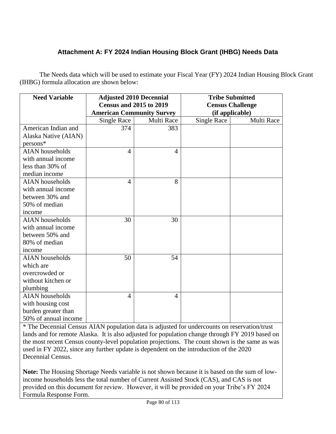# **Attachment A: FY 2024 Indian Housing Block Grant (IHBG) Needs Data**

The Needs data which will be used to estimate your Fiscal Year (FY) 2024 Indian Housing Block Grant (IHBG) formula allocation are shown below:

| <b>Need Variable</b>   | <b>Adjusted 2010 Decennial</b>   |                | <b>Tribe Submitted</b> |                         |
|------------------------|----------------------------------|----------------|------------------------|-------------------------|
|                        | <b>Census and 2015 to 2019</b>   |                |                        | <b>Census Challenge</b> |
|                        | <b>American Community Survey</b> |                | (if applicable)        |                         |
|                        | <b>Single Race</b>               | Multi Race     | <b>Single Race</b>     | Multi Race              |
| American Indian and    | 374                              | 383            |                        |                         |
| Alaska Native (AIAN)   |                                  |                |                        |                         |
| persons*               |                                  |                |                        |                         |
| <b>AIAN</b> households | 4                                | $\overline{4}$ |                        |                         |
| with annual income     |                                  |                |                        |                         |
| less than 30% of       |                                  |                |                        |                         |
| median income          |                                  |                |                        |                         |
| <b>AIAN</b> households | $\overline{4}$                   | 8              |                        |                         |
| with annual income     |                                  |                |                        |                         |
| between 30% and        |                                  |                |                        |                         |
| 50% of median          |                                  |                |                        |                         |
| income                 |                                  |                |                        |                         |
| <b>AIAN</b> households | 30                               | 30             |                        |                         |
| with annual income     |                                  |                |                        |                         |
| between 50% and        |                                  |                |                        |                         |
| 80% of median          |                                  |                |                        |                         |
| income                 |                                  |                |                        |                         |
| <b>AIAN</b> households | 50                               | 54             |                        |                         |
| which are              |                                  |                |                        |                         |
| overcrowded or         |                                  |                |                        |                         |
| without kitchen or     |                                  |                |                        |                         |
| plumbing               |                                  |                |                        |                         |
| <b>AIAN</b> households | 4                                | $\overline{4}$ |                        |                         |
| with housing cost      |                                  |                |                        |                         |
| burden greater than    |                                  |                |                        |                         |
| 50% of annual income   |                                  |                |                        |                         |

\* The Decennial Census AIAN population data is adjusted for undercounts on reservation/trust lands and for remote Alaska. It is also adjusted for population change through FY 2019 based on the most recent Census county-level population projections. The count shown is the same as was used in FY 2022, since any further update is dependent on the introduction of the 2020 Decennial Census.

**Note:** The Housing Shortage Needs variable is not shown because it is based on the sum of lowincome households less the total number of Current Assisted Stock (CAS), and CAS is not provided on this document for review. However, it will be provided on your Tribe's FY 2024 Formula Response Form.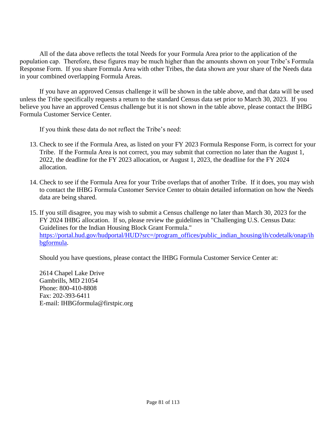All of the data above reflects the total Needs for your Formula Area prior to the application of the population cap. Therefore, these figures may be much higher than the amounts shown on your Tribe's Formula Response Form. If you share Formula Area with other Tribes, the data shown are your share of the Needs data in your combined overlapping Formula Areas.

If you have an approved Census challenge it will be shown in the table above, and that data will be used unless the Tribe specifically requests a return to the standard Census data set prior to March 30, 2023. If you believe you have an approved Census challenge but it is not shown in the table above, please contact the IHBG Formula Customer Service Center.

If you think these data do not reflect the Tribe's need:

- 13. Check to see if the Formula Area, as listed on your FY 2023 Formula Response Form, is correct for your Tribe. If the Formula Area is not correct, you may submit that correction no later than the August 1, 2022, the deadline for the FY 2023 allocation, or August 1, 2023, the deadline for the FY 2024 allocation.
- 14. Check to see if the Formula Area for your Tribe overlaps that of another Tribe. If it does, you may wish to contact the IHBG Formula Customer Service Center to obtain detailed information on how the Needs data are being shared.
- 15. If you still disagree, you may wish to submit a Census challenge no later than March 30, 2023 for the FY 2024 IHBG allocation. If so, please review the guidelines in "Challenging U.S. Census Data: Guidelines for the Indian Housing Block Grant Formula." [https://portal.hud.gov/hudportal/HUD?src=/program\\_offices/public\\_indian\\_housing/ih/codetalk/onap/ih](https://portal.hud.gov/hudportal/HUD?src=/program_offices/public_indian_housing/ih/codetalk/onap/ihbgformula) [bgformula.](https://portal.hud.gov/hudportal/HUD?src=/program_offices/public_indian_housing/ih/codetalk/onap/ihbgformula)

Should you have questions, please contact the IHBG Formula Customer Service Center at:

2614 Chapel Lake Drive Gambrills, MD 21054 Phone: 800-410-8808 Fax: 202-393-6411 E-mail: IHBGformula@firstpic.org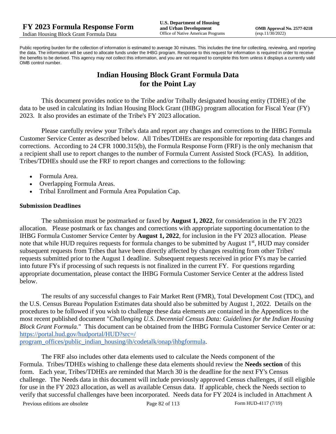Public reporting burden for the collection of information is estimated to average 30 minutes. This includes the time for collecting, reviewing, and reporting the data. The information will be used to allocate funds under the IHBG program. Response to this request for information is required in order to receive the benefits to be derived. This agency may not collect this information, and you are not required to complete this form unless it displays a currently valid OMB control number.

# **Indian Housing Block Grant Formula Data for the Point Lay**

This document provides notice to the Tribe and/or Tribally designated housing entity (TDHE) of the data to be used in calculating its Indian Housing Block Grant (IHBG) program allocation for Fiscal Year (FY) 2023. It also provides an estimate of the Tribe's FY 2023 allocation.

Please carefully review your Tribe's data and report any changes and corrections to the IHBG Formula Customer Service Center as described below. All Tribes/TDHEs are responsible for reporting data changes and corrections. According to 24 CFR 1000.315(b), the Formula Response Form (FRF) is the only mechanism that a recipient shall use to report changes to the number of Formula Current Assisted Stock (FCAS). In addition, Tribes/TDHEs should use the FRF to report changes and corrections to the following:

- Formula Area.
- Overlapping Formula Areas.
- Tribal Enrollment and Formula Area Population Cap.

#### **Submission Deadlines**

The submission must be postmarked or faxed by **August 1, 2022**, for consideration in the FY 2023 allocation. Please postmark or fax changes and corrections with appropriate supporting documentation to the IHBG Formula Customer Service Center by **August 1, 2022**, for inclusion in the FY 2023 allocation. Please note that while HUD requires requests for formula changes to be submitted by August 1<sup>st</sup>, HUD may consider subsequent requests from Tribes that have been directly affected by changes resulting from other Tribes' requests submitted prior to the August 1 deadline. Subsequent requests received in prior FYs may be carried into future FYs if processing of such requests is not finalized in the current FY. For questions regarding appropriate documentation, please contact the IHBG Formula Customer Service Center at the address listed below.

The results of any successful changes to Fair Market Rent (FMR), Total Development Cost (TDC), and the U.S. Census Bureau Population Estimates data should also be submitted by August 1, 2022. Details on the procedures to be followed if you wish to challenge these data elements are contained in the Appendices to the most recent published document "*Challenging U.S. Decennial Census Data: Guidelines for the Indian Housing Block Grant Formula.*" This document can be obtained from the IHBG Formula Customer Service Center or at: [https://portal.hud.gov/hudportal/HUD?src=/](https://portal.hud.gov/hudportal/HUD?src=/program_offices/public_indian_housing/ih/codetalk/onap/ihbgformula) 

[program\\_offices/public\\_indian\\_housing/ih/codetalk/onap/ihbgformula.](https://portal.hud.gov/hudportal/HUD?src=/program_offices/public_indian_housing/ih/codetalk/onap/ihbgformula)

The FRF also includes other data elements used to calculate the Needs component of the Formula. Tribes/TDHEs wishing to challenge these data elements should review the **Needs section** of this form. Each year, Tribes/TDHEs are reminded that March 30 is the deadline for the next FY's Census challenge. The Needs data in this document will include previously approved Census challenges, if still eligible for use in the FY 2023 allocation, as well as available Census data. If applicable, check the Needs section to verify that successful challenges have been incorporated. Needs data for FY 2024 is included in Attachment A

Previous editions are obsolete Page 82 of 113 Form HUD-4117 (7/19)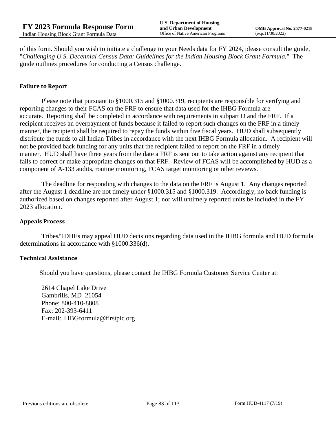of this form. Should you wish to initiate a challenge to your Needs data for FY 2024, please consult the guide, "*Challenging U.S. Decennial Census Data: Guidelines for the Indian Housing Block Grant Formula.*" The guide outlines procedures for conducting a Census challenge.

### **Failure to Report**

Please note that pursuant to §1000.315 and §1000.319, recipients are responsible for verifying and reporting changes to their FCAS on the FRF to ensure that data used for the IHBG Formula are accurate. Reporting shall be completed in accordance with requirements in subpart D and the FRF. If a recipient receives an overpayment of funds because it failed to report such changes on the FRF in a timely manner, the recipient shall be required to repay the funds within five fiscal years. HUD shall subsequently distribute the funds to all Indian Tribes in accordance with the next IHBG Formula allocation. A recipient will not be provided back funding for any units that the recipient failed to report on the FRF in a timely manner. HUD shall have three years from the date a FRF is sent out to take action against any recipient that fails to correct or make appropriate changes on that FRF. Review of FCAS will be accomplished by HUD as a component of A-133 audits, routine monitoring, FCAS target monitoring or other reviews.

The deadline for responding with changes to the data on the FRF is August 1. Any changes reported after the August 1 deadline are not timely under §1000.315 and §1000.319. Accordingly, no back funding is authorized based on changes reported after August 1; nor will untimely reported units be included in the FY 2023 allocation.

#### **Appeals Process**

Tribes/TDHEs may appeal HUD decisions regarding data used in the IHBG formula and HUD formula determinations in accordance with §1000.336(d).

#### **Technical Assistance**

Should you have questions, please contact the IHBG Formula Customer Service Center at:

2614 Chapel Lake Drive Gambrills, MD 21054 Phone: 800-410-8808 Fax: 202-393-6411 E-mail: IHBGformula@firstpic.org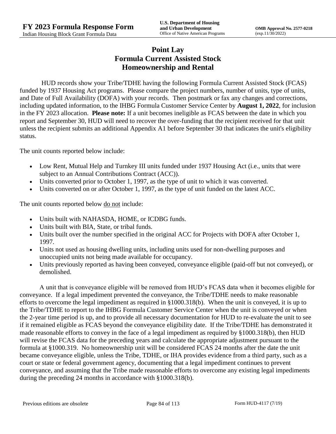# **Point Lay Formula Current Assisted Stock Homeownership and Rental**

HUD records show your Tribe/TDHE having the following Formula Current Assisted Stock (FCAS) funded by 1937 Housing Act programs. Please compare the project numbers, number of units, type of units, and Date of Full Availability (DOFA) with your records. Then postmark or fax any changes and corrections, including updated information, to the IHBG Formula Customer Service Center by **August 1, 2022**, for inclusion in the FY 2023 allocation. **Please note:** If a unit becomes ineligible as FCAS between the date in which you report and September 30, HUD will need to recover the over-funding that the recipient received for that unit unless the recipient submits an additional Appendix A1 before September 30 that indicates the unit's eligibility status.

The unit counts reported below include:

- Low Rent, Mutual Help and Turnkey III units funded under 1937 Housing Act (i.e., units that were subject to an Annual Contributions Contract (ACC)).
- Units converted prior to October 1, 1997, as the type of unit to which it was converted.
- Units converted on or after October 1, 1997, as the type of unit funded on the latest ACC.

The unit counts reported below <u>do not</u> include:

- Units built with NAHASDA, HOME, or ICDBG funds.
- Units built with BIA, State, or tribal funds.
- Units built over the number specified in the original ACC for Projects with DOFA after October 1, 1997.
- Units not used as housing dwelling units, including units used for non-dwelling purposes and unoccupied units not being made available for occupancy.
- Units previously reported as having been conveyed, conveyance eligible (paid-off but not conveyed), or demolished.

A unit that is conveyance eligible will be removed from HUD's FCAS data when it becomes eligible for conveyance. If a legal impediment prevented the conveyance, the Tribe/TDHE needs to make reasonable efforts to overcome the legal impediment as required in §1000.318(b). When the unit is conveyed, it is up to the Tribe/TDHE to report to the IHBG Formula Customer Service Center when the unit is conveyed or when the 2-year time period is up, and to provide all necessary documentation for HUD to re-evaluate the unit to see if it remained eligible as FCAS beyond the conveyance eligibility date. If the Tribe/TDHE has demonstrated it made reasonable efforts to convey in the face of a legal impediment as required by §1000.318(b), then HUD will revise the FCAS data for the preceding years and calculate the appropriate adjustment pursuant to the formula at §1000.319. No homeownership unit will be considered FCAS 24 months after the date the unit became conveyance eligible, unless the Tribe, TDHE, or IHA provides evidence from a third party, such as a court or state or federal government agency, documenting that a legal impediment continues to prevent conveyance, and assuming that the Tribe made reasonable efforts to overcome any existing legal impediments during the preceding 24 months in accordance with §1000.318(b).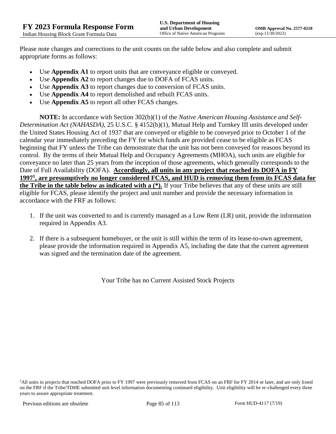Please note changes and corrections to the unit counts on the table below and also complete and submit appropriate forms as follows:

- Use **Appendix A1** to report units that are conveyance eligible or conveyed.
- Use **Appendix A2** to report changes due to DOFA of FCAS units.
- Use **Appendix A3** to report changes due to conversion of FCAS units.
- Use **Appendix A4** to report demolished and rebuilt FCAS units.
- Use **Appendix A5** to report all other FCAS changes.

**NOTE:** In accordance with Section 302(b)(1) of the *Native American Housing Assistance and Self-Determination Act (NAHASDA)*, 25 U.S.C. § 4152(b)(1), Mutual Help and Turnkey III units developed under the United States Housing Act of 1937 that are conveyed or eligible to be conveyed prior to October 1 of the calendar year immediately preceding the FY for which funds are provided cease to be eligible as FCAS beginning that FY unless the Tribe can demonstrate that the unit has not been conveyed for reasons beyond its control. By the terms of their Mutual Help and Occupancy Agreements (MHOA), such units are eligible for conveyance no later than 25 years from the inception of those agreements, which generally corresponds to the Date of Full Availability (DOFA). **Accordingly, all units in any project that reached its DOFA in FY 1997<sup>1</sup> , are presumptively no longer considered FCAS, and HUD is removing them from its FCAS data for the Tribe in the table below as indicated with a (\*).** If your Tribe believes that any of these units are still eligible for FCAS, please identify the project and unit number and provide the necessary information in accordance with the FRF as follows:

- 1. If the unit was converted to and is currently managed as a Low Rent (LR) unit, provide the information required in Appendix A3.
- 2. If there is a subsequent homebuyer, or the unit is still within the term of its lease-to-own agreement, please provide the information required in Appendix A5, including the date that the current agreement was signed and the termination date of the agreement.

Your Tribe has no Current Assisted Stock Projects

<sup>1</sup>All units in projects that reached DOFA prior to FY 1997 were previously removed from FCAS on an FRF for FY 2014 or later, and are only listed on the FRF if the Tribe/TDHE submitted unit level information documenting continued eligibility. Unit eligibility will be re-challenged every three years to assure appropriate treatment.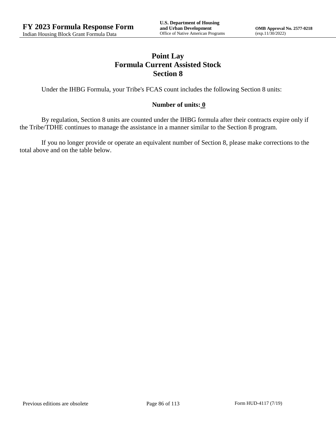# **Point Lay Formula Current Assisted Stock Section 8**

Under the IHBG Formula, your Tribe's FCAS count includes the following Section 8 units:

### **Number of units: 0**

By regulation, Section 8 units are counted under the IHBG formula after their contracts expire only if the Tribe/TDHE continues to manage the assistance in a manner similar to the Section 8 program.

If you no longer provide or operate an equivalent number of Section 8, please make corrections to the total above and on the table below.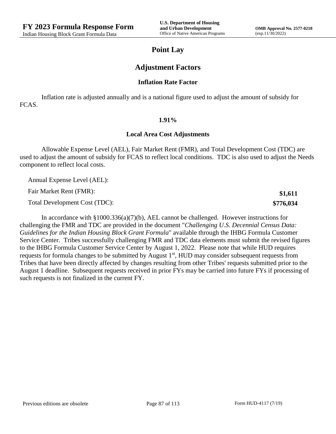**\$1,611 \$776,034**

### **Point Lay**

### **Adjustment Factors**

#### **Inflation Rate Factor**

Inflation rate is adjusted annually and is a national figure used to adjust the amount of subsidy for FCAS.

#### **1.91%**

#### **Local Area Cost Adjustments**

Allowable Expense Level (AEL), Fair Market Rent (FMR), and Total Development Cost (TDC) are used to adjust the amount of subsidy for FCAS to reflect local conditions. TDC is also used to adjust the Needs component to reflect local costs.

Annual Expense Level (AEL):

Fair Market Rent (FMR):

Total Development Cost (TDC):

In accordance with §1000.336(a)(7)(b), AEL cannot be challenged. However instructions for challenging the FMR and TDC are provided in the document "*Challenging U.S. Decennial Census Data: Guidelines for the Indian Housing Block Grant Formula*" available through the IHBG Formula Customer Service Center. Tribes successfully challenging FMR and TDC data elements must submit the revised figures to the IHBG Formula Customer Service Center by August 1, 2022. Please note that while HUD requires requests for formula changes to be submitted by August 1<sup>st</sup>, HUD may consider subsequent requests from Tribes that have been directly affected by changes resulting from other Tribes' requests submitted prior to the August 1 deadline. Subsequent requests received in prior FYs may be carried into future FYs if processing of such requests is not finalized in the current FY.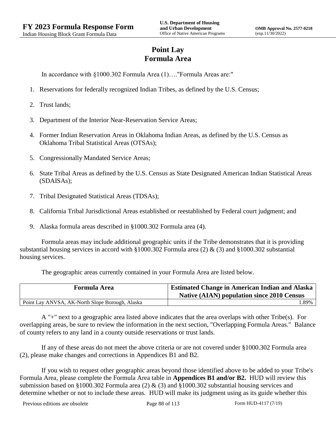# **Point Lay Formula Area**

In accordance with §1000.302 Formula Area (1)…."Formula Areas are:"

- 1. Reservations for federally recognized Indian Tribes, as defined by the U.S. Census;
- 2. Trust lands;
- 3. Department of the Interior Near-Reservation Service Areas;
- 4. Former Indian Reservation Areas in Oklahoma Indian Areas, as defined by the U.S. Census as Oklahoma Tribal Statistical Areas (OTSAs);
- 5. Congressionally Mandated Service Areas;
- 6. State Tribal Areas as defined by the U.S. Census as State Designated American Indian Statistical Areas (SDAISAs);
- 7. Tribal Designated Statistical Areas (TDSAs);
- 8. California Tribal Jurisdictional Areas established or reestablished by Federal court judgment; and
- 9. Alaska formula areas described in §1000.302 Formula area (4).

Formula areas may include additional geographic units if the Tribe demonstrates that it is providing substantial housing services in accord with §1000.302 Formula area (2) & (3) and §1000.302 substantial housing services.

The geographic areas currently contained in your Formula Area are listed below.

| <b>Formula Area</b>                             | <b>Estimated Change in American Indian and Alaska</b><br><b>Native (AIAN) population since 2010 Census</b> |
|-------------------------------------------------|------------------------------------------------------------------------------------------------------------|
| Point Lay ANVSA, AK-North Slope Borough, Alaska | .89%                                                                                                       |

A "+" next to a geographic area listed above indicates that the area overlaps with other Tribe(s). For overlapping areas, be sure to review the information in the next section, "Overlapping Formula Areas." Balance of county refers to any land in a county outside reservations or trust lands.

If any of these areas do not meet the above criteria or are not covered under §1000.302 Formula area (2), please make changes and corrections in Appendices B1 and B2.

If you wish to request other geographic areas beyond those identified above to be added to your Tribe's Formula Area, please complete the Formula Area table in **Appendices B1 and/or B2.** HUD will review this submission based on §1000.302 Formula area (2) & (3) and §1000.302 substantial housing services and determine whether or not to include these areas. HUD will make its judgment using as its guide whether this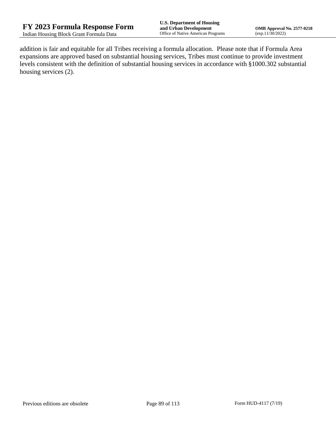addition is fair and equitable for all Tribes receiving a formula allocation. Please note that if Formula Area expansions are approved based on substantial housing services, Tribes must continue to provide investment levels consistent with the definition of substantial housing services in accordance with §1000.302 substantial housing services (2).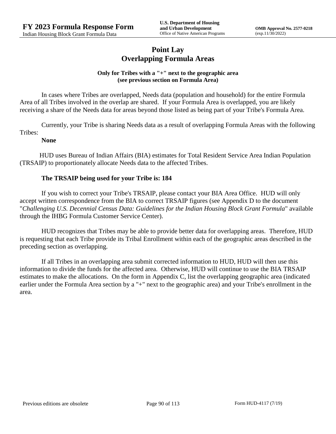## **Point Lay Overlapping Formula Areas**

### **Only for Tribes with a "+" next to the geographic area (see previous section on Formula Area)**

In cases where Tribes are overlapped, Needs data (population and household) for the entire Formula Area of all Tribes involved in the overlap are shared. If your Formula Area is overlapped, you are likely receiving a share of the Needs data for areas beyond those listed as being part of your Tribe's Formula Area.

Currently, your Tribe is sharing Needs data as a result of overlapping Formula Areas with the following Tribes:

#### **None**

HUD uses Bureau of Indian Affairs (BIA) estimates for Total Resident Service Area Indian Population (TRSAIP) to proportionately allocate Needs data to the affected Tribes.

### **The TRSAIP being used for your Tribe is: 184**

If you wish to correct your Tribe's TRSAIP, please contact your BIA Area Office. HUD will only accept written correspondence from the BIA to correct TRSAIP figures (see Appendix D to the document "*Challenging U.S. Decennial Census Data: Guidelines for the Indian Housing Block Grant Formula*" available through the IHBG Formula Customer Service Center).

HUD recognizes that Tribes may be able to provide better data for overlapping areas. Therefore, HUD is requesting that each Tribe provide its Tribal Enrollment within each of the geographic areas described in the preceding section as overlapping.

If all Tribes in an overlapping area submit corrected information to HUD, HUD will then use this information to divide the funds for the affected area. Otherwise, HUD will continue to use the BIA TRSAIP estimates to make the allocations. On the form in Appendix C, list the overlapping geographic area (indicated earlier under the Formula Area section by a "+" next to the geographic area) and your Tribe's enrollment in the area.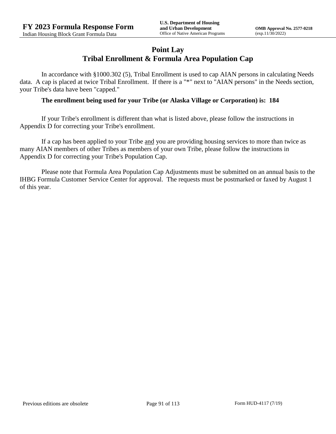## **Point Lay Tribal Enrollment & Formula Area Population Cap**

In accordance with §1000.302 (5), Tribal Enrollment is used to cap AIAN persons in calculating Needs data. A cap is placed at twice Tribal Enrollment. If there is a "\*" next to "AIAN persons" in the Needs section, your Tribe's data have been "capped."

#### **The enrollment being used for your Tribe (or Alaska Village or Corporation) is: 184**

If your Tribe's enrollment is different than what is listed above, please follow the instructions in Appendix D for correcting your Tribe's enrollment.

If a cap has been applied to your Tribe and you are providing housing services to more than twice as many AIAN members of other Tribes as members of your own Tribe, please follow the instructions in Appendix D for correcting your Tribe's Population Cap.

Please note that Formula Area Population Cap Adjustments must be submitted on an annual basis to the IHBG Formula Customer Service Center for approval. The requests must be postmarked or faxed by August 1 of this year.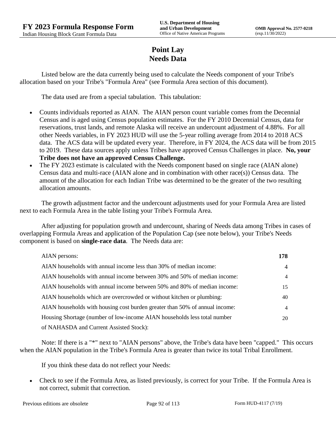# **Point Lay Needs Data**

Listed below are the data currently being used to calculate the Needs component of your Tribe's allocation based on your Tribe's "Formula Area" (see Formula Area section of this document).

The data used are from a special tabulation. This tabulation:

- Counts individuals reported as AIAN. The AIAN person count variable comes from the Decennial Census and is aged using Census population estimates. For the FY 2010 Decennial Census, data for reservations, trust lands, and remote Alaska will receive an undercount adjustment of 4.88%. For all other Needs variables, in FY 2023 HUD will use the 5-year rolling average from 2014 to 2018 ACS data. The ACS data will be updated every year. Therefore, in FY 2024, the ACS data will be from 2015 to 2019. These data sources apply unless Tribes have approved Census Challenges in place. **No, your Tribe does not have an approved Census Challenge.**
- The FY 2023 estimate is calculated with the Needs component based on single race (AIAN alone) Census data and multi-race (AIAN alone and in combination with other race(s)) Census data. The amount of the allocation for each Indian Tribe was determined to be the greater of the two resulting allocation amounts.

The growth adjustment factor and the undercount adjustments used for your Formula Area are listed next to each Formula Area in the table listing your Tribe's Formula Area.

After adjusting for population growth and undercount, sharing of Needs data among Tribes in cases of overlapping Formula Areas and application of the Population Cap (see note below), your Tribe's Needs component is based on **single-race data**. The Needs data are:

| AIAN persons:                                                               | 178 |
|-----------------------------------------------------------------------------|-----|
| AIAN households with annual income less than 30% of median income:          | 4   |
| AIAN households with annual income between 30% and 50% of median income:    | 4   |
| AIAN households with annual income between 50% and 80% of median income:    | 15  |
| AIAN households which are overcrowded or without kitchen or plumbing:       | 40  |
| AIAN households with housing cost burden greater than 50% of annual income: | 4   |
| Housing Shortage (number of low-income AIAN households less total number    | 20  |
| of NAHASDA and Current Assisted Stock):                                     |     |

Note: If there is a "\*" next to "AIAN persons" above, the Tribe's data have been "capped." This occurs when the AIAN population in the Tribe's Formula Area is greater than twice its total Tribal Enrollment.

If you think these data do not reflect your Needs:

 Check to see if the Formula Area, as listed previously, is correct for your Tribe. If the Formula Area is not correct, submit that correction.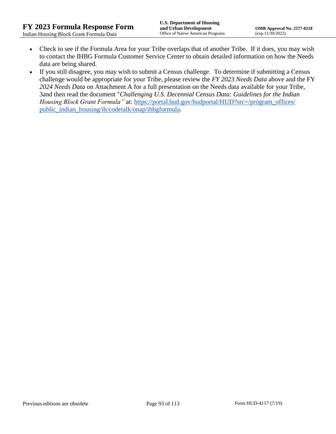- Check to see if the Formula Area for your Tribe overlaps that of another Tribe. If it does, you may wish to contact the IHBG Formula Customer Service Center to obtain detailed information on how the Needs data are being shared.
- If you still disagree, you may wish to submit a Census challenge. To determine if submitting a Census challenge would be appropriate for your Tribe, please review the *FY 2023 Needs Data* above and the FY *2024 Needs Data* on Attachment A for a full presentation on the Needs data available for your Tribe, 3and then read the document "*Challenging U.S. Decennial Census Data: Guidelines for the Indian Housing Block Grant Formula*" at: https://portal.hud.gov/hudportal/HUD?src=/program\_offices/ [public\\_indian\\_housing/ih/codetalk/onap/ihbgformula.](https://portal.hud.gov/hudportal/HUD?src=/program_offices/public_indian_housing/ih/codetalk/onap/ihbgformula)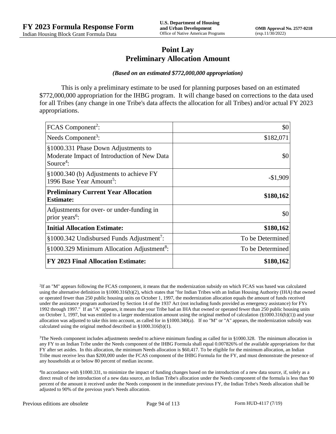## **Point Lay Preliminary Allocation Amount**

#### *(Based on an estimated \$772,000,000 appropriation)*

This is only a preliminary estimate to be used for planning purposes based on an estimated \$772,000,000 appropriation for the IHBG program. It will change based on corrections to the data used for all Tribes (any change in one Tribe's data affects the allocation for all Tribes) and/or actual FY 2023 appropriations.

| FCAS Component <sup>2</sup> :                                                                               | \$0              |
|-------------------------------------------------------------------------------------------------------------|------------------|
| Needs Component <sup>3</sup> :                                                                              | \$182,071        |
| §1000.331 Phase Down Adjustments to<br>Moderate Impact of Introduction of New Data<br>Source <sup>4</sup> : | \$0              |
| §1000.340 (b) Adjustments to achieve FY<br>1996 Base Year Amount <sup>5</sup> :                             | $-$1,909$        |
| <b>Preliminary Current Year Allocation</b><br><b>Estimate:</b>                                              | \$180,162        |
| Adjustments for over- or under-funding in<br>prior years <sup>6</sup> :                                     | \$0              |
| <b>Initial Allocation Estimate:</b>                                                                         | \$180,162        |
| §1000.342 Undisbursed Funds Adjustment <sup>7</sup> :                                                       | To be Determined |
| §1000.329 Minimum Allocation Adjustment <sup>8</sup> :                                                      | To be Determined |
| <b>FY 2023 Final Allocation Estimate:</b>                                                                   | \$180,162        |

2 If an "M" appears following the FCAS component, it means that the modernization subsidy on which FCAS was based was calculated using the alternative definition in §1000.316(b)(2), which states that "for Indian Tribes with an Indian Housing Authority (IHA) that owned or operated fewer than 250 public housing units on October 1, 1997, the modernization allocation equals the amount of funds received under the assistance program authorized by Section 14 of the 1937 Act (not including funds provided as emergency assistance) for FYs 1992 through 1997." If an "A" appears, it means that your Tribe had an IHA that owned or operated fewer than 250 public housing units on October 1, 1997, but was entitled to a larger modernization amount using the original method of calculation (§1000.316(b)(1)) and your allocation was adjusted to take this into account, as called for in  $\S1000.340(a)$ . If no "M" or "A" appears, the modernization subsidy was calculated using the original method described in §1000.316(b)(1).

 $3$ The Needs component includes adjustments needed to achieve minimum funding as called for in §1000.328. The minimum allocation in any FY to an Indian Tribe under the Needs component of the IHBG Formula shall equal 0.007826% of the available appropriations for that FY after set asides. In this allocation, the minimum Needs allocation is \$60,417. To be eligible for the minimum allocation, an Indian Tribe must receive less than \$200,000 under the FCAS component of the IHBG Formula for the FY, and must demonstrate the presence of any households at or below 80 percent of median income.

4 In accordance with §1000.331, to minimize the impact of funding changes based on the introduction of a new data source, if, solely as a direct result of the introduction of a new data source, an Indian Tribe's allocation under the Needs component of the formula is less than 90 percent of the amount it received under the Needs component in the immediate previous FY, the Indian Tribe's Needs allocation shall be adjusted to 90% of the previous year's Needs allocation.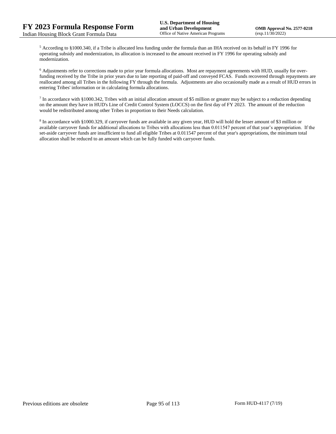<sup>5</sup> According to §1000.340, if a Tribe is allocated less funding under the formula than an IHA received on its behalf in FY 1996 for operating subsidy and modernization, its allocation is increased to the amount received in FY 1996 for operating subsidy and modernization.

<sup>6</sup> Adjustments refer to corrections made to prior year formula allocations. Most are repayment agreements with HUD, usually for overfunding received by the Tribe in prior years due to late reporting of paid-off and conveyed FCAS. Funds recovered through repayments are reallocated among all Tribes in the following FY through the formula. Adjustments are also occasionally made as a result of HUD errors in entering Tribes' information or in calculating formula allocations.

 $^7$  In accordance with §1000.342, Tribes with an initial allocation amount of \$5 million or greater may be subject to a reduction depending on the amount they have in HUD's Line of Credit Control System (LOCCS) on the first day of FY 2023. The amount of the reduction would be redistributed among other Tribes in proportion to their Needs calculation.

<sup>8</sup> In accordance with §1000.329, if carryover funds are available in any given year, HUD will hold the lesser amount of \$3 million or available carryover funds for additional allocations to Tribes with allocations less than 0.011547 percent of that year's appropriation. If the set-aside carryover funds are insufficient to fund all eligible Tribes at 0.011547 percent of that year's appropriations, the minimum total allocation shall be reduced to an amount which can be fully funded with carryover funds.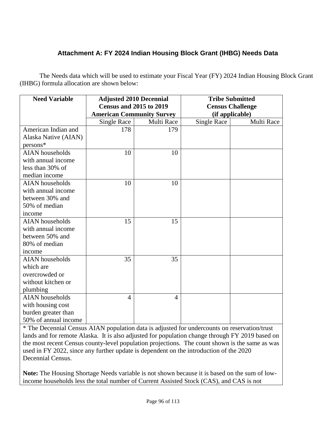# **Attachment A: FY 2024 Indian Housing Block Grant (IHBG) Needs Data**

The Needs data which will be used to estimate your Fiscal Year (FY) 2024 Indian Housing Block Grant (IHBG) formula allocation are shown below:

| <b>Need Variable</b>   | <b>Adjusted 2010 Decennial</b><br><b>Census and 2015 to 2019</b> |                | <b>Tribe Submitted</b><br><b>Census Challenge</b> |                 |
|------------------------|------------------------------------------------------------------|----------------|---------------------------------------------------|-----------------|
|                        | <b>American Community Survey</b>                                 |                |                                                   | (if applicable) |
|                        | Single Race                                                      | Multi Race     | <b>Single Race</b>                                | Multi Race      |
| American Indian and    | 178                                                              | 179            |                                                   |                 |
| Alaska Native (AIAN)   |                                                                  |                |                                                   |                 |
| persons*               |                                                                  |                |                                                   |                 |
| <b>AIAN</b> households | 10                                                               | 10             |                                                   |                 |
| with annual income     |                                                                  |                |                                                   |                 |
| less than 30% of       |                                                                  |                |                                                   |                 |
| median income          |                                                                  |                |                                                   |                 |
| <b>AIAN</b> households | 10                                                               | 10             |                                                   |                 |
| with annual income     |                                                                  |                |                                                   |                 |
| between 30% and        |                                                                  |                |                                                   |                 |
| 50% of median          |                                                                  |                |                                                   |                 |
| income                 |                                                                  |                |                                                   |                 |
| <b>AIAN</b> households | 15                                                               | 15             |                                                   |                 |
| with annual income     |                                                                  |                |                                                   |                 |
| between 50% and        |                                                                  |                |                                                   |                 |
| 80% of median          |                                                                  |                |                                                   |                 |
| income                 |                                                                  |                |                                                   |                 |
| <b>AIAN</b> households | 35                                                               | 35             |                                                   |                 |
| which are              |                                                                  |                |                                                   |                 |
| overcrowded or         |                                                                  |                |                                                   |                 |
| without kitchen or     |                                                                  |                |                                                   |                 |
| plumbing               |                                                                  |                |                                                   |                 |
| <b>AIAN</b> households | 4                                                                | $\overline{4}$ |                                                   |                 |
| with housing cost      |                                                                  |                |                                                   |                 |
| burden greater than    |                                                                  |                |                                                   |                 |
| 50% of annual income   |                                                                  |                |                                                   |                 |

\* The Decennial Census AIAN population data is adjusted for undercounts on reservation/trust lands and for remote Alaska. It is also adjusted for population change through FY 2019 based on the most recent Census county-level population projections. The count shown is the same as was used in FY 2022, since any further update is dependent on the introduction of the 2020 Decennial Census.

**Note:** The Housing Shortage Needs variable is not shown because it is based on the sum of lowincome households less the total number of Current Assisted Stock (CAS), and CAS is not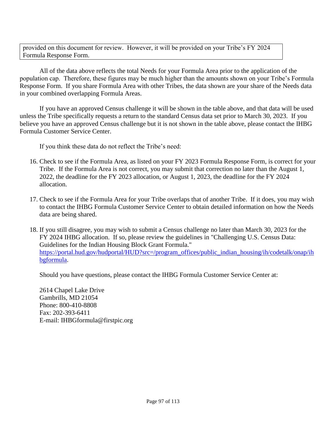provided on this document for review. However, it will be provided on your Tribe's FY 2024 Formula Response Form.

All of the data above reflects the total Needs for your Formula Area prior to the application of the population cap. Therefore, these figures may be much higher than the amounts shown on your Tribe's Formula Response Form. If you share Formula Area with other Tribes, the data shown are your share of the Needs data in your combined overlapping Formula Areas.

If you have an approved Census challenge it will be shown in the table above, and that data will be used unless the Tribe specifically requests a return to the standard Census data set prior to March 30, 2023. If you believe you have an approved Census challenge but it is not shown in the table above, please contact the IHBG Formula Customer Service Center.

If you think these data do not reflect the Tribe's need:

- 16. Check to see if the Formula Area, as listed on your FY 2023 Formula Response Form, is correct for your Tribe. If the Formula Area is not correct, you may submit that correction no later than the August 1, 2022, the deadline for the FY 2023 allocation, or August 1, 2023, the deadline for the FY 2024 allocation.
- 17. Check to see if the Formula Area for your Tribe overlaps that of another Tribe. If it does, you may wish to contact the IHBG Formula Customer Service Center to obtain detailed information on how the Needs data are being shared.

18. If you still disagree, you may wish to submit a Census challenge no later than March 30, 2023 for the FY 2024 IHBG allocation. If so, please review the guidelines in "Challenging U.S. Census Data: Guidelines for the Indian Housing Block Grant Formula." [https://portal.hud.gov/hudportal/HUD?src=/program\\_offices/public\\_indian\\_housing/ih/codetalk/onap/ih](https://portal.hud.gov/hudportal/HUD?src=/program_offices/public_indian_housing/ih/codetalk/onap/ihbgformula) [bgformula.](https://portal.hud.gov/hudportal/HUD?src=/program_offices/public_indian_housing/ih/codetalk/onap/ihbgformula)

Should you have questions, please contact the IHBG Formula Customer Service Center at:

2614 Chapel Lake Drive Gambrills, MD 21054 Phone: 800-410-8808 Fax: 202-393-6411 E-mail: IHBGformula@firstpic.org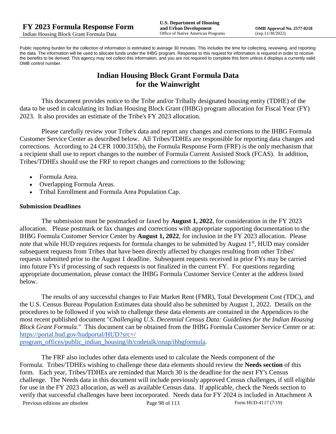Public reporting burden for the collection of information is estimated to average 30 minutes. This includes the time for collecting, reviewing, and reporting the data. The information will be used to allocate funds under the IHBG program. Response to this request for information is required in order to receive the benefits to be derived. This agency may not collect this information, and you are not required to complete this form unless it displays a currently valid OMB control number.

# **Indian Housing Block Grant Formula Data for the Wainwright**

This document provides notice to the Tribe and/or Tribally designated housing entity (TDHE) of the data to be used in calculating its Indian Housing Block Grant (IHBG) program allocation for Fiscal Year (FY) 2023. It also provides an estimate of the Tribe's FY 2023 allocation.

Please carefully review your Tribe's data and report any changes and corrections to the IHBG Formula Customer Service Center as described below. All Tribes/TDHEs are responsible for reporting data changes and corrections. According to 24 CFR 1000.315(b), the Formula Response Form (FRF) is the only mechanism that a recipient shall use to report changes to the number of Formula Current Assisted Stock (FCAS). In addition, Tribes/TDHEs should use the FRF to report changes and corrections to the following:

- Formula Area.
- Overlapping Formula Areas.
- Tribal Enrollment and Formula Area Population Cap.

### **Submission Deadlines**

The submission must be postmarked or faxed by **August 1, 2022**, for consideration in the FY 2023 allocation. Please postmark or fax changes and corrections with appropriate supporting documentation to the IHBG Formula Customer Service Center by **August 1, 2022**, for inclusion in the FY 2023 allocation. Please note that while HUD requires requests for formula changes to be submitted by August 1<sup>st</sup>, HUD may consider subsequent requests from Tribes that have been directly affected by changes resulting from other Tribes' requests submitted prior to the August 1 deadline. Subsequent requests received in prior FYs may be carried into future FYs if processing of such requests is not finalized in the current FY. For questions regarding appropriate documentation, please contact the IHBG Formula Customer Service Center at the address listed below.

The results of any successful changes to Fair Market Rent (FMR), Total Development Cost (TDC), and the U.S. Census Bureau Population Estimates data should also be submitted by August 1, 2022. Details on the procedures to be followed if you wish to challenge these data elements are contained in the Appendices to the most recent published document "*Challenging U.S. Decennial Census Data: Guidelines for the Indian Housing Block Grant Formula.*" This document can be obtained from the IHBG Formula Customer Service Center or at: [https://portal.hud.gov/hudportal/HUD?src=/](https://portal.hud.gov/hudportal/HUD?src=/program_offices/public_indian_housing/ih/codetalk/onap/ihbgformula) 

[program\\_offices/public\\_indian\\_housing/ih/codetalk/onap/ihbgformula.](https://portal.hud.gov/hudportal/HUD?src=/program_offices/public_indian_housing/ih/codetalk/onap/ihbgformula)

Previous editions are obsolete Page 98 of 113 Form HUD-4117 (7/19) The FRF also includes other data elements used to calculate the Needs component of the Formula. Tribes/TDHEs wishing to challenge these data elements should review the **Needs section** of this form. Each year, Tribes/TDHEs are reminded that March 30 is the deadline for the next FY's Census challenge. The Needs data in this document will include previously approved Census challenges, if still eligible for use in the FY 2023 allocation, as well as available Census data. If applicable, check the Needs section to verify that successful challenges have been incorporated. Needs data for FY 2024 is included in Attachment A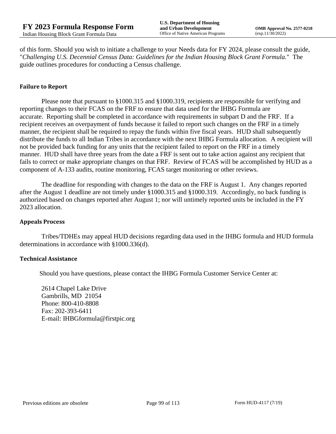of this form. Should you wish to initiate a challenge to your Needs data for FY 2024, please consult the guide, "*Challenging U.S. Decennial Census Data: Guidelines for the Indian Housing Block Grant Formula.*" The guide outlines procedures for conducting a Census challenge.

#### **Failure to Report**

Please note that pursuant to §1000.315 and §1000.319, recipients are responsible for verifying and reporting changes to their FCAS on the FRF to ensure that data used for the IHBG Formula are accurate. Reporting shall be completed in accordance with requirements in subpart D and the FRF. If a recipient receives an overpayment of funds because it failed to report such changes on the FRF in a timely manner, the recipient shall be required to repay the funds within five fiscal years. HUD shall subsequently distribute the funds to all Indian Tribes in accordance with the next IHBG Formula allocation. A recipient will not be provided back funding for any units that the recipient failed to report on the FRF in a timely manner. HUD shall have three years from the date a FRF is sent out to take action against any recipient that fails to correct or make appropriate changes on that FRF. Review of FCAS will be accomplished by HUD as a component of A-133 audits, routine monitoring, FCAS target monitoring or other reviews.

The deadline for responding with changes to the data on the FRF is August 1. Any changes reported after the August 1 deadline are not timely under §1000.315 and §1000.319. Accordingly, no back funding is authorized based on changes reported after August 1; nor will untimely reported units be included in the FY 2023 allocation.

#### **Appeals Process**

Tribes/TDHEs may appeal HUD decisions regarding data used in the IHBG formula and HUD formula determinations in accordance with §1000.336(d).

#### **Technical Assistance**

Should you have questions, please contact the IHBG Formula Customer Service Center at:

2614 Chapel Lake Drive Gambrills, MD 21054 Phone: 800-410-8808 Fax: 202-393-6411 E-mail: IHBGformula@firstpic.org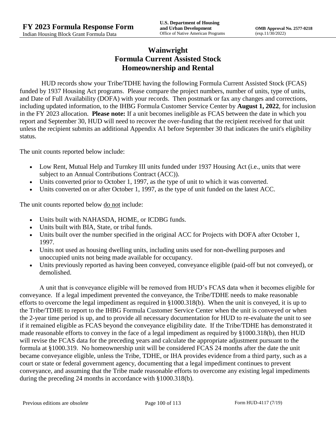# **Wainwright Formula Current Assisted Stock Homeownership and Rental**

HUD records show your Tribe/TDHE having the following Formula Current Assisted Stock (FCAS) funded by 1937 Housing Act programs. Please compare the project numbers, number of units, type of units, and Date of Full Availability (DOFA) with your records. Then postmark or fax any changes and corrections, including updated information, to the IHBG Formula Customer Service Center by **August 1, 2022**, for inclusion in the FY 2023 allocation. **Please note:** If a unit becomes ineligible as FCAS between the date in which you report and September 30, HUD will need to recover the over-funding that the recipient received for that unit unless the recipient submits an additional Appendix A1 before September 30 that indicates the unit's eligibility status.

The unit counts reported below include:

- Low Rent, Mutual Help and Turnkey III units funded under 1937 Housing Act (i.e., units that were subject to an Annual Contributions Contract (ACC)).
- Units converted prior to October 1, 1997, as the type of unit to which it was converted.
- Units converted on or after October 1, 1997, as the type of unit funded on the latest ACC.

The unit counts reported below <u>do not</u> include:

- Units built with NAHASDA, HOME, or ICDBG funds.
- Units built with BIA, State, or tribal funds.
- Units built over the number specified in the original ACC for Projects with DOFA after October 1, 1997.
- Units not used as housing dwelling units, including units used for non-dwelling purposes and unoccupied units not being made available for occupancy.
- Units previously reported as having been conveyed, conveyance eligible (paid-off but not conveyed), or demolished.

A unit that is conveyance eligible will be removed from HUD's FCAS data when it becomes eligible for conveyance. If a legal impediment prevented the conveyance, the Tribe/TDHE needs to make reasonable efforts to overcome the legal impediment as required in §1000.318(b). When the unit is conveyed, it is up to the Tribe/TDHE to report to the IHBG Formula Customer Service Center when the unit is conveyed or when the 2-year time period is up, and to provide all necessary documentation for HUD to re-evaluate the unit to see if it remained eligible as FCAS beyond the conveyance eligibility date. If the Tribe/TDHE has demonstrated it made reasonable efforts to convey in the face of a legal impediment as required by §1000.318(b), then HUD will revise the FCAS data for the preceding years and calculate the appropriate adjustment pursuant to the formula at §1000.319. No homeownership unit will be considered FCAS 24 months after the date the unit became conveyance eligible, unless the Tribe, TDHE, or IHA provides evidence from a third party, such as a court or state or federal government agency, documenting that a legal impediment continues to prevent conveyance, and assuming that the Tribe made reasonable efforts to overcome any existing legal impediments during the preceding 24 months in accordance with §1000.318(b).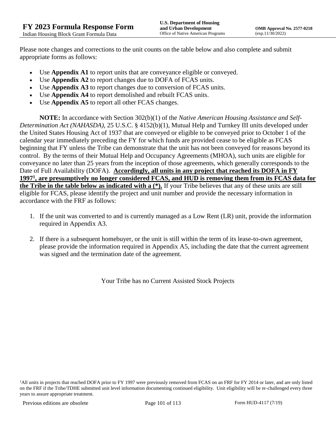Please note changes and corrections to the unit counts on the table below and also complete and submit appropriate forms as follows:

- Use **Appendix A1** to report units that are conveyance eligible or conveyed.
- Use **Appendix A2** to report changes due to DOFA of FCAS units.
- Use **Appendix A3** to report changes due to conversion of FCAS units.
- Use **Appendix A4** to report demolished and rebuilt FCAS units.
- Use **Appendix A5** to report all other FCAS changes.

**NOTE:** In accordance with Section 302(b)(1) of the *Native American Housing Assistance and Self-Determination Act (NAHASDA)*, 25 U.S.C. § 4152(b)(1), Mutual Help and Turnkey III units developed under the United States Housing Act of 1937 that are conveyed or eligible to be conveyed prior to October 1 of the calendar year immediately preceding the FY for which funds are provided cease to be eligible as FCAS beginning that FY unless the Tribe can demonstrate that the unit has not been conveyed for reasons beyond its control. By the terms of their Mutual Help and Occupancy Agreements (MHOA), such units are eligible for conveyance no later than 25 years from the inception of those agreements, which generally corresponds to the Date of Full Availability (DOFA). **Accordingly, all units in any project that reached its DOFA in FY 1997<sup>1</sup> , are presumptively no longer considered FCAS, and HUD is removing them from its FCAS data for the Tribe in the table below as indicated with a (\*).** If your Tribe believes that any of these units are still eligible for FCAS, please identify the project and unit number and provide the necessary information in accordance with the FRF as follows:

- 1. If the unit was converted to and is currently managed as a Low Rent (LR) unit, provide the information required in Appendix A3.
- 2. If there is a subsequent homebuyer, or the unit is still within the term of its lease-to-own agreement, please provide the information required in Appendix A5, including the date that the current agreement was signed and the termination date of the agreement.

Your Tribe has no Current Assisted Stock Projects

<sup>&</sup>lt;sup>1</sup>All units in projects that reached DOFA prior to FY 1997 were previously removed from FCAS on an FRF for FY 2014 or later, and are only listed on the FRF if the Tribe/TDHE submitted unit level information documenting continued eligibility. Unit eligibility will be re-challenged every three years to assure appropriate treatment.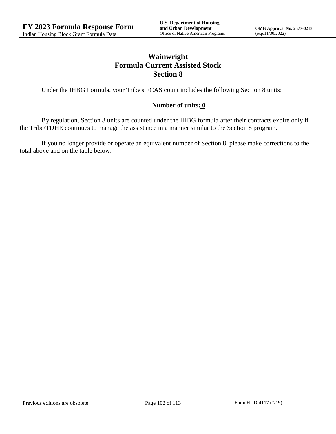# **Wainwright Formula Current Assisted Stock Section 8**

Under the IHBG Formula, your Tribe's FCAS count includes the following Section 8 units:

### **Number of units: 0**

By regulation, Section 8 units are counted under the IHBG formula after their contracts expire only if the Tribe/TDHE continues to manage the assistance in a manner similar to the Section 8 program.

If you no longer provide or operate an equivalent number of Section 8, please make corrections to the total above and on the table below.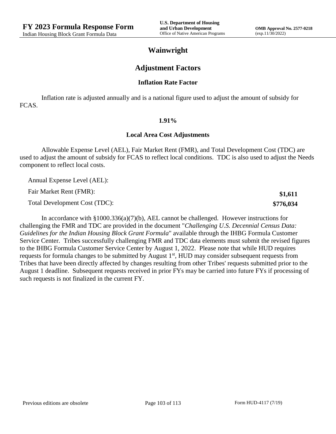**\$1,611 \$776,034**

## **Wainwright**

### **Adjustment Factors**

#### **Inflation Rate Factor**

Inflation rate is adjusted annually and is a national figure used to adjust the amount of subsidy for FCAS.

#### **1.91%**

#### **Local Area Cost Adjustments**

Allowable Expense Level (AEL), Fair Market Rent (FMR), and Total Development Cost (TDC) are used to adjust the amount of subsidy for FCAS to reflect local conditions. TDC is also used to adjust the Needs component to reflect local costs.

Annual Expense Level (AEL):

Fair Market Rent (FMR):

Total Development Cost (TDC):

In accordance with §1000.336(a)(7)(b), AEL cannot be challenged. However instructions for challenging the FMR and TDC are provided in the document "*Challenging U.S. Decennial Census Data: Guidelines for the Indian Housing Block Grant Formula*" available through the IHBG Formula Customer Service Center. Tribes successfully challenging FMR and TDC data elements must submit the revised figures to the IHBG Formula Customer Service Center by August 1, 2022. Please note that while HUD requires requests for formula changes to be submitted by August 1<sup>st</sup>, HUD may consider subsequent requests from Tribes that have been directly affected by changes resulting from other Tribes' requests submitted prior to the August 1 deadline. Subsequent requests received in prior FYs may be carried into future FYs if processing of such requests is not finalized in the current FY.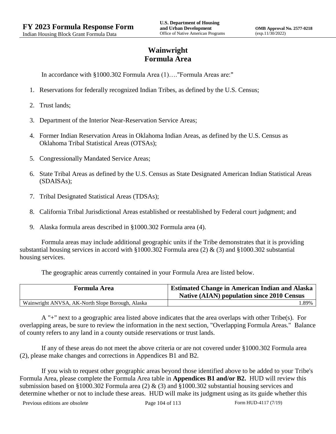# **Wainwright Formula Area**

In accordance with §1000.302 Formula Area (1)…."Formula Areas are:"

- 1. Reservations for federally recognized Indian Tribes, as defined by the U.S. Census;
- 2. Trust lands;
- 3. Department of the Interior Near-Reservation Service Areas;
- 4. Former Indian Reservation Areas in Oklahoma Indian Areas, as defined by the U.S. Census as Oklahoma Tribal Statistical Areas (OTSAs);
- 5. Congressionally Mandated Service Areas;
- 6. State Tribal Areas as defined by the U.S. Census as State Designated American Indian Statistical Areas (SDAISAs);
- 7. Tribal Designated Statistical Areas (TDSAs);
- 8. California Tribal Jurisdictional Areas established or reestablished by Federal court judgment; and
- 9. Alaska formula areas described in §1000.302 Formula area (4).

Formula areas may include additional geographic units if the Tribe demonstrates that it is providing substantial housing services in accord with §1000.302 Formula area (2) & (3) and §1000.302 substantial housing services.

The geographic areas currently contained in your Formula Area are listed below.

| <b>Formula Area</b>                              | <b>Estimated Change in American Indian and Alaska</b><br><b>Native (AIAN) population since 2010 Census</b> |
|--------------------------------------------------|------------------------------------------------------------------------------------------------------------|
| Wainwright ANVSA, AK-North Slope Borough, Alaska | .89%                                                                                                       |

A "+" next to a geographic area listed above indicates that the area overlaps with other Tribe(s). For overlapping areas, be sure to review the information in the next section, "Overlapping Formula Areas." Balance of county refers to any land in a county outside reservations or trust lands.

If any of these areas do not meet the above criteria or are not covered under §1000.302 Formula area (2), please make changes and corrections in Appendices B1 and B2.

If you wish to request other geographic areas beyond those identified above to be added to your Tribe's Formula Area, please complete the Formula Area table in **Appendices B1 and/or B2.** HUD will review this submission based on §1000.302 Formula area (2)  $\&$  (3) and §1000.302 substantial housing services and determine whether or not to include these areas. HUD will make its judgment using as its guide whether this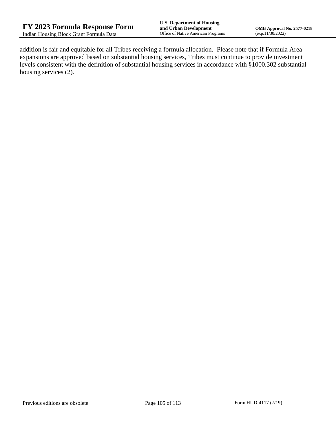addition is fair and equitable for all Tribes receiving a formula allocation. Please note that if Formula Area expansions are approved based on substantial housing services, Tribes must continue to provide investment levels consistent with the definition of substantial housing services in accordance with §1000.302 substantial housing services (2).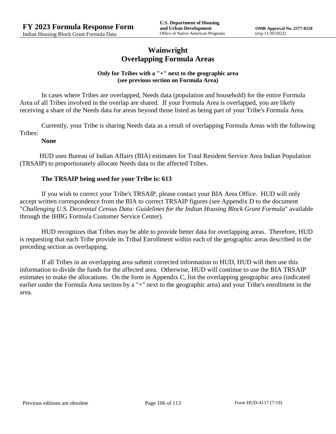## **Wainwright Overlapping Formula Areas**

### **Only for Tribes with a "+" next to the geographic area (see previous section on Formula Area)**

In cases where Tribes are overlapped, Needs data (population and household) for the entire Formula Area of all Tribes involved in the overlap are shared. If your Formula Area is overlapped, you are likely receiving a share of the Needs data for areas beyond those listed as being part of your Tribe's Formula Area.

Currently, your Tribe is sharing Needs data as a result of overlapping Formula Areas with the following Tribes:

#### **None**

HUD uses Bureau of Indian Affairs (BIA) estimates for Total Resident Service Area Indian Population (TRSAIP) to proportionately allocate Needs data to the affected Tribes.

### **The TRSAIP being used for your Tribe is: 613**

If you wish to correct your Tribe's TRSAIP, please contact your BIA Area Office. HUD will only accept written correspondence from the BIA to correct TRSAIP figures (see Appendix D to the document "*Challenging U.S. Decennial Census Data: Guidelines for the Indian Housing Block Grant Formula*" available through the IHBG Formula Customer Service Center).

HUD recognizes that Tribes may be able to provide better data for overlapping areas. Therefore, HUD is requesting that each Tribe provide its Tribal Enrollment within each of the geographic areas described in the preceding section as overlapping.

If all Tribes in an overlapping area submit corrected information to HUD, HUD will then use this information to divide the funds for the affected area. Otherwise, HUD will continue to use the BIA TRSAIP estimates to make the allocations. On the form in Appendix C, list the overlapping geographic area (indicated earlier under the Formula Area section by a "+" next to the geographic area) and your Tribe's enrollment in the area.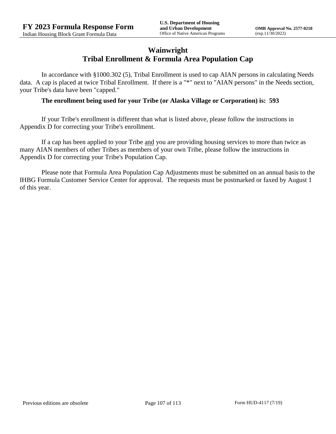## **Wainwright Tribal Enrollment & Formula Area Population Cap**

In accordance with §1000.302 (5), Tribal Enrollment is used to cap AIAN persons in calculating Needs data. A cap is placed at twice Tribal Enrollment. If there is a "\*" next to "AIAN persons" in the Needs section, your Tribe's data have been "capped."

### **The enrollment being used for your Tribe (or Alaska Village or Corporation) is: 593**

If your Tribe's enrollment is different than what is listed above, please follow the instructions in Appendix D for correcting your Tribe's enrollment.

If a cap has been applied to your Tribe and you are providing housing services to more than twice as many AIAN members of other Tribes as members of your own Tribe, please follow the instructions in Appendix D for correcting your Tribe's Population Cap.

Please note that Formula Area Population Cap Adjustments must be submitted on an annual basis to the IHBG Formula Customer Service Center for approval. The requests must be postmarked or faxed by August 1 of this year.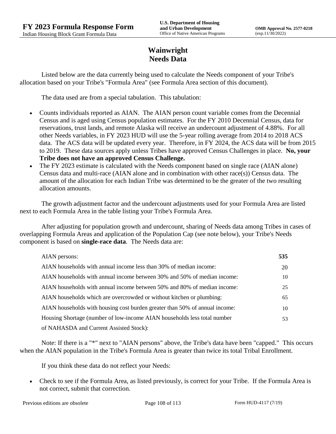## **Wainwright Needs Data**

Listed below are the data currently being used to calculate the Needs component of your Tribe's allocation based on your Tribe's "Formula Area" (see Formula Area section of this document).

The data used are from a special tabulation. This tabulation:

- Counts individuals reported as AIAN. The AIAN person count variable comes from the Decennial Census and is aged using Census population estimates. For the FY 2010 Decennial Census, data for reservations, trust lands, and remote Alaska will receive an undercount adjustment of 4.88%. For all other Needs variables, in FY 2023 HUD will use the 5-year rolling average from 2014 to 2018 ACS data. The ACS data will be updated every year. Therefore, in FY 2024, the ACS data will be from 2015 to 2019. These data sources apply unless Tribes have approved Census Challenges in place. **No, your Tribe does not have an approved Census Challenge.**
- The FY 2023 estimate is calculated with the Needs component based on single race (AIAN alone) Census data and multi-race (AIAN alone and in combination with other race(s)) Census data. The amount of the allocation for each Indian Tribe was determined to be the greater of the two resulting allocation amounts.

The growth adjustment factor and the undercount adjustments used for your Formula Area are listed next to each Formula Area in the table listing your Tribe's Formula Area.

After adjusting for population growth and undercount, sharing of Needs data among Tribes in cases of overlapping Formula Areas and application of the Population Cap (see note below), your Tribe's Needs component is based on **single-race data**. The Needs data are:

| AIAN persons:                                                               | 535 |
|-----------------------------------------------------------------------------|-----|
| AIAN households with annual income less than 30% of median income:          | 20  |
| AIAN households with annual income between 30% and 50% of median income:    | 10  |
| AIAN households with annual income between 50% and 80% of median income:    | 25  |
| AIAN households which are overcrowded or without kitchen or plumbing:       | 65  |
| AIAN households with housing cost burden greater than 50% of annual income: | 10  |
| Housing Shortage (number of low-income AIAN households less total number    | 53  |
| of NAHASDA and Current Assisted Stock):                                     |     |

Note: If there is a "\*" next to "AIAN persons" above, the Tribe's data have been "capped." This occurs when the AIAN population in the Tribe's Formula Area is greater than twice its total Tribal Enrollment.

If you think these data do not reflect your Needs:

 Check to see if the Formula Area, as listed previously, is correct for your Tribe. If the Formula Area is not correct, submit that correction.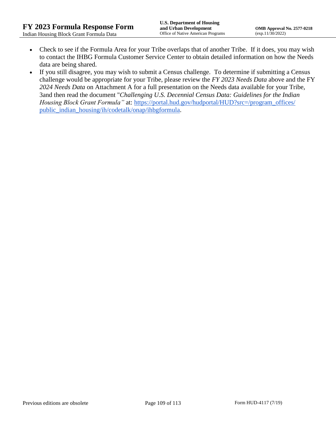- Check to see if the Formula Area for your Tribe overlaps that of another Tribe. If it does, you may wish to contact the IHBG Formula Customer Service Center to obtain detailed information on how the Needs data are being shared.
- If you still disagree, you may wish to submit a Census challenge. To determine if submitting a Census challenge would be appropriate for your Tribe, please review the *FY 2023 Needs Data* above and the FY *2024 Needs Data* on Attachment A for a full presentation on the Needs data available for your Tribe, 3and then read the document "*Challenging U.S. Decennial Census Data: Guidelines for the Indian Housing Block Grant Formula*" at: https://portal.hud.gov/hudportal/HUD?src=/program\_offices/ [public\\_indian\\_housing/ih/codetalk/onap/ihbgformula.](https://portal.hud.gov/hudportal/HUD?src=/program_offices/public_indian_housing/ih/codetalk/onap/ihbgformula)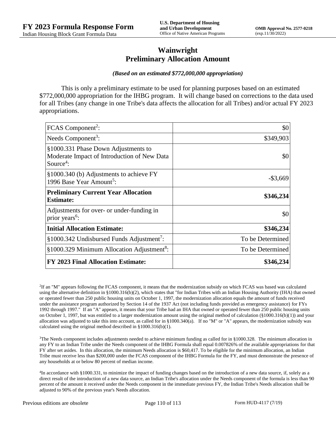## **Wainwright Preliminary Allocation Amount**

## *(Based on an estimated \$772,000,000 appropriation)*

This is only a preliminary estimate to be used for planning purposes based on an estimated \$772,000,000 appropriation for the IHBG program. It will change based on corrections to the data used for all Tribes (any change in one Tribe's data affects the allocation for all Tribes) and/or actual FY 2023 appropriations.

| FCAS Component <sup>2</sup> :                                                                               | \$0              |
|-------------------------------------------------------------------------------------------------------------|------------------|
| Needs Component <sup>3</sup> :                                                                              | \$349,903        |
| §1000.331 Phase Down Adjustments to<br>Moderate Impact of Introduction of New Data<br>Source <sup>4</sup> : | \$0              |
| §1000.340 (b) Adjustments to achieve FY<br>1996 Base Year Amount <sup>5</sup> :                             | $-$ \$3,669      |
| <b>Preliminary Current Year Allocation</b><br><b>Estimate:</b>                                              | \$346,234        |
| Adjustments for over- or under-funding in<br>prior years <sup>6</sup> :                                     | \$0              |
| <b>Initial Allocation Estimate:</b>                                                                         | \$346,234        |
| §1000.342 Undisbursed Funds Adjustment <sup>7</sup> :                                                       | To be Determined |
| §1000.329 Minimum Allocation Adjustment <sup>8</sup> :                                                      | To be Determined |
| <b>FY 2023 Final Allocation Estimate:</b>                                                                   | \$346,234        |

2 If an "M" appears following the FCAS component, it means that the modernization subsidy on which FCAS was based was calculated using the alternative definition in §1000.316(b)(2), which states that "for Indian Tribes with an Indian Housing Authority (IHA) that owned or operated fewer than 250 public housing units on October 1, 1997, the modernization allocation equals the amount of funds received under the assistance program authorized by Section 14 of the 1937 Act (not including funds provided as emergency assistance) for FYs 1992 through 1997." If an "A" appears, it means that your Tribe had an IHA that owned or operated fewer than 250 public housing units on October 1, 1997, but was entitled to a larger modernization amount using the original method of calculation  $(\frac{81000.316(b)(1)}{2000.316(b)(1)})$  and your allocation was adjusted to take this into account, as called for in  $\S1000.340(a)$ . If no "M" or "A" appears, the modernization subsidy was calculated using the original method described in §1000.316(b)(1).

<sup>3</sup>The Needs component includes adjustments needed to achieve minimum funding as called for in §1000.328. The minimum allocation in any FY to an Indian Tribe under the Needs component of the IHBG Formula shall equal 0.007826% of the available appropriations for that FY after set asides. In this allocation, the minimum Needs allocation is \$60,417. To be eligible for the minimum allocation, an Indian Tribe must receive less than \$200,000 under the FCAS component of the IHBG Formula for the FY, and must demonstrate the presence of any households at or below 80 percent of median income.

<sup>4</sup>In accordance with §1000.331, to minimize the impact of funding changes based on the introduction of a new data source, if, solely as a direct result of the introduction of a new data source, an Indian Tribe's allocation under the Needs component of the formula is less than 90 percent of the amount it received under the Needs component in the immediate previous FY, the Indian Tribe's Needs allocation shall be adjusted to 90% of the previous year's Needs allocation.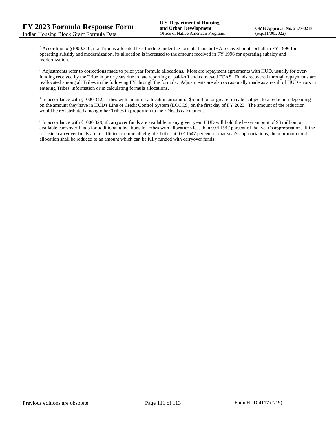<sup>5</sup> According to §1000.340, if a Tribe is allocated less funding under the formula than an IHA received on its behalf in FY 1996 for operating subsidy and modernization, its allocation is increased to the amount received in FY 1996 for operating subsidy and modernization.

<sup>6</sup> Adjustments refer to corrections made to prior year formula allocations. Most are repayment agreements with HUD, usually for overfunding received by the Tribe in prior years due to late reporting of paid-off and conveyed FCAS. Funds recovered through repayments are reallocated among all Tribes in the following FY through the formula. Adjustments are also occasionally made as a result of HUD errors in entering Tribes' information or in calculating formula allocations.

 $^7$  In accordance with §1000.342, Tribes with an initial allocation amount of \$5 million or greater may be subject to a reduction depending on the amount they have in HUD's Line of Credit Control System (LOCCS) on the first day of FY 2023. The amount of the reduction would be redistributed among other Tribes in proportion to their Needs calculation.

<sup>8</sup> In accordance with §1000.329, if carryover funds are available in any given year, HUD will hold the lesser amount of \$3 million or available carryover funds for additional allocations to Tribes with allocations less than 0.011547 percent of that year's appropriation. If the set-aside carryover funds are insufficient to fund all eligible Tribes at 0.011547 percent of that year's appropriations, the minimum total allocation shall be reduced to an amount which can be fully funded with carryover funds.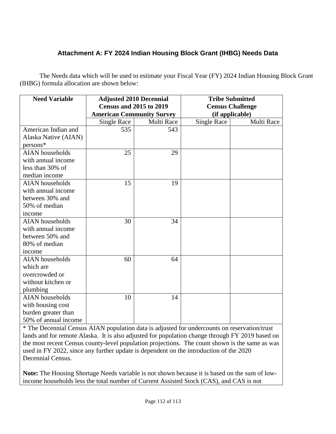## **Attachment A: FY 2024 Indian Housing Block Grant (IHBG) Needs Data**

The Needs data which will be used to estimate your Fiscal Year (FY) 2024 Indian Housing Block Grant (IHBG) formula allocation are shown below:

| <b>Need Variable</b>   | <b>Adjusted 2010 Decennial</b><br><b>Census and 2015 to 2019</b> |            | <b>Tribe Submitted</b><br><b>Census Challenge</b> |            |
|------------------------|------------------------------------------------------------------|------------|---------------------------------------------------|------------|
|                        | <b>American Community Survey</b>                                 |            | (if applicable)                                   |            |
|                        | Single Race                                                      | Multi Race | <b>Single Race</b>                                | Multi Race |
| American Indian and    | 535                                                              | 543        |                                                   |            |
| Alaska Native (AIAN)   |                                                                  |            |                                                   |            |
| persons*               |                                                                  |            |                                                   |            |
| <b>AIAN</b> households | 25                                                               | 29         |                                                   |            |
| with annual income     |                                                                  |            |                                                   |            |
| less than 30% of       |                                                                  |            |                                                   |            |
| median income          |                                                                  |            |                                                   |            |
| <b>AIAN</b> households | 15                                                               | 19         |                                                   |            |
| with annual income     |                                                                  |            |                                                   |            |
| between 30% and        |                                                                  |            |                                                   |            |
| 50% of median          |                                                                  |            |                                                   |            |
| income                 |                                                                  |            |                                                   |            |
| <b>AIAN</b> households | 30                                                               | 34         |                                                   |            |
| with annual income     |                                                                  |            |                                                   |            |
| between 50% and        |                                                                  |            |                                                   |            |
| 80% of median          |                                                                  |            |                                                   |            |
| income                 |                                                                  |            |                                                   |            |
| <b>AIAN</b> households | 60                                                               | 64         |                                                   |            |
| which are              |                                                                  |            |                                                   |            |
| overcrowded or         |                                                                  |            |                                                   |            |
| without kitchen or     |                                                                  |            |                                                   |            |
| plumbing               |                                                                  |            |                                                   |            |
| <b>AIAN</b> households | 10                                                               | 14         |                                                   |            |
| with housing cost      |                                                                  |            |                                                   |            |
| burden greater than    |                                                                  |            |                                                   |            |
| 50% of annual income   |                                                                  |            |                                                   |            |

\* The Decennial Census AIAN population data is adjusted for undercounts on reservation/trust lands and for remote Alaska. It is also adjusted for population change through FY 2019 based on the most recent Census county-level population projections. The count shown is the same as was used in FY 2022, since any further update is dependent on the introduction of the 2020 Decennial Census.

**Note:** The Housing Shortage Needs variable is not shown because it is based on the sum of lowincome households less the total number of Current Assisted Stock (CAS), and CAS is not